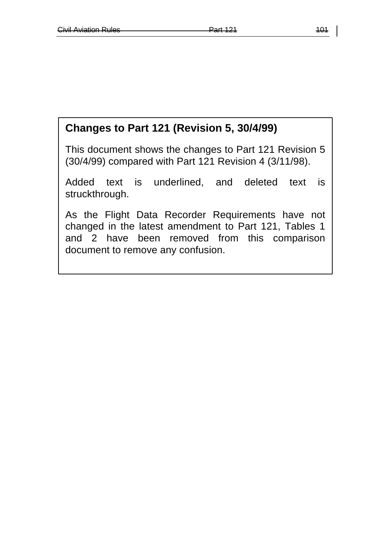# **Changes to Part 121 (Revision 5, 30/4/99)**

This document shows the changes to Part 121 Revision 5 (30/4/99) compared with Part 121 Revision 4 (3/11/98).

Added text is underlined, and deleted text is struckthrough.

As the Flight Data Recorder Requirements have not changed in the latest amendment to Part 121, Tables 1 and 2 have been removed from this comparison document to remove any confusion.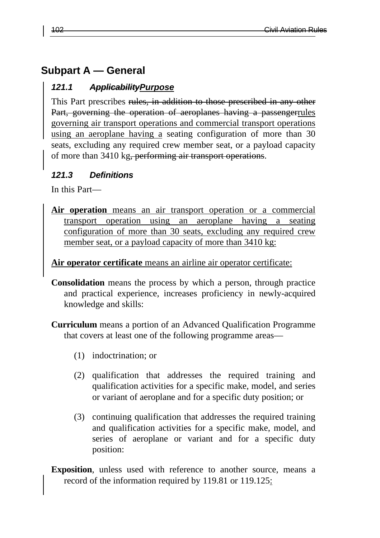# **Subpart A — General**

#### *121.1 ApplicabilityPurpose*

This Part prescribes rules, in addition to those prescribed in any other Part, governing the operation of aeroplanes having a passengerrules governing air transport operations and commercial transport operations using an aeroplane having a seating configuration of more than 30 seats, excluding any required crew member seat, or a payload capacity of more than 3410 kg, performing air transport operations.

#### *121.3 Definitions*

In this Part—

**Air operation** means an air transport operation or a commercial transport operation using an aeroplane having a seating configuration of more than 30 seats, excluding any required crew member seat, or a payload capacity of more than 3410 kg:

#### **Air operator certificate** means an airline air operator certificate:

- **Consolidation** means the process by which a person, through practice and practical experience, increases proficiency in newly-acquired knowledge and skills:
- **Curriculum** means a portion of an Advanced Qualification Programme that covers at least one of the following programme areas—
	- (1) indoctrination; or
	- (2) qualification that addresses the required training and qualification activities for a specific make, model, and series or variant of aeroplane and for a specific duty position; or
	- (3) continuing qualification that addresses the required training and qualification activities for a specific make, model, and series of aeroplane or variant and for a specific duty position:
- **Exposition**, unless used with reference to another source, means a record of the information required by 119.81 or 119.125: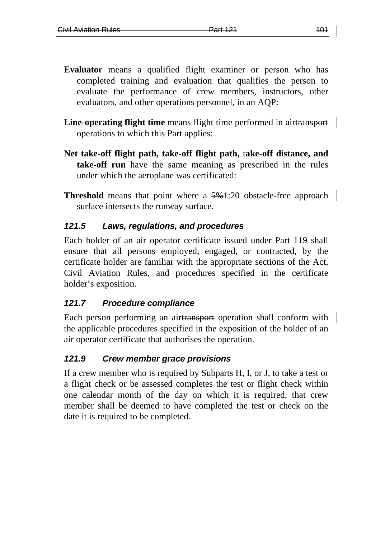- **Evaluator** means a qualified flight examiner or person who has completed training and evaluation that qualifies the person to evaluate the performance of crew members, instructors, other evaluators, and other operations personnel, in an AQP:
- **Line-operating flight time** means flight time performed in airtransport operations to which this Part applies:
- **Net take-off flight path, take-off flight path,** t**ake-off distance, and take-off run** have the same meaning as prescribed in the rules under which the aeroplane was certificated:
- **Threshold** means that point where a  $\frac{5}{9}$ 1:20 obstacle-free approach surface intersects the runway surface.

## *121.5 Laws, regulations, and procedures*

Each holder of an air operator certificate issued under Part 119 shall ensure that all persons employed, engaged, or contracted, by the certificate holder are familiar with the appropriate sections of the Act, Civil Aviation Rules, and procedures specified in the certificate holder's exposition.

## *121.7 Procedure compliance*

Each person performing an airtransport operation shall conform with the applicable procedures specified in the exposition of the holder of an air operator certificate that authorises the operation.

## *121.9 Crew member grace provisions*

If a crew member who is required by Subparts H, I, or J, to take a test or a flight check or be assessed completes the test or flight check within one calendar month of the day on which it is required, that crew member shall be deemed to have completed the test or check on the date it is required to be completed.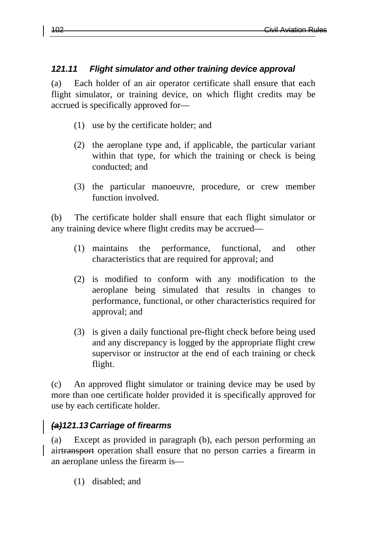# *121.11 Flight simulator and other training device approval*

(a) Each holder of an air operator certificate shall ensure that each flight simulator, or training device, on which flight credits may be accrued is specifically approved for—

- (1) use by the certificate holder; and
- (2) the aeroplane type and, if applicable, the particular variant within that type, for which the training or check is being conducted; and
- (3) the particular manoeuvre, procedure, or crew member function involved.

(b) The certificate holder shall ensure that each flight simulator or any training device where flight credits may be accrued—

- (1) maintains the performance, functional, and other characteristics that are required for approval; and
- (2) is modified to conform with any modification to the aeroplane being simulated that results in changes to performance, functional, or other characteristics required for approval; and
- (3) is given a daily functional pre-flight check before being used and any discrepancy is logged by the appropriate flight crew supervisor or instructor at the end of each training or check flight.

(c) An approved flight simulator or training device may be used by more than one certificate holder provided it is specifically approved for use by each certificate holder.

# *(a)121.13 Carriage of firearms*

(a) Except as provided in paragraph (b), each person performing an airtransport operation shall ensure that no person carries a firearm in an aeroplane unless the firearm is—

(1) disabled; and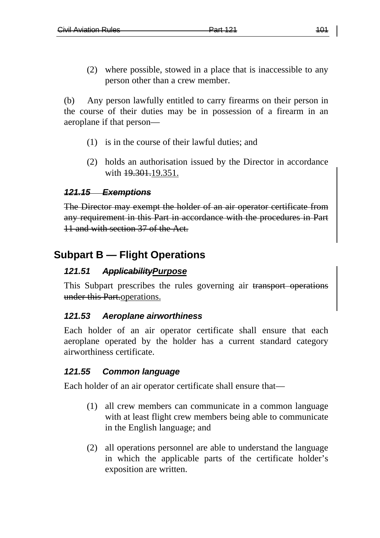(2) where possible, stowed in a place that is inaccessible to any person other than a crew member.

(b) Any person lawfully entitled to carry firearms on their person in the course of their duties may be in possession of a firearm in an aeroplane if that person—

- (1) is in the course of their lawful duties; and
- (2) holds an authorisation issued by the Director in accordance with  $19.301.19.351$ .

#### *121.15 Exemptions*

The Director may exempt the holder of an air operator certificate from any requirement in this Part in accordance with the procedures in Part 11 and with section 37 of the Act.

# **Subpart B — Flight Operations**

## *121.51 ApplicabilityPurpose*

This Subpart prescribes the rules governing air transport operations under this Part.operations.

#### *121.53 Aeroplane airworthiness*

Each holder of an air operator certificate shall ensure that each aeroplane operated by the holder has a current standard category airworthiness certificate.

#### *121.55 Common language*

Each holder of an air operator certificate shall ensure that—

- (1) all crew members can communicate in a common language with at least flight crew members being able to communicate in the English language; and
- (2) all operations personnel are able to understand the language in which the applicable parts of the certificate holder's exposition are written.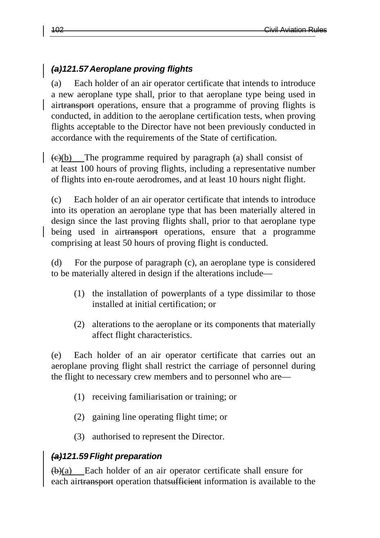# *(a)121.57 Aeroplane proving flights*

(a) Each holder of an air operator certificate that intends to introduce a new aeroplane type shall, prior to that aeroplane type being used in airtransport operations, ensure that a programme of proving flights is conducted, in addition to the aeroplane certification tests, when proving flights acceptable to the Director have not been previously conducted in accordance with the requirements of the State of certification.

 $\left(\frac{e}{b}\right)$  The programme required by paragraph (a) shall consist of at least 100 hours of proving flights, including a representative number of flights into en-route aerodromes, and at least 10 hours night flight.

(c) Each holder of an air operator certificate that intends to introduce into its operation an aeroplane type that has been materially altered in design since the last proving flights shall, prior to that aeroplane type being used in airtransport operations, ensure that a programme comprising at least 50 hours of proving flight is conducted.

(d) For the purpose of paragraph (c), an aeroplane type is considered to be materially altered in design if the alterations include—

- (1) the installation of powerplants of a type dissimilar to those installed at initial certification; or
- (2) alterations to the aeroplane or its components that materially affect flight characteristics.

(e) Each holder of an air operator certificate that carries out an aeroplane proving flight shall restrict the carriage of personnel during the flight to necessary crew members and to personnel who are—

- (1) receiving familiarisation or training; or
- (2) gaining line operating flight time; or
- (3) authorised to represent the Director.

## *(a)121.59 Flight preparation*

(b)(a) Each holder of an air operator certificate shall ensure for each airtransport operation thatsufficient information is available to the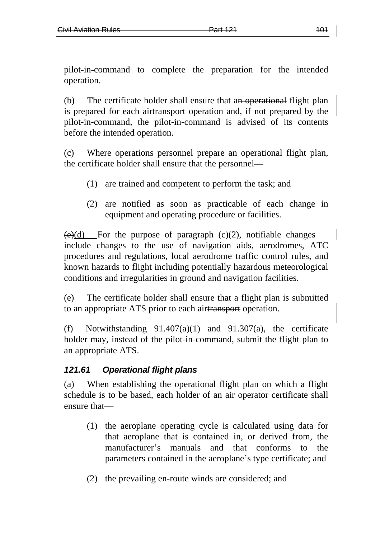pilot-in-command to complete the preparation for the intended operation.

(b) The certificate holder shall ensure that an operational flight plan is prepared for each airtransport operation and, if not prepared by the pilot-in-command, the pilot-in-command is advised of its contents before the intended operation.

(c) Where operations personnel prepare an operational flight plan, the certificate holder shall ensure that the personnel—

- (1) are trained and competent to perform the task; and
- (2) are notified as soon as practicable of each change in equipment and operating procedure or facilities.

 $\leftrightarrow$  (e)(d) For the purpose of paragraph (c)(2), notifiable changes include changes to the use of navigation aids, aerodromes, ATC procedures and regulations, local aerodrome traffic control rules, and known hazards to flight including potentially hazardous meteorological conditions and irregularities in ground and navigation facilities.

(e) The certificate holder shall ensure that a flight plan is submitted to an appropriate ATS prior to each airtransport operation.

(f) Notwithstanding  $91.407(a)(1)$  and  $91.307(a)$ , the certificate holder may, instead of the pilot-in-command, submit the flight plan to an appropriate ATS.

## *121.61 Operational flight plans*

(a) When establishing the operational flight plan on which a flight schedule is to be based, each holder of an air operator certificate shall ensure that—

- (1) the aeroplane operating cycle is calculated using data for that aeroplane that is contained in, or derived from, the manufacturer's manuals and that conforms to the parameters contained in the aeroplane's type certificate; and
- (2) the prevailing en-route winds are considered; and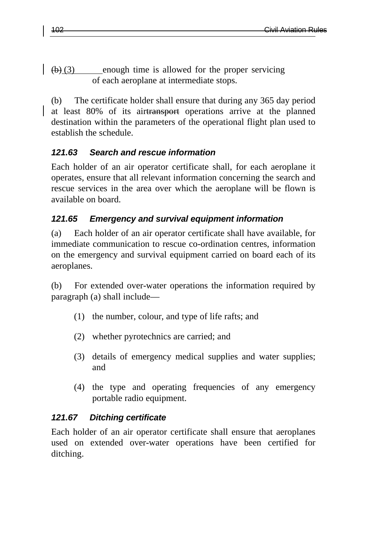$\left(\frac{b}{c^2}\right)$  enough time is allowed for the proper servicing of each aeroplane at intermediate stops.

(b) The certificate holder shall ensure that during any 365 day period at least 80% of its airtransport operations arrive at the planned destination within the parameters of the operational flight plan used to establish the schedule.

# *121.63 Search and rescue information*

Each holder of an air operator certificate shall, for each aeroplane it operates, ensure that all relevant information concerning the search and rescue services in the area over which the aeroplane will be flown is available on board.

# *121.65 Emergency and survival equipment information*

(a) Each holder of an air operator certificate shall have available, for immediate communication to rescue co-ordination centres, information on the emergency and survival equipment carried on board each of its aeroplanes.

(b) For extended over-water operations the information required by paragraph (a) shall include—

- (1) the number, colour, and type of life rafts; and
- (2) whether pyrotechnics are carried; and
- (3) details of emergency medical supplies and water supplies; and
- (4) the type and operating frequencies of any emergency portable radio equipment.

## *121.67 Ditching certificate*

Each holder of an air operator certificate shall ensure that aeroplanes used on extended over-water operations have been certified for ditching.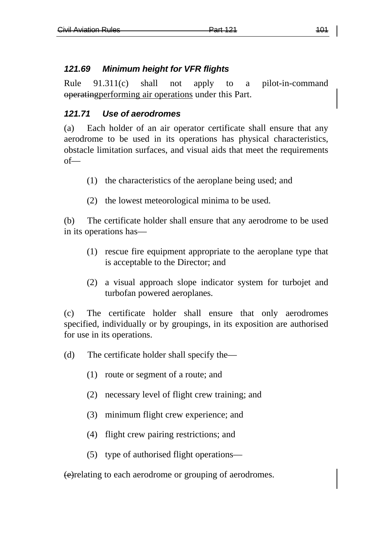# *121.69 Minimum height for VFR flights*

Rule 91.311(c) shall not apply to a pilot-in-command operatingperforming air operations under this Part.

# *121.71 Use of aerodromes*

(a) Each holder of an air operator certificate shall ensure that any aerodrome to be used in its operations has physical characteristics, obstacle limitation surfaces, and visual aids that meet the requirements of—

- (1) the characteristics of the aeroplane being used; and
- (2) the lowest meteorological minima to be used.

(b) The certificate holder shall ensure that any aerodrome to be used in its operations has—

- (1) rescue fire equipment appropriate to the aeroplane type that is acceptable to the Director; and
- (2) a visual approach slope indicator system for turbojet and turbofan powered aeroplanes.

(c) The certificate holder shall ensure that only aerodromes specified, individually or by groupings, in its exposition are authorised for use in its operations.

- (d) The certificate holder shall specify the—
	- (1) route or segment of a route; and
	- (2) necessary level of flight crew training; and
	- (3) minimum flight crew experience; and
	- (4) flight crew pairing restrictions; and
	- (5) type of authorised flight operations—

(e)relating to each aerodrome or grouping of aerodromes.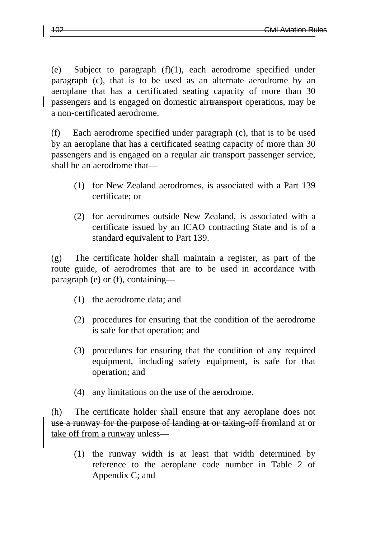(e) Subject to paragraph (f)(1), each aerodrome specified under paragraph (c), that is to be used as an alternate aerodrome by an aeroplane that has a certificated seating capacity of more than 30 passengers and is engaged on domestic airtransport operations, may be a non-certificated aerodrome.

(f) Each aerodrome specified under paragraph (c), that is to be used by an aeroplane that has a certificated seating capacity of more than 30 passengers and is engaged on a regular air transport passenger service, shall be an aerodrome that—

- (1) for New Zealand aerodromes, is associated with a Part 139 certificate; or
- (2) for aerodromes outside New Zealand, is associated with a certificate issued by an ICAO contracting State and is of a standard equivalent to Part 139.

(g) The certificate holder shall maintain a register, as part of the route guide, of aerodromes that are to be used in accordance with paragraph (e) or (f), containing—

- (1) the aerodrome data; and
- (2) procedures for ensuring that the condition of the aerodrome is safe for that operation; and
- (3) procedures for ensuring that the condition of any required equipment, including safety equipment, is safe for that operation; and
- (4) any limitations on the use of the aerodrome.

(h) The certificate holder shall ensure that any aeroplane does not use a runway for the purpose of landing at or taking-off fromland at or take off from a runway unless—

(1) the runway width is at least that width determined by reference to the aeroplane code number in Table 2 of Appendix C; and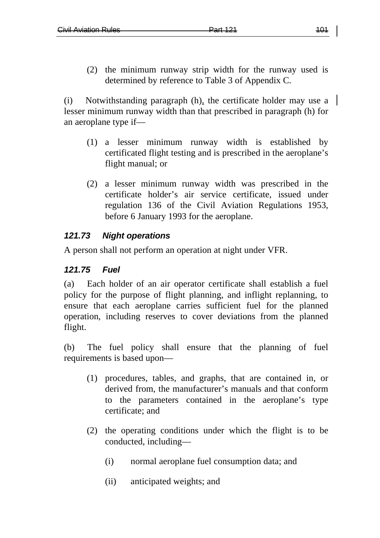(2) the minimum runway strip width for the runway used is determined by reference to Table 3 of Appendix C.

(i) Notwithstanding paragraph (h), the certificate holder may use a lesser minimum runway width than that prescribed in paragraph (h) for an aeroplane type if—

- (1) a lesser minimum runway width is established by certificated flight testing and is prescribed in the aeroplane's flight manual; or
- (2) a lesser minimum runway width was prescribed in the certificate holder's air service certificate, issued under regulation 136 of the Civil Aviation Regulations 1953, before 6 January 1993 for the aeroplane.

## *121.73 Night operations*

A person shall not perform an operation at night under VFR.

#### *121.75 Fuel*

(a) Each holder of an air operator certificate shall establish a fuel policy for the purpose of flight planning, and inflight replanning, to ensure that each aeroplane carries sufficient fuel for the planned operation, including reserves to cover deviations from the planned flight.

(b) The fuel policy shall ensure that the planning of fuel requirements is based upon—

- (1) procedures, tables, and graphs, that are contained in, or derived from, the manufacturer's manuals and that conform to the parameters contained in the aeroplane's type certificate; and
- (2) the operating conditions under which the flight is to be conducted, including—
	- (i) normal aeroplane fuel consumption data; and
	- (ii) anticipated weights; and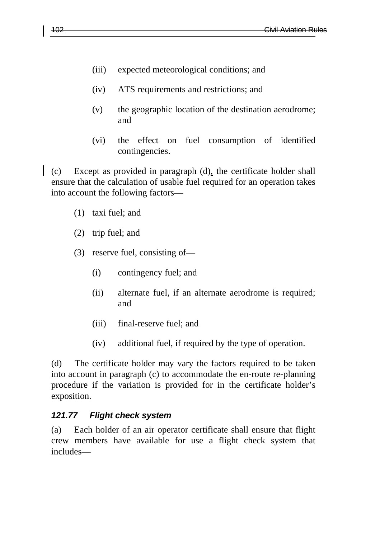- (iii) expected meteorological conditions; and
- (iv) ATS requirements and restrictions; and
- (v) the geographic location of the destination aerodrome; and
- (vi) the effect on fuel consumption of identified contingencies.

(c) Except as provided in paragraph (d), the certificate holder shall ensure that the calculation of usable fuel required for an operation takes into account the following factors—

- (1) taxi fuel; and
- (2) trip fuel; and
- (3) reserve fuel, consisting of—
	- (i) contingency fuel; and
	- (ii) alternate fuel, if an alternate aerodrome is required; and
	- (iii) final-reserve fuel; and
	- (iv) additional fuel, if required by the type of operation.

(d) The certificate holder may vary the factors required to be taken into account in paragraph (c) to accommodate the en-route re-planning procedure if the variation is provided for in the certificate holder's exposition.

## *121.77 Flight check system*

(a) Each holder of an air operator certificate shall ensure that flight crew members have available for use a flight check system that includes—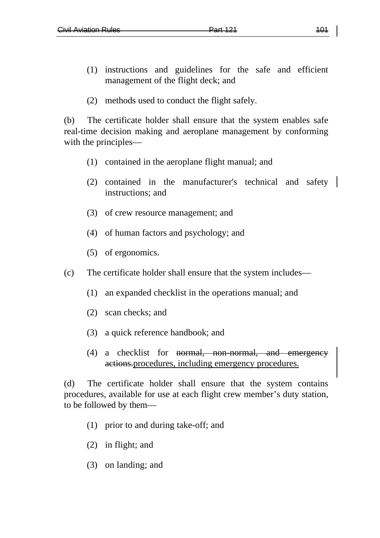- (1) instructions and guidelines for the safe and efficient management of the flight deck; and
- (2) methods used to conduct the flight safely.

(b) The certificate holder shall ensure that the system enables safe real-time decision making and aeroplane management by conforming with the principles—

- (1) contained in the aeroplane flight manual; and
- (2) contained in the manufacturer's technical and safety instructions; and
- (3) of crew resource management; and
- (4) of human factors and psychology; and
- (5) of ergonomics.
- (c) The certificate holder shall ensure that the system includes—
	- (1) an expanded checklist in the operations manual; and
	- (2) scan checks; and
	- (3) a quick reference handbook; and
	- (4) a checklist for normal, non-normal, and emergency actions.procedures, including emergency procedures.

(d) The certificate holder shall ensure that the system contains procedures, available for use at each flight crew member's duty station, to be followed by them—

- (1) prior to and during take-off; and
- (2) in flight; and
- (3) on landing; and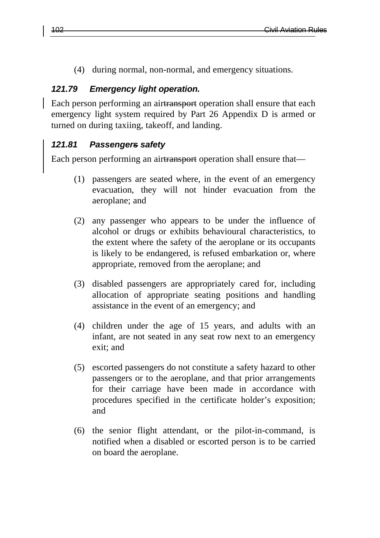(4) during normal, non-normal, and emergency situations.

#### *121.79 Emergency light operation.*

Each person performing an airtransport operation shall ensure that each emergency light system required by Part 26 Appendix D is armed or turned on during taxiing, takeoff, and landing.

#### *121.81 Passengers safety*

Each person performing an airtransport operation shall ensure that—

- (1) passengers are seated where, in the event of an emergency evacuation, they will not hinder evacuation from the aeroplane; and
- (2) any passenger who appears to be under the influence of alcohol or drugs or exhibits behavioural characteristics, to the extent where the safety of the aeroplane or its occupants is likely to be endangered, is refused embarkation or, where appropriate, removed from the aeroplane; and
- (3) disabled passengers are appropriately cared for, including allocation of appropriate seating positions and handling assistance in the event of an emergency; and
- (4) children under the age of 15 years, and adults with an infant, are not seated in any seat row next to an emergency exit; and
- (5) escorted passengers do not constitute a safety hazard to other passengers or to the aeroplane, and that prior arrangements for their carriage have been made in accordance with procedures specified in the certificate holder's exposition; and
- (6) the senior flight attendant, or the pilot-in-command, is notified when a disabled or escorted person is to be carried on board the aeroplane.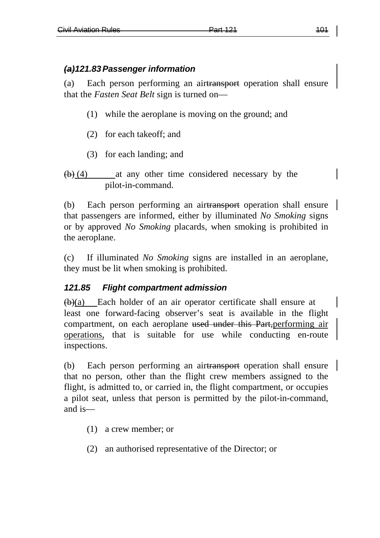# *(a)121.83Passenger information*

(a) Each person performing an airtransport operation shall ensure that the *Fasten Seat Belt* sign is turned on—

- (1) while the aeroplane is moving on the ground; and
- (2) for each takeoff; and
- (3) for each landing; and

```
(b) (4) at any other time considered necessary by the
pilot-in-command.
```
(b) Each person performing an airtransport operation shall ensure that passengers are informed, either by illuminated *No Smoking* signs or by approved *No Smoking* placards, when smoking is prohibited in the aeroplane.

(c) If illuminated *No Smoking* signs are installed in an aeroplane, they must be lit when smoking is prohibited.

# *121.85 Flight compartment admission*

 $(b)(a)$  Each holder of an air operator certificate shall ensure at least one forward-facing observer's seat is available in the flight compartment, on each aeroplane used under this Part,performing air operations, that is suitable for use while conducting en-route inspections.

(b) Each person performing an airtransport operation shall ensure that no person, other than the flight crew members assigned to the flight, is admitted to, or carried in, the flight compartment, or occupies a pilot seat, unless that person is permitted by the pilot-in-command, and is—

- (1) a crew member; or
- (2) an authorised representative of the Director; or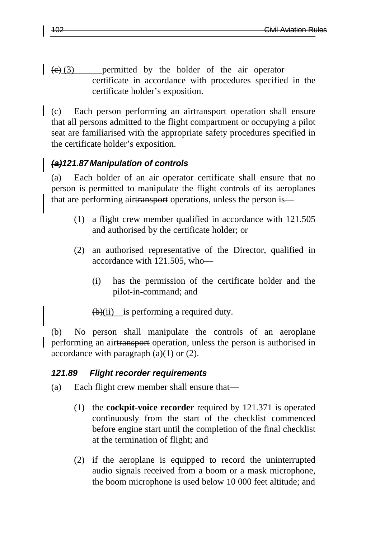$\left(\frac{1}{2}, \frac{1}{2}\right)$  permitted by the holder of the air operator certificate in accordance with procedures specified in the certificate holder's exposition.

(c) Each person performing an airtransport operation shall ensure that all persons admitted to the flight compartment or occupying a pilot seat are familiarised with the appropriate safety procedures specified in the certificate holder's exposition.

## *(a)121.87 Manipulation of controls*

(a) Each holder of an air operator certificate shall ensure that no person is permitted to manipulate the flight controls of its aeroplanes that are performing airtransport operations, unless the person is—

- (1) a flight crew member qualified in accordance with 121.505 and authorised by the certificate holder; or
- (2) an authorised representative of the Director, qualified in accordance with 121.505, who—
	- (i) has the permission of the certificate holder and the pilot-in-command; and

 $(b)(ii)$  is performing a required duty.

(b) No person shall manipulate the controls of an aeroplane performing an airtransport operation, unless the person is authorised in accordance with paragraph  $(a)(1)$  or  $(2)$ .

## *121.89 Flight recorder requirements*

- (a) Each flight crew member shall ensure that—
	- (1) the **cockpit-voice recorder** required by 121.371 is operated continuously from the start of the checklist commenced before engine start until the completion of the final checklist at the termination of flight; and
	- (2) if the aeroplane is equipped to record the uninterrupted audio signals received from a boom or a mask microphone, the boom microphone is used below 10 000 feet altitude; and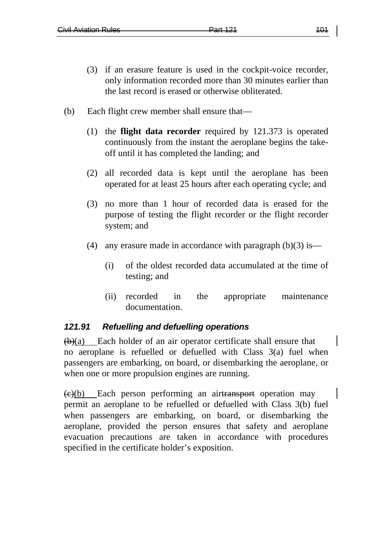- (3) if an erasure feature is used in the cockpit-voice recorder, only information recorded more than 30 minutes earlier than the last record is erased or otherwise obliterated.
- (b) Each flight crew member shall ensure that—
	- (1) the **flight data recorder** required by 121.373 is operated continuously from the instant the aeroplane begins the takeoff until it has completed the landing; and
	- (2) all recorded data is kept until the aeroplane has been operated for at least 25 hours after each operating cycle; and
	- (3) no more than 1 hour of recorded data is erased for the purpose of testing the flight recorder or the flight recorder system; and
	- (4) any erasure made in accordance with paragraph  $(b)(3)$  is—
		- (i) of the oldest recorded data accumulated at the time of testing; and
		- (ii) recorded in the appropriate maintenance documentation.

## *121.91 Refuelling and defuelling operations*

 $(b)(a)$  Each holder of an air operator certificate shall ensure that no aeroplane is refuelled or defuelled with Class 3(a) fuel when passengers are embarking, on board, or disembarking the aeroplane, or when one or more propulsion engines are running.

 $\left(\frac{e}{e}\right)$  Each person performing an airtransport operation may permit an aeroplane to be refuelled or defuelled with Class 3(b) fuel when passengers are embarking, on board, or disembarking the aeroplane, provided the person ensures that safety and aeroplane evacuation precautions are taken in accordance with procedures specified in the certificate holder's exposition.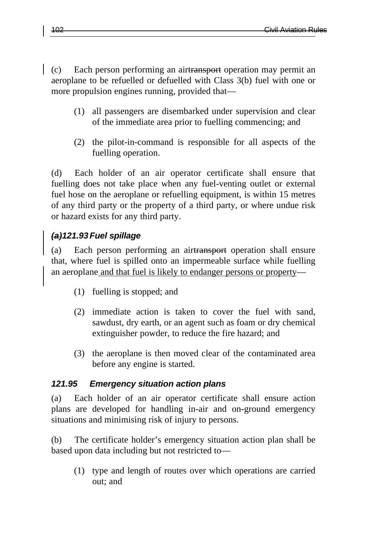(c) Each person performing an airtransport operation may permit an aeroplane to be refuelled or defuelled with Class 3(b) fuel with one or more propulsion engines running, provided that—

- (1) all passengers are disembarked under supervision and clear of the immediate area prior to fuelling commencing; and
- (2) the pilot-in-command is responsible for all aspects of the fuelling operation.

(d) Each holder of an air operator certificate shall ensure that fuelling does not take place when any fuel-venting outlet or external fuel hose on the aeroplane or refuelling equipment, is within 15 metres of any third party or the property of a third party, or where undue risk or hazard exists for any third party.

# *(a)121.93Fuel spillage*

(a) Each person performing an airtransport operation shall ensure that, where fuel is spilled onto an impermeable surface while fuelling an aeroplane and that fuel is likely to endanger persons or property—

- (1) fuelling is stopped; and
- (2) immediate action is taken to cover the fuel with sand, sawdust, dry earth, or an agent such as foam or dry chemical extinguisher powder, to reduce the fire hazard; and
- (3) the aeroplane is then moved clear of the contaminated area before any engine is started.

#### *121.95 Emergency situation action plans*

(a) Each holder of an air operator certificate shall ensure action plans are developed for handling in-air and on-ground emergency situations and minimising risk of injury to persons.

(b) The certificate holder's emergency situation action plan shall be based upon data including but not restricted to—

(1) type and length of routes over which operations are carried out; and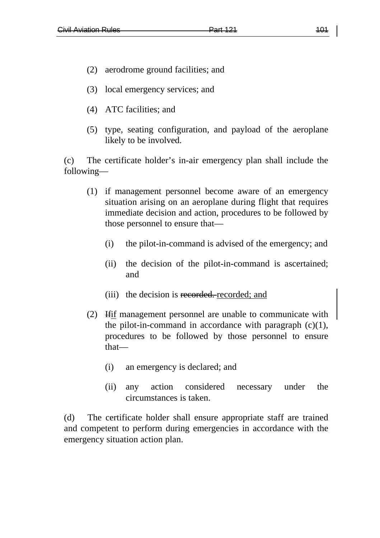- (2) aerodrome ground facilities; and
- (3) local emergency services; and
- (4) ATC facilities; and
- (5) type, seating configuration, and payload of the aeroplane likely to be involved.

(c) The certificate holder's in-air emergency plan shall include the following—

- (1) if management personnel become aware of an emergency situation arising on an aeroplane during flight that requires immediate decision and action, procedures to be followed by those personnel to ensure that—
	- (i) the pilot-in-command is advised of the emergency; and
	- (ii) the decision of the pilot-in-command is ascertained; and
	- (iii) the decision is recorded. recorded; and
- (2) Ifif management personnel are unable to communicate with the pilot-in-command in accordance with paragraph  $(c)(1)$ , procedures to be followed by those personnel to ensure that—
	- (i) an emergency is declared; and
	- (ii) any action considered necessary under the circumstances is taken.

(d) The certificate holder shall ensure appropriate staff are trained and competent to perform during emergencies in accordance with the emergency situation action plan.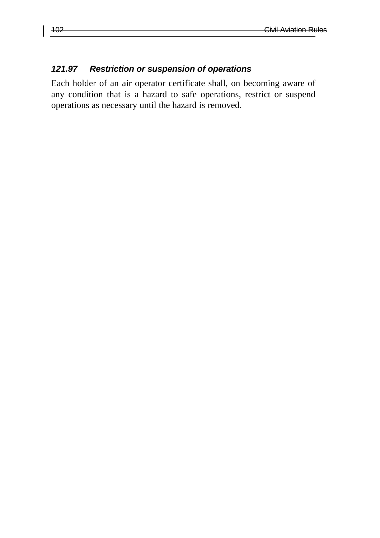#### *121.97 Restriction or suspension of operations*

Each holder of an air operator certificate shall, on becoming aware of any condition that is a hazard to safe operations, restrict or suspend operations as necessary until the hazard is removed.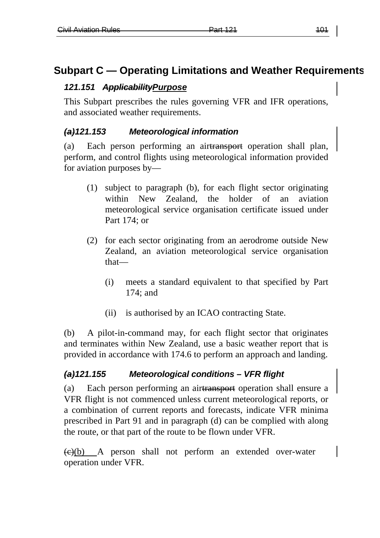# **Subpart C — Operating Limitations and Weather Requirements**

# *121.151 ApplicabilityPurpose*

This Subpart prescribes the rules governing VFR and IFR operations, and associated weather requirements.

# *(a)121.153 Meteorological information*

(a) Each person performing an airtransport operation shall plan, perform, and control flights using meteorological information provided for aviation purposes by—

- (1) subject to paragraph (b), for each flight sector originating within New Zealand, the holder of an aviation meteorological service organisation certificate issued under Part 174; or
- (2) for each sector originating from an aerodrome outside New Zealand, an aviation meteorological service organisation that—
	- (i) meets a standard equivalent to that specified by Part 174; and
	- (ii) is authorised by an ICAO contracting State.

(b) A pilot-in-command may, for each flight sector that originates and terminates within New Zealand, use a basic weather report that is provided in accordance with 174.6 to perform an approach and landing.

# *(a)121.155 Meteorological conditions – VFR flight*

(a) Each person performing an airtransport operation shall ensure a VFR flight is not commenced unless current meteorological reports, or a combination of current reports and forecasts, indicate VFR minima prescribed in Part 91 and in paragraph (d) can be complied with along the route, or that part of the route to be flown under VFR.

 $\left(\frac{e}{e}\right)$  A person shall not perform an extended over-water operation under VFR.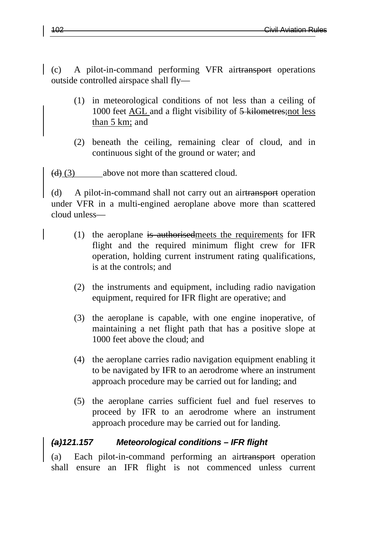(c) A pilot-in-command performing VFR airtransport operations outside controlled airspace shall fly—

- (1) in meteorological conditions of not less than a ceiling of 1000 feet AGL and a flight visibility of 5 kilometres;not less than 5 km; and
- (2) beneath the ceiling, remaining clear of cloud, and in continuous sight of the ground or water; and

 $(d)$  (3) above not more than scattered cloud.

(d) A pilot-in-command shall not carry out an airtransport operation under VFR in a multi-engined aeroplane above more than scattered cloud unless—

- (1) the aeroplane is authorised meets the requirements for IFR flight and the required minimum flight crew for IFR operation, holding current instrument rating qualifications, is at the controls; and
- (2) the instruments and equipment, including radio navigation equipment, required for IFR flight are operative; and
- (3) the aeroplane is capable, with one engine inoperative, of maintaining a net flight path that has a positive slope at 1000 feet above the cloud; and
- (4) the aeroplane carries radio navigation equipment enabling it to be navigated by IFR to an aerodrome where an instrument approach procedure may be carried out for landing; and
- (5) the aeroplane carries sufficient fuel and fuel reserves to proceed by IFR to an aerodrome where an instrument approach procedure may be carried out for landing.

#### *(a)121.157 Meteorological conditions – IFR flight*

(a) Each pilot-in-command performing an airtransport operation shall ensure an IFR flight is not commenced unless current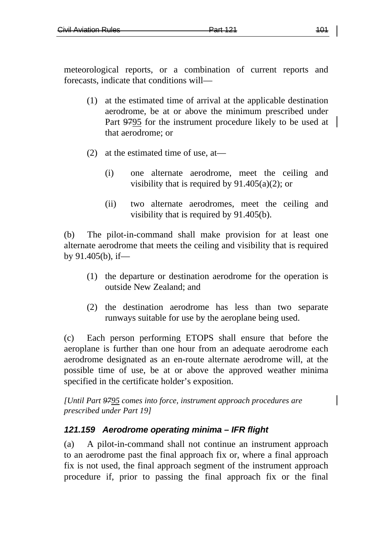meteorological reports, or a combination of current reports and forecasts, indicate that conditions will—

- (1) at the estimated time of arrival at the applicable destination aerodrome, be at or above the minimum prescribed under Part 9795 for the instrument procedure likely to be used at that aerodrome; or
- (2) at the estimated time of use, at—
	- (i) one alternate aerodrome, meet the ceiling and visibility that is required by  $91.405(a)(2)$ ; or
	- (ii) two alternate aerodromes, meet the ceiling and visibility that is required by 91.405(b).

(b) The pilot-in-command shall make provision for at least one alternate aerodrome that meets the ceiling and visibility that is required by 91.405(b), if—

- (1) the departure or destination aerodrome for the operation is outside New Zealand; and
- (2) the destination aerodrome has less than two separate runways suitable for use by the aeroplane being used.

(c) Each person performing ETOPS shall ensure that before the aeroplane is further than one hour from an adequate aerodrome each aerodrome designated as an en-route alternate aerodrome will, at the possible time of use, be at or above the approved weather minima specified in the certificate holder's exposition.

*[Until Part 9795 comes into force, instrument approach procedures are prescribed under Part 19]*

## *121.159 Aerodrome operating minima – IFR flight*

(a) A pilot-in-command shall not continue an instrument approach to an aerodrome past the final approach fix or, where a final approach fix is not used, the final approach segment of the instrument approach procedure if, prior to passing the final approach fix or the final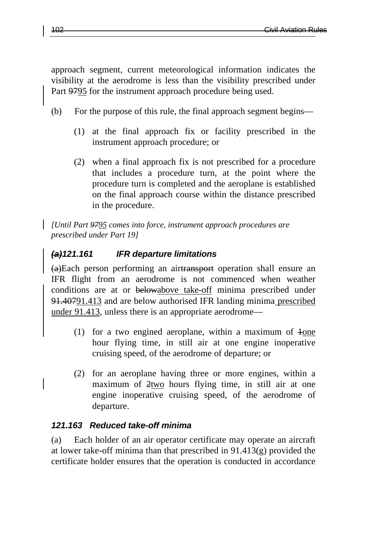approach segment, current meteorological information indicates the visibility at the aerodrome is less than the visibility prescribed under Part 9795 for the instrument approach procedure being used.

- (b) For the purpose of this rule, the final approach segment begins—
	- (1) at the final approach fix or facility prescribed in the instrument approach procedure; or
	- (2) when a final approach fix is not prescribed for a procedure that includes a procedure turn, at the point where the procedure turn is completed and the aeroplane is established on the final approach course within the distance prescribed in the procedure.

*[Until Part 9795 comes into force, instrument approach procedures are prescribed under Part 19]*

# *(a)121.161 IFR departure limitations*

(a)Each person performing an airtransport operation shall ensure an IFR flight from an aerodrome is not commenced when weather conditions are at or belowabove take-off minima prescribed under 91.40791.413 and are below authorised IFR landing minima prescribed under 91.413, unless there is an appropriate aerodrome—

- (1) for a two engined aeroplane, within a maximum of  $\frac{1}{2}$ hour flying time, in still air at one engine inoperative cruising speed, of the aerodrome of departure; or
- (2) for an aeroplane having three or more engines, within a maximum of 2two hours flying time, in still air at one engine inoperative cruising speed, of the aerodrome of departure.

## *121.163 Reduced take-off minima*

(a) Each holder of an air operator certificate may operate an aircraft at lower take-off minima than that prescribed in 91.413(g) provided the certificate holder ensures that the operation is conducted in accordance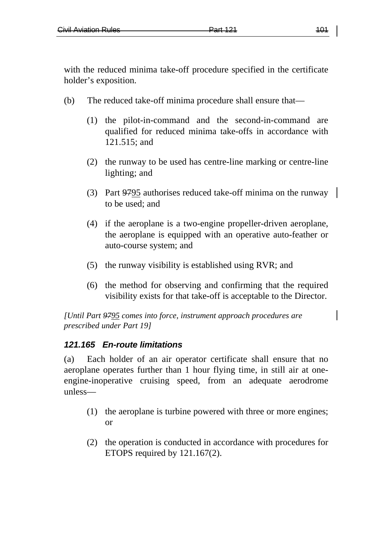with the reduced minima take-off procedure specified in the certificate holder's exposition.

- (b) The reduced take-off minima procedure shall ensure that—
	- (1) the pilot-in-command and the second-in-command are qualified for reduced minima take-offs in accordance with 121.515; and
	- (2) the runway to be used has centre-line marking or centre-line lighting; and
	- (3) Part 9795 authorises reduced take-off minima on the runway to be used; and
	- (4) if the aeroplane is a two-engine propeller-driven aeroplane, the aeroplane is equipped with an operative auto-feather or auto-course system; and
	- (5) the runway visibility is established using RVR; and
	- (6) the method for observing and confirming that the required visibility exists for that take-off is acceptable to the Director.

*[Until Part 9795 comes into force, instrument approach procedures are prescribed under Part 19]*

## *121.165 En-route limitations*

(a) Each holder of an air operator certificate shall ensure that no aeroplane operates further than 1 hour flying time, in still air at oneengine-inoperative cruising speed, from an adequate aerodrome unless—

- (1) the aeroplane is turbine powered with three or more engines; or
- (2) the operation is conducted in accordance with procedures for ETOPS required by 121.167(2).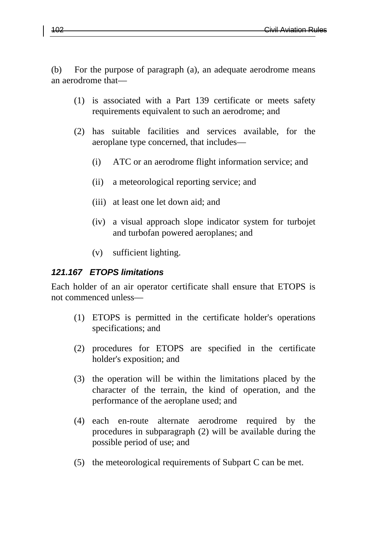(b) For the purpose of paragraph (a), an adequate aerodrome means an aerodrome that—

- (1) is associated with a Part 139 certificate or meets safety requirements equivalent to such an aerodrome; and
- (2) has suitable facilities and services available, for the aeroplane type concerned, that includes—
	- (i) ATC or an aerodrome flight information service; and
	- (ii) a meteorological reporting service; and
	- (iii) at least one let down aid; and
	- (iv) a visual approach slope indicator system for turbojet and turbofan powered aeroplanes; and
	- (v) sufficient lighting.

#### *121.167 ETOPS limitations*

Each holder of an air operator certificate shall ensure that ETOPS is not commenced unless—

- (1) ETOPS is permitted in the certificate holder's operations specifications; and
- (2) procedures for ETOPS are specified in the certificate holder's exposition; and
- (3) the operation will be within the limitations placed by the character of the terrain, the kind of operation, and the performance of the aeroplane used; and
- (4) each en-route alternate aerodrome required by the procedures in subparagraph (2) will be available during the possible period of use; and
- (5) the meteorological requirements of Subpart C can be met.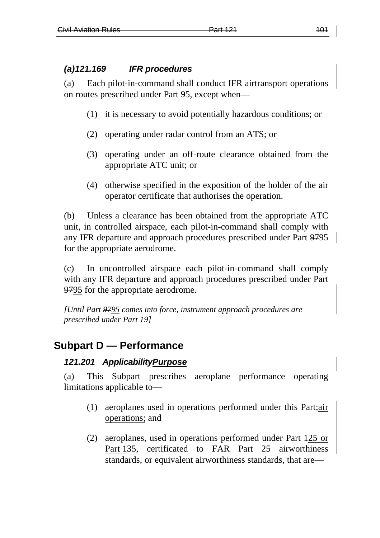#### *(a)121.169 IFR procedures*

(a) Each pilot-in-command shall conduct IFR airtransport operations on routes prescribed under Part 95, except when—

- (1) it is necessary to avoid potentially hazardous conditions; or
- (2) operating under radar control from an ATS; or
- (3) operating under an off-route clearance obtained from the appropriate ATC unit; or
- (4) otherwise specified in the exposition of the holder of the air operator certificate that authorises the operation.

(b) Unless a clearance has been obtained from the appropriate ATC unit, in controlled airspace, each pilot-in-command shall comply with any IFR departure and approach procedures prescribed under Part 9795 for the appropriate aerodrome.

(c) In uncontrolled airspace each pilot-in-command shall comply with any IFR departure and approach procedures prescribed under Part 9795 for the appropriate aerodrome.

*[Until Part 9795 comes into force, instrument approach procedures are prescribed under Part 19]*

# **Subpart D — Performance**

#### *121.201 ApplicabilityPurpose*

(a) This Subpart prescribes aeroplane performance operating limitations applicable to—

- (1) aeroplanes used in operations performed under this Part;air operations; and
- (2) aeroplanes, used in operations performed under Part 125 or Part 135, certificated to FAR Part 25 airworthiness standards, or equivalent airworthiness standards, that are—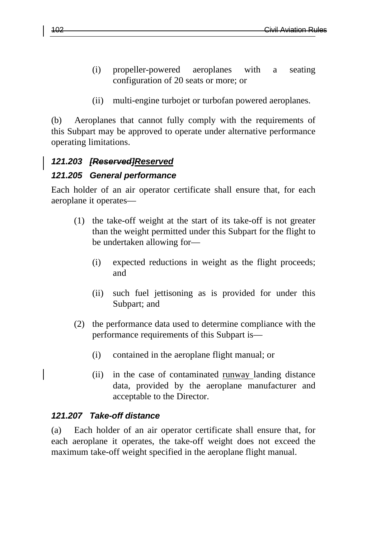- (i) propeller-powered aeroplanes with a seating configuration of 20 seats or more; or
- (ii) multi-engine turbojet or turbofan powered aeroplanes.

(b) Aeroplanes that cannot fully comply with the requirements of this Subpart may be approved to operate under alternative performance operating limitations.

## *121.203 [Reserved]Reserved*

#### *121.205 General performance*

Each holder of an air operator certificate shall ensure that, for each aeroplane it operates—

- (1) the take-off weight at the start of its take-off is not greater than the weight permitted under this Subpart for the flight to be undertaken allowing for—
	- (i) expected reductions in weight as the flight proceeds; and
	- (ii) such fuel jettisoning as is provided for under this Subpart; and
- (2) the performance data used to determine compliance with the performance requirements of this Subpart is—
	- (i) contained in the aeroplane flight manual; or
	- (ii) in the case of contaminated runway landing distance data, provided by the aeroplane manufacturer and acceptable to the Director.

#### *121.207 Take-off distance*

(a) Each holder of an air operator certificate shall ensure that, for each aeroplane it operates, the take-off weight does not exceed the maximum take-off weight specified in the aeroplane flight manual.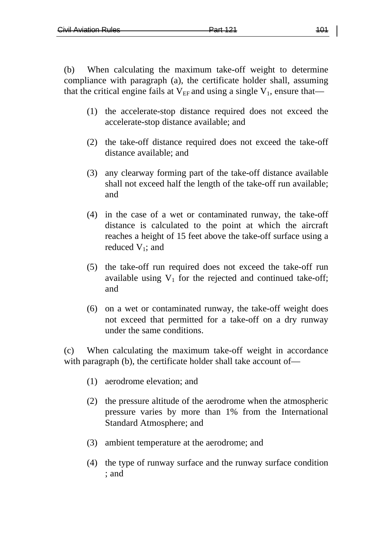(b) When calculating the maximum take-off weight to determine compliance with paragraph (a), the certificate holder shall, assuming that the critical engine fails at  $V_{FF}$  and using a single  $V_1$ , ensure that—

- (1) the accelerate-stop distance required does not exceed the accelerate-stop distance available; and
- (2) the take-off distance required does not exceed the take-off distance available; and
- (3) any clearway forming part of the take-off distance available shall not exceed half the length of the take-off run available; and
- (4) in the case of a wet or contaminated runway, the take-off distance is calculated to the point at which the aircraft reaches a height of 15 feet above the take-off surface using a reduced  $V_1$ ; and
- (5) the take-off run required does not exceed the take-off run available using  $V_1$  for the rejected and continued take-off; and
- (6) on a wet or contaminated runway, the take-off weight does not exceed that permitted for a take-off on a dry runway under the same conditions.

(c) When calculating the maximum take-off weight in accordance with paragraph (b), the certificate holder shall take account of—

- (1) aerodrome elevation; and
- (2) the pressure altitude of the aerodrome when the atmospheric pressure varies by more than 1% from the International Standard Atmosphere; and
- (3) ambient temperature at the aerodrome; and
- (4) the type of runway surface and the runway surface condition ; and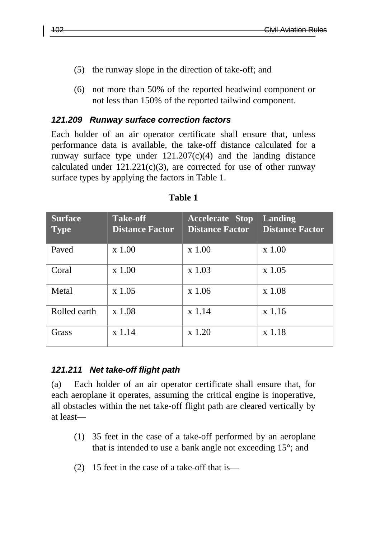- (5) the runway slope in the direction of take-off; and
- (6) not more than 50% of the reported headwind component or not less than 150% of the reported tailwind component.

#### *121.209 Runway surface correction factors*

Each holder of an air operator certificate shall ensure that, unless performance data is available, the take-off distance calculated for a runway surface type under  $121.207(c)(4)$  and the landing distance calculated under  $121.221(c)(3)$ , are corrected for use of other runway surface types by applying the factors in Table 1.

| <b>Surface</b><br><b>Type</b> | <b>Take-off</b><br><b>Distance Factor</b> | <b>Accelerate Stop</b><br><b>Distance Factor</b> | <b>Landing</b><br><b>Distance Factor</b> |
|-------------------------------|-------------------------------------------|--------------------------------------------------|------------------------------------------|
| Paved                         | $x$ 1.00                                  | $x$ 1.00                                         | $x$ 1.00                                 |
| Coral                         | $x$ 1.00                                  | $x$ 1.03                                         | x 1.05                                   |
| Metal                         | $x\,1.05$                                 | $x$ 1.06                                         | x 1.08                                   |
| Rolled earth                  | x 1.08                                    | $x$ 1.14                                         | x 1.16                                   |
| Grass                         | $x$ 1.14                                  | x 1.20                                           | x 1.18                                   |

#### **Table 1**

#### *121.211 Net take-off flight path*

(a) Each holder of an air operator certificate shall ensure that, for each aeroplane it operates, assuming the critical engine is inoperative, all obstacles within the net take-off flight path are cleared vertically by at least—

- (1) 35 feet in the case of a take-off performed by an aeroplane that is intended to use a bank angle not exceeding 15°; and
- (2) 15 feet in the case of a take-off that is—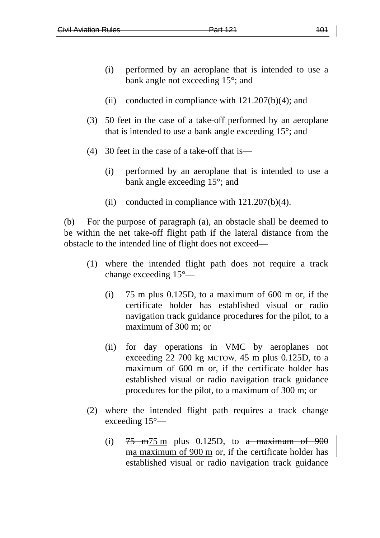- (i) performed by an aeroplane that is intended to use a bank angle not exceeding 15°; and
- (ii) conducted in compliance with  $121.207(b)(4)$ ; and
- (3) 50 feet in the case of a take-off performed by an aeroplane that is intended to use a bank angle exceeding 15°; and
- (4) 30 feet in the case of a take-off that is—
	- (i) performed by an aeroplane that is intended to use a bank angle exceeding 15°; and
	- (ii) conducted in compliance with 121.207(b)(4).

(b) For the purpose of paragraph (a), an obstacle shall be deemed to be within the net take-off flight path if the lateral distance from the obstacle to the intended line of flight does not exceed—

- (1) where the intended flight path does not require a track change exceeding 15°—
	- (i) 75 m plus 0.125D, to a maximum of 600 m or, if the certificate holder has established visual or radio navigation track guidance procedures for the pilot, to a maximum of 300 m; or
	- (ii) for day operations in VMC by aeroplanes not exceeding 22 700 kg MCTOW, 45 m plus 0.125D, to a maximum of 600 m or, if the certificate holder has established visual or radio navigation track guidance procedures for the pilot, to a maximum of 300 m; or
- (2) where the intended flight path requires a track change exceeding 15°—
	- (i)  $75 \text{ m}$ 75 m plus 0.125D, to a maximum of 900 ma maximum of 900 m or, if the certificate holder has established visual or radio navigation track guidance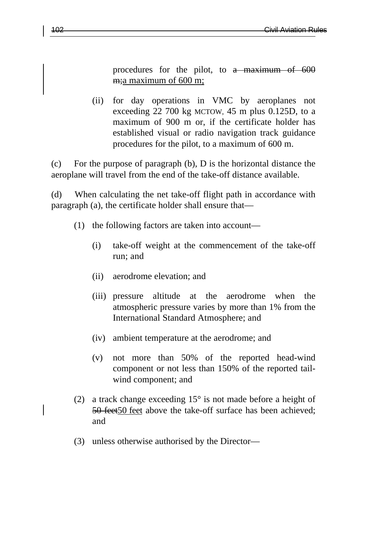procedures for the pilot, to a maximum of 600 m;a maximum of 600 m;

(ii) for day operations in VMC by aeroplanes not exceeding 22 700 kg MCTOW, 45 m plus 0.125D, to a maximum of 900 m or, if the certificate holder has established visual or radio navigation track guidance procedures for the pilot, to a maximum of 600 m.

(c) For the purpose of paragraph (b), D is the horizontal distance the aeroplane will travel from the end of the take-off distance available.

(d) When calculating the net take-off flight path in accordance with paragraph (a), the certificate holder shall ensure that—

- (1) the following factors are taken into account—
	- (i) take-off weight at the commencement of the take-off run; and
	- (ii) aerodrome elevation; and
	- (iii) pressure altitude at the aerodrome when the atmospheric pressure varies by more than 1% from the International Standard Atmosphere; and
	- (iv) ambient temperature at the aerodrome; and
	- (v) not more than 50% of the reported head-wind component or not less than 150% of the reported tailwind component; and
- (2) a track change exceeding  $15^{\circ}$  is not made before a height of 50 feet50 feet above the take-off surface has been achieved; and
- (3) unless otherwise authorised by the Director—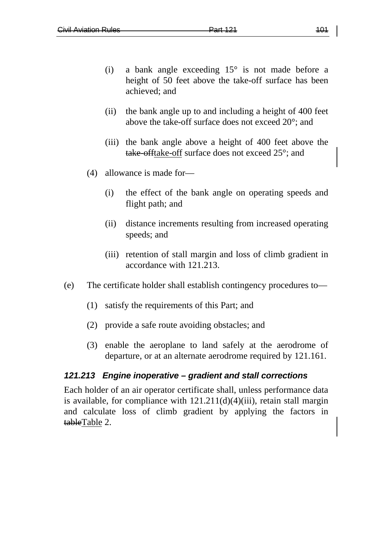- (i) a bank angle exceeding 15° is not made before a height of 50 feet above the take-off surface has been achieved; and
- (ii) the bank angle up to and including a height of 400 feet above the take-off surface does not exceed 20°; and
- (iii) the bank angle above a height of 400 feet above the take-offtake-off surface does not exceed 25°; and
- (4) allowance is made for—
	- (i) the effect of the bank angle on operating speeds and flight path; and
	- (ii) distance increments resulting from increased operating speeds; and
	- (iii) retention of stall margin and loss of climb gradient in accordance with 121.213.
- (e) The certificate holder shall establish contingency procedures to—
	- (1) satisfy the requirements of this Part; and
	- (2) provide a safe route avoiding obstacles; and
	- (3) enable the aeroplane to land safely at the aerodrome of departure, or at an alternate aerodrome required by 121.161.

#### *121.213 Engine inoperative – gradient and stall corrections*

Each holder of an air operator certificate shall, unless performance data is available, for compliance with  $121.211(d)(4)(iii)$ , retain stall margin and calculate loss of climb gradient by applying the factors in tableTable 2.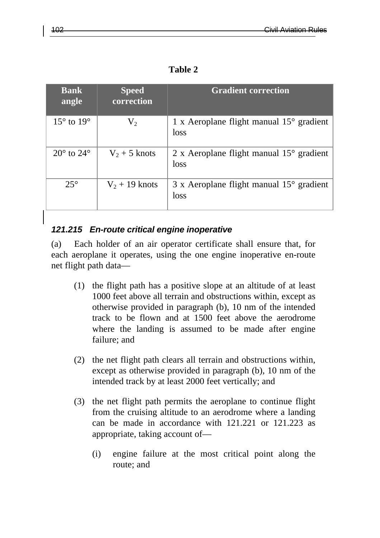|--|--|

| <b>Bank</b><br>angle         | <b>Speed</b><br>correction | <b>Gradient correction</b>                                       |
|------------------------------|----------------------------|------------------------------------------------------------------|
| $15^\circ$ to $19^\circ$     | $V_2$                      | 1 x Aeroplane flight manual $15^{\circ}$ gradient<br>loss        |
| $20^{\circ}$ to $24^{\circ}$ | $V_2 + 5$ knots            | 2 x Aeroplane flight manual $15^{\circ}$ gradient<br>loss        |
| $25^\circ$                   | $V_2$ + 19 knots           | $3 \times$ Aeroplane flight manual $15^{\circ}$ gradient<br>loss |

#### *121.215 En-route critical engine inoperative*

(a) Each holder of an air operator certificate shall ensure that, for each aeroplane it operates, using the one engine inoperative en-route net flight path data—

- (1) the flight path has a positive slope at an altitude of at least 1000 feet above all terrain and obstructions within, except as otherwise provided in paragraph (b), 10 nm of the intended track to be flown and at 1500 feet above the aerodrome where the landing is assumed to be made after engine failure; and
- (2) the net flight path clears all terrain and obstructions within, except as otherwise provided in paragraph (b), 10 nm of the intended track by at least 2000 feet vertically; and
- (3) the net flight path permits the aeroplane to continue flight from the cruising altitude to an aerodrome where a landing can be made in accordance with 121.221 or 121.223 as appropriate, taking account of—
	- (i) engine failure at the most critical point along the route; and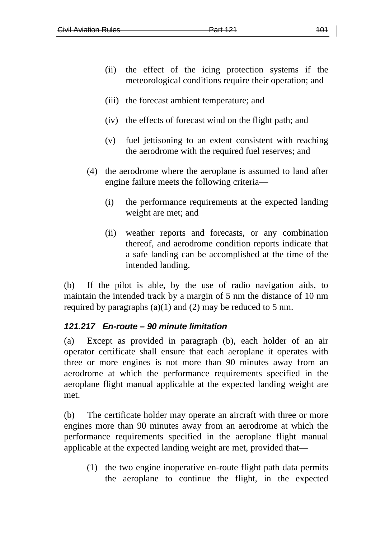- (ii) the effect of the icing protection systems if the meteorological conditions require their operation; and
- (iii) the forecast ambient temperature; and
- (iv) the effects of forecast wind on the flight path; and
- (v) fuel jettisoning to an extent consistent with reaching the aerodrome with the required fuel reserves; and
- (4) the aerodrome where the aeroplane is assumed to land after engine failure meets the following criteria—
	- (i) the performance requirements at the expected landing weight are met; and
	- (ii) weather reports and forecasts, or any combination thereof, and aerodrome condition reports indicate that a safe landing can be accomplished at the time of the intended landing.

(b) If the pilot is able, by the use of radio navigation aids, to maintain the intended track by a margin of 5 nm the distance of 10 nm required by paragraphs  $(a)(1)$  and  $(2)$  may be reduced to 5 nm.

## *121.217 En-route – 90 minute limitation*

(a) Except as provided in paragraph (b), each holder of an air operator certificate shall ensure that each aeroplane it operates with three or more engines is not more than 90 minutes away from an aerodrome at which the performance requirements specified in the aeroplane flight manual applicable at the expected landing weight are met.

(b) The certificate holder may operate an aircraft with three or more engines more than 90 minutes away from an aerodrome at which the performance requirements specified in the aeroplane flight manual applicable at the expected landing weight are met, provided that—

(1) the two engine inoperative en-route flight path data permits the aeroplane to continue the flight, in the expected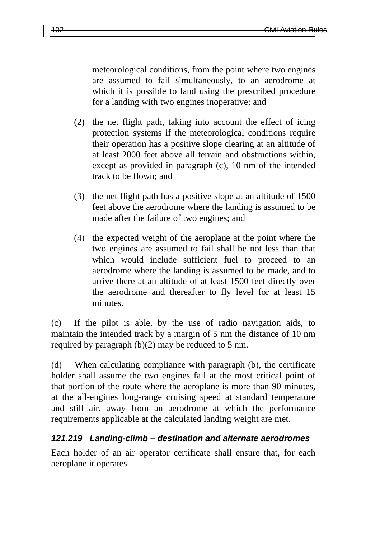meteorological conditions, from the point where two engines are assumed to fail simultaneously, to an aerodrome at which it is possible to land using the prescribed procedure for a landing with two engines inoperative; and

- (2) the net flight path, taking into account the effect of icing protection systems if the meteorological conditions require their operation has a positive slope clearing at an altitude of at least 2000 feet above all terrain and obstructions within, except as provided in paragraph (c), 10 nm of the intended track to be flown; and
- (3) the net flight path has a positive slope at an altitude of 1500 feet above the aerodrome where the landing is assumed to be made after the failure of two engines; and
- (4) the expected weight of the aeroplane at the point where the two engines are assumed to fail shall be not less than that which would include sufficient fuel to proceed to an aerodrome where the landing is assumed to be made, and to arrive there at an altitude of at least 1500 feet directly over the aerodrome and thereafter to fly level for at least 15 minutes.

(c) If the pilot is able, by the use of radio navigation aids, to maintain the intended track by a margin of 5 nm the distance of 10 nm required by paragraph (b)(2) may be reduced to 5 nm.

(d) When calculating compliance with paragraph (b), the certificate holder shall assume the two engines fail at the most critical point of that portion of the route where the aeroplane is more than 90 minutes, at the all-engines long-range cruising speed at standard temperature and still air, away from an aerodrome at which the performance requirements applicable at the calculated landing weight are met.

#### *121.219 Landing-climb – destination and alternate aerodromes*

Each holder of an air operator certificate shall ensure that, for each aeroplane it operates—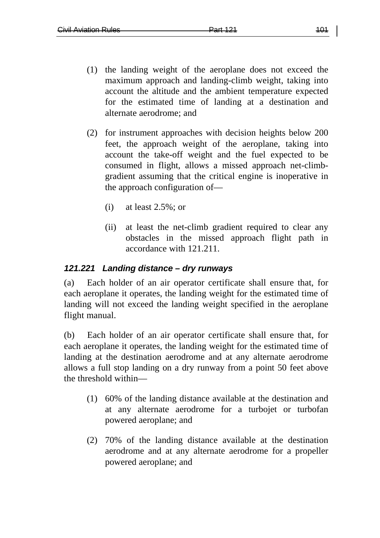- (1) the landing weight of the aeroplane does not exceed the maximum approach and landing-climb weight, taking into account the altitude and the ambient temperature expected for the estimated time of landing at a destination and alternate aerodrome; and
- (2) for instrument approaches with decision heights below 200 feet, the approach weight of the aeroplane, taking into account the take-off weight and the fuel expected to be consumed in flight, allows a missed approach net-climbgradient assuming that the critical engine is inoperative in the approach configuration of—
	- (i) at least 2.5%; or
	- (ii) at least the net-climb gradient required to clear any obstacles in the missed approach flight path in accordance with 121.211.

#### *121.221 Landing distance – dry runways*

(a) Each holder of an air operator certificate shall ensure that, for each aeroplane it operates, the landing weight for the estimated time of landing will not exceed the landing weight specified in the aeroplane flight manual.

(b) Each holder of an air operator certificate shall ensure that, for each aeroplane it operates, the landing weight for the estimated time of landing at the destination aerodrome and at any alternate aerodrome allows a full stop landing on a dry runway from a point 50 feet above the threshold within—

- (1) 60% of the landing distance available at the destination and at any alternate aerodrome for a turbojet or turbofan powered aeroplane; and
- (2) 70% of the landing distance available at the destination aerodrome and at any alternate aerodrome for a propeller powered aeroplane; and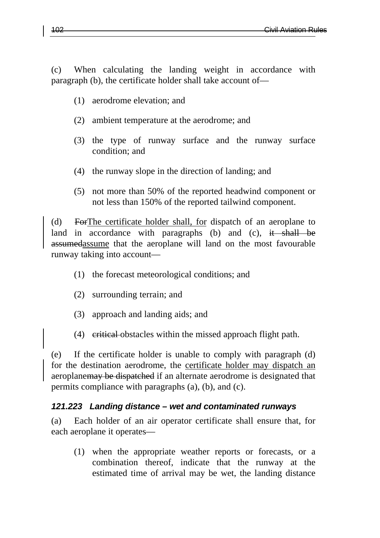(c) When calculating the landing weight in accordance with paragraph (b), the certificate holder shall take account of—

- (1) aerodrome elevation; and
- (2) ambient temperature at the aerodrome; and
- (3) the type of runway surface and the runway surface condition; and
- (4) the runway slope in the direction of landing; and
- (5) not more than 50% of the reported headwind component or not less than 150% of the reported tailwind component.

(d) ForThe certificate holder shall, for dispatch of an aeroplane to land in accordance with paragraphs (b) and (c), it shall be assumedassume that the aeroplane will land on the most favourable runway taking into account—

- (1) the forecast meteorological conditions; and
- (2) surrounding terrain; and
- (3) approach and landing aids; and
- (4) eritical obstacles within the missed approach flight path.

(e) If the certificate holder is unable to comply with paragraph (d) for the destination aerodrome, the certificate holder may dispatch an aeroplanemay be dispatched if an alternate aerodrome is designated that permits compliance with paragraphs (a), (b), and (c).

#### *121.223 Landing distance – wet and contaminated runways*

(a) Each holder of an air operator certificate shall ensure that, for each aeroplane it operates—

(1) when the appropriate weather reports or forecasts, or a combination thereof, indicate that the runway at the estimated time of arrival may be wet, the landing distance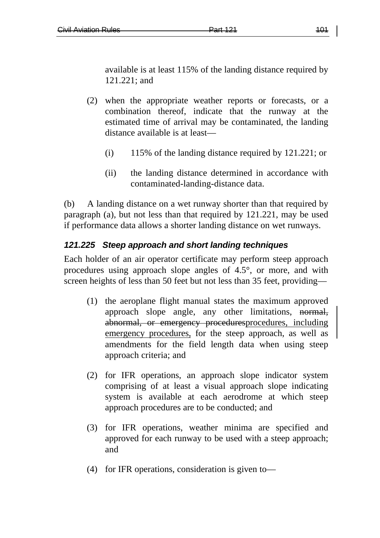available is at least 115% of the landing distance required by 121.221; and

- (2) when the appropriate weather reports or forecasts, or a combination thereof, indicate that the runway at the estimated time of arrival may be contaminated, the landing distance available is at least—
	- (i) 115% of the landing distance required by 121.221; or
	- (ii) the landing distance determined in accordance with contaminated-landing-distance data.

(b) A landing distance on a wet runway shorter than that required by paragraph (a), but not less than that required by 121.221, may be used if performance data allows a shorter landing distance on wet runways.

### *121.225 Steep approach and short landing techniques*

Each holder of an air operator certificate may perform steep approach procedures using approach slope angles of 4.5°, or more, and with screen heights of less than 50 feet but not less than 35 feet, providing—

- (1) the aeroplane flight manual states the maximum approved approach slope angle, any other limitations, normal, abnormal, or emergency proceduresprocedures, including emergency procedures, for the steep approach, as well as amendments for the field length data when using steep approach criteria; and
- (2) for IFR operations, an approach slope indicator system comprising of at least a visual approach slope indicating system is available at each aerodrome at which steep approach procedures are to be conducted; and
- (3) for IFR operations, weather minima are specified and approved for each runway to be used with a steep approach; and
- (4) for IFR operations, consideration is given to—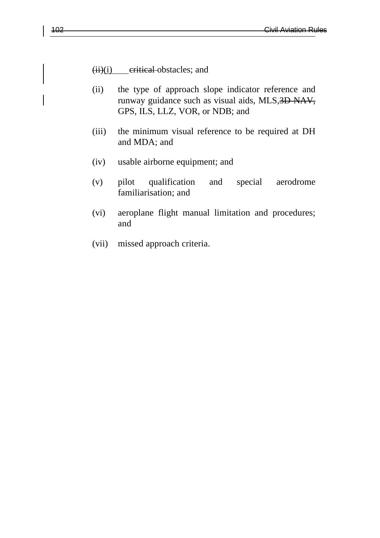$(ii)(i)$  eritical obstacles; and

- (ii) the type of approach slope indicator reference and runway guidance such as visual aids, MLS,3D-NAV, GPS, ILS, LLZ, VOR, or NDB; and
- (iii) the minimum visual reference to be required at DH and MDA; and
- (iv) usable airborne equipment; and
- (v) pilot qualification and special aerodrome familiarisation; and
- (vi) aeroplane flight manual limitation and procedures; and
- (vii) missed approach criteria.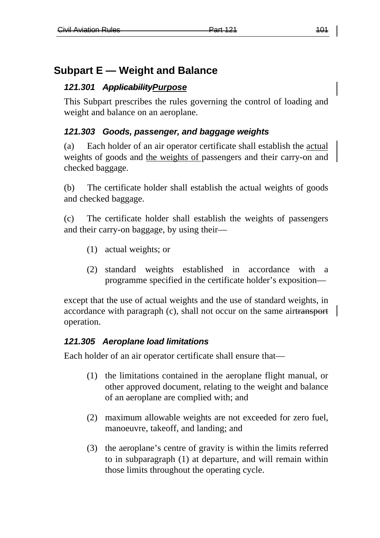# **Subpart E — Weight and Balance**

## *121.301 ApplicabilityPurpose*

This Subpart prescribes the rules governing the control of loading and weight and balance on an aeroplane.

## *121.303 Goods, passenger, and baggage weights*

(a) Each holder of an air operator certificate shall establish the actual weights of goods and the weights of passengers and their carry-on and checked baggage.

(b) The certificate holder shall establish the actual weights of goods and checked baggage.

(c) The certificate holder shall establish the weights of passengers and their carry-on baggage, by using their—

- (1) actual weights; or
- (2) standard weights established in accordance with a programme specified in the certificate holder's exposition—

except that the use of actual weights and the use of standard weights, in accordance with paragraph (c), shall not occur on the same airtransport operation.

## *121.305 Aeroplane load limitations*

Each holder of an air operator certificate shall ensure that—

- (1) the limitations contained in the aeroplane flight manual, or other approved document, relating to the weight and balance of an aeroplane are complied with; and
- (2) maximum allowable weights are not exceeded for zero fuel, manoeuvre, takeoff, and landing; and
- (3) the aeroplane's centre of gravity is within the limits referred to in subparagraph (1) at departure, and will remain within those limits throughout the operating cycle.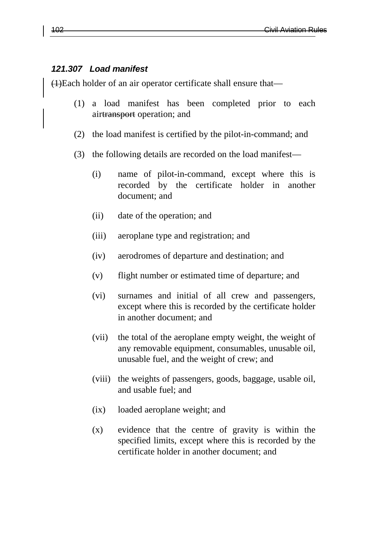#### *121.307 Load manifest*

(1)Each holder of an air operator certificate shall ensure that—

- (1) a load manifest has been completed prior to each airtransport operation; and
- (2) the load manifest is certified by the pilot-in-command; and
- (3) the following details are recorded on the load manifest—
	- (i) name of pilot-in-command, except where this is recorded by the certificate holder in another document; and
	- (ii) date of the operation; and
	- (iii) aeroplane type and registration; and
	- (iv) aerodromes of departure and destination; and
	- (v) flight number or estimated time of departure; and
	- (vi) surnames and initial of all crew and passengers, except where this is recorded by the certificate holder in another document; and
	- (vii) the total of the aeroplane empty weight, the weight of any removable equipment, consumables, unusable oil, unusable fuel, and the weight of crew; and
	- (viii) the weights of passengers, goods, baggage, usable oil, and usable fuel; and
	- (ix) loaded aeroplane weight; and
	- (x) evidence that the centre of gravity is within the specified limits, except where this is recorded by the certificate holder in another document; and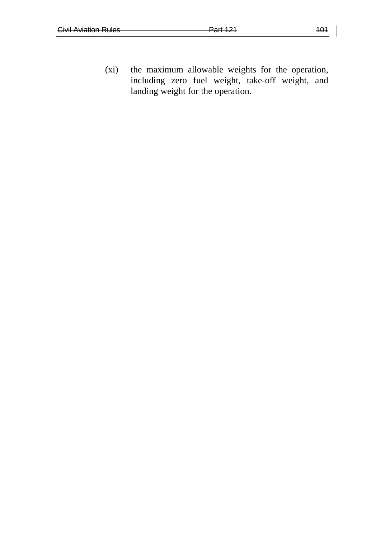(xi) the maximum allowable weights for the operation, including zero fuel weight, take-off weight, and landing weight for the operation.

 $\overline{\phantom{a}}$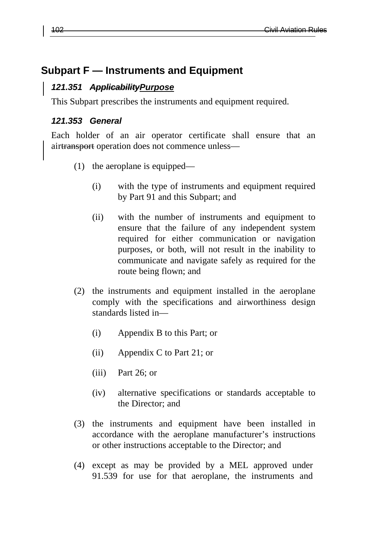## **Subpart F — Instruments and Equipment**

#### *121.351 ApplicabilityPurpose*

This Subpart prescribes the instruments and equipment required.

#### *121.353 General*

Each holder of an air operator certificate shall ensure that an airtransport operation does not commence unless—

- (1) the aeroplane is equipped—
	- (i) with the type of instruments and equipment required by Part 91 and this Subpart; and
	- (ii) with the number of instruments and equipment to ensure that the failure of any independent system required for either communication or navigation purposes, or both, will not result in the inability to communicate and navigate safely as required for the route being flown; and
- (2) the instruments and equipment installed in the aeroplane comply with the specifications and airworthiness design standards listed in—
	- (i) Appendix B to this Part; or
	- (ii) Appendix C to Part 21; or
	- (iii) Part 26; or
	- (iv) alternative specifications or standards acceptable to the Director; and
- (3) the instruments and equipment have been installed in accordance with the aeroplane manufacturer's instructions or other instructions acceptable to the Director; and
- (4) except as may be provided by a MEL approved under 91.539 for use for that aeroplane, the instruments and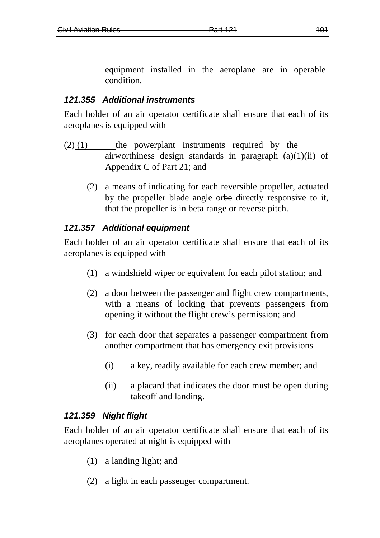equipment installed in the aeroplane are in operable condition.

#### *121.355 Additional instruments*

Each holder of an air operator certificate shall ensure that each of its aeroplanes is equipped with—

- $(2)(1)$  the powerplant instruments required by the airworthiness design standards in paragraph (a)(1)(ii) of Appendix C of Part 21; and
	- (2) a means of indicating for each reversible propeller, actuated by the propeller blade angle orbe directly responsive to it, that the propeller is in beta range or reverse pitch.

### *121.357 Additional equipment*

Each holder of an air operator certificate shall ensure that each of its aeroplanes is equipped with—

- (1) a windshield wiper or equivalent for each pilot station; and
- (2) a door between the passenger and flight crew compartments, with a means of locking that prevents passengers from opening it without the flight crew's permission; and
- (3) for each door that separates a passenger compartment from another compartment that has emergency exit provisions—
	- (i) a key, readily available for each crew member; and
	- (ii) a placard that indicates the door must be open during takeoff and landing.

### *121.359 Night flight*

Each holder of an air operator certificate shall ensure that each of its aeroplanes operated at night is equipped with—

- (1) a landing light; and
- (2) a light in each passenger compartment.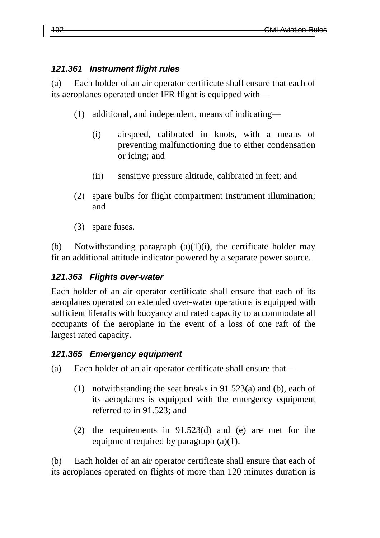### *121.361 Instrument flight rules*

(a) Each holder of an air operator certificate shall ensure that each of its aeroplanes operated under IFR flight is equipped with—

- (1) additional, and independent, means of indicating—
	- (i) airspeed, calibrated in knots, with a means of preventing malfunctioning due to either condensation or icing; and
	- (ii) sensitive pressure altitude, calibrated in feet; and
- (2) spare bulbs for flight compartment instrument illumination; and
- (3) spare fuses.

(b) Notwithstanding paragraph  $(a)(1)(i)$ , the certificate holder may fit an additional attitude indicator powered by a separate power source.

### *121.363 Flights over-water*

Each holder of an air operator certificate shall ensure that each of its aeroplanes operated on extended over-water operations is equipped with sufficient liferafts with buoyancy and rated capacity to accommodate all occupants of the aeroplane in the event of a loss of one raft of the largest rated capacity.

### *121.365 Emergency equipment*

- (a) Each holder of an air operator certificate shall ensure that—
	- (1) notwithstanding the seat breaks in 91.523(a) and (b), each of its aeroplanes is equipped with the emergency equipment referred to in 91.523; and
	- (2) the requirements in 91.523(d) and (e) are met for the equipment required by paragraph (a)(1).

(b) Each holder of an air operator certificate shall ensure that each of its aeroplanes operated on flights of more than 120 minutes duration is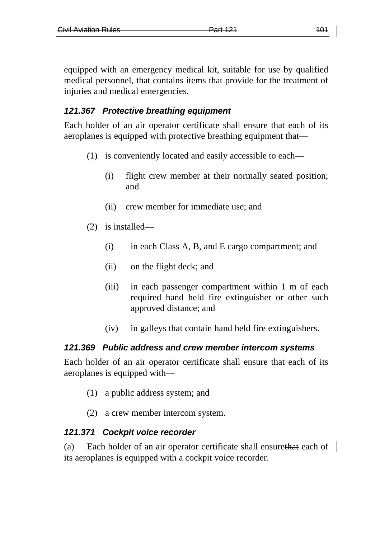equipped with an emergency medical kit, suitable for use by qualified medical personnel, that contains items that provide for the treatment of injuries and medical emergencies.

### *121.367 Protective breathing equipment*

Each holder of an air operator certificate shall ensure that each of its aeroplanes is equipped with protective breathing equipment that—

- (1) is conveniently located and easily accessible to each—
	- (i) flight crew member at their normally seated position; and
	- (ii) crew member for immediate use; and
- (2) is installed—
	- (i) in each Class A, B, and E cargo compartment; and
	- (ii) on the flight deck; and
	- (iii) in each passenger compartment within 1 m of each required hand held fire extinguisher or other such approved distance; and
	- (iv) in galleys that contain hand held fire extinguishers.

### *121.369 Public address and crew member intercom systems*

Each holder of an air operator certificate shall ensure that each of its aeroplanes is equipped with—

- (1) a public address system; and
- (2) a crew member intercom system.

### *121.371 Cockpit voice recorder*

(a) Each holder of an air operator certificate shall ensurethat each of its aeroplanes is equipped with a cockpit voice recorder.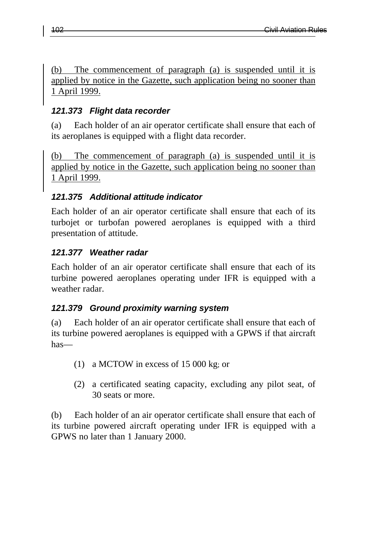The commencement of paragraph (a) is suspended until it is applied by notice in the Gazette, such application being no sooner than 1 April 1999.

## *121.373 Flight data recorder*

(a) Each holder of an air operator certificate shall ensure that each of its aeroplanes is equipped with a flight data recorder.

(b) The commencement of paragraph (a) is suspended until it is applied by notice in the Gazette, such application being no sooner than 1 April 1999.

## *121.375 Additional attitude indicator*

Each holder of an air operator certificate shall ensure that each of its turbojet or turbofan powered aeroplanes is equipped with a third presentation of attitude.

## *121.377 Weather radar*

Each holder of an air operator certificate shall ensure that each of its turbine powered aeroplanes operating under IFR is equipped with a weather radar.

## *121.379 Ground proximity warning system*

(a) Each holder of an air operator certificate shall ensure that each of its turbine powered aeroplanes is equipped with a GPWS if that aircraft has—

- (1) a MCTOW in excess of 15 000 kg; or
- (2) a certificated seating capacity, excluding any pilot seat, of 30 seats or more.

(b) Each holder of an air operator certificate shall ensure that each of its turbine powered aircraft operating under IFR is equipped with a GPWS no later than 1 January 2000.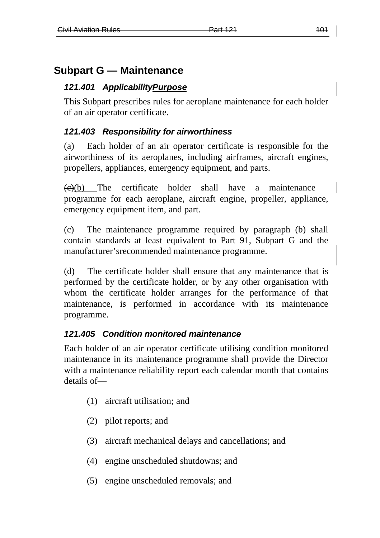# **Subpart G — Maintenance**

## *121.401 ApplicabilityPurpose*

This Subpart prescribes rules for aeroplane maintenance for each holder of an air operator certificate.

## *121.403 Responsibility for airworthiness*

(a) Each holder of an air operator certificate is responsible for the airworthiness of its aeroplanes, including airframes, aircraft engines, propellers, appliances, emergency equipment, and parts.

 $\leftrightarrow$  ( $\leftrightarrow$ ) The certificate holder shall have a maintenance programme for each aeroplane, aircraft engine, propeller, appliance, emergency equipment item, and part.

(c) The maintenance programme required by paragraph (b) shall contain standards at least equivalent to Part 91, Subpart G and the manufacturer'srecommended maintenance programme.

(d) The certificate holder shall ensure that any maintenance that is performed by the certificate holder, or by any other organisation with whom the certificate holder arranges for the performance of that maintenance, is performed in accordance with its maintenance programme.

## *121.405 Condition monitored maintenance*

Each holder of an air operator certificate utilising condition monitored maintenance in its maintenance programme shall provide the Director with a maintenance reliability report each calendar month that contains details of—

- (1) aircraft utilisation; and
- (2) pilot reports; and
- (3) aircraft mechanical delays and cancellations; and
- (4) engine unscheduled shutdowns; and
- (5) engine unscheduled removals; and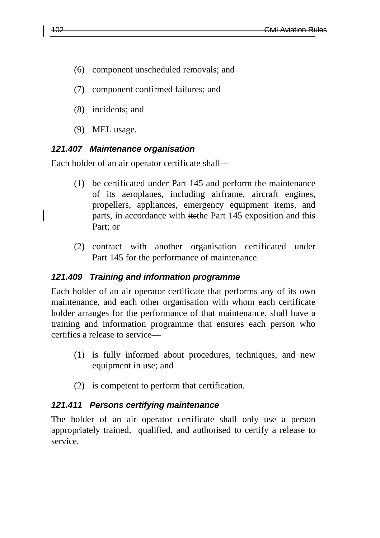- (6) component unscheduled removals; and
- (7) component confirmed failures; and
- (8) incidents; and
- (9) MEL usage.

#### *121.407 Maintenance organisation*

Each holder of an air operator certificate shall—

- (1) be certificated under Part 145 and perform the maintenance of its aeroplanes, including airframe, aircraft engines, propellers, appliances, emergency equipment items, and parts, in accordance with itsthe Part 145 exposition and this Part; or
- (2) contract with another organisation certificated under Part 145 for the performance of maintenance.

### *121.409 Training and information programme*

Each holder of an air operator certificate that performs any of its own maintenance, and each other organisation with whom each certificate holder arranges for the performance of that maintenance, shall have a training and information programme that ensures each person who certifies a release to service—

- (1) is fully informed about procedures, techniques, and new equipment in use; and
- (2) is competent to perform that certification.

#### *121.411 Persons certifying maintenance*

The holder of an air operator certificate shall only use a person appropriately trained, qualified, and authorised to certify a release to service.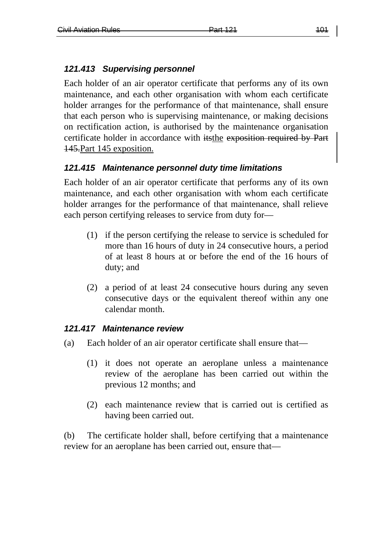## *121.413 Supervising personnel*

Each holder of an air operator certificate that performs any of its own maintenance, and each other organisation with whom each certificate holder arranges for the performance of that maintenance, shall ensure that each person who is supervising maintenance, or making decisions on rectification action, is authorised by the maintenance organisation certificate holder in accordance with itsthe exposition required by Part 145.Part 145 exposition.

## *121.415 Maintenance personnel duty time limitations*

Each holder of an air operator certificate that performs any of its own maintenance, and each other organisation with whom each certificate holder arranges for the performance of that maintenance, shall relieve each person certifying releases to service from duty for—

- (1) if the person certifying the release to service is scheduled for more than 16 hours of duty in 24 consecutive hours, a period of at least 8 hours at or before the end of the 16 hours of duty; and
- (2) a period of at least 24 consecutive hours during any seven consecutive days or the equivalent thereof within any one calendar month.

### *121.417 Maintenance review*

- (a) Each holder of an air operator certificate shall ensure that—
	- (1) it does not operate an aeroplane unless a maintenance review of the aeroplane has been carried out within the previous 12 months; and
	- (2) each maintenance review that is carried out is certified as having been carried out.

(b) The certificate holder shall, before certifying that a maintenance review for an aeroplane has been carried out, ensure that—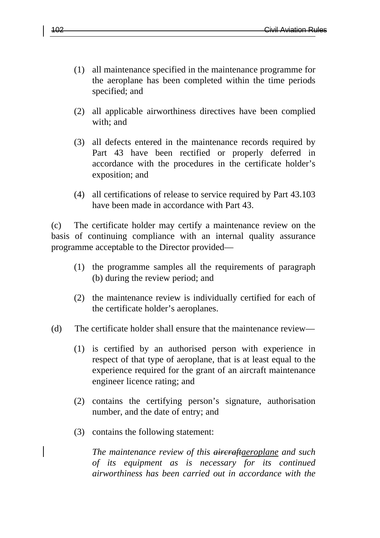- (1) all maintenance specified in the maintenance programme for the aeroplane has been completed within the time periods specified; and
- (2) all applicable airworthiness directives have been complied with; and
- (3) all defects entered in the maintenance records required by Part 43 have been rectified or properly deferred in accordance with the procedures in the certificate holder's exposition; and
- (4) all certifications of release to service required by Part 43.103 have been made in accordance with Part 43.

(c) The certificate holder may certify a maintenance review on the basis of continuing compliance with an internal quality assurance programme acceptable to the Director provided—

- (1) the programme samples all the requirements of paragraph (b) during the review period; and
- (2) the maintenance review is individually certified for each of the certificate holder's aeroplanes.
- (d) The certificate holder shall ensure that the maintenance review—
	- (1) is certified by an authorised person with experience in respect of that type of aeroplane, that is at least equal to the experience required for the grant of an aircraft maintenance engineer licence rating; and
	- (2) contains the certifying person's signature, authorisation number, and the date of entry; and
	- (3) contains the following statement:

*The maintenance review of this aircraftaeroplane and such of its equipment as is necessary for its continued airworthiness has been carried out in accordance with the*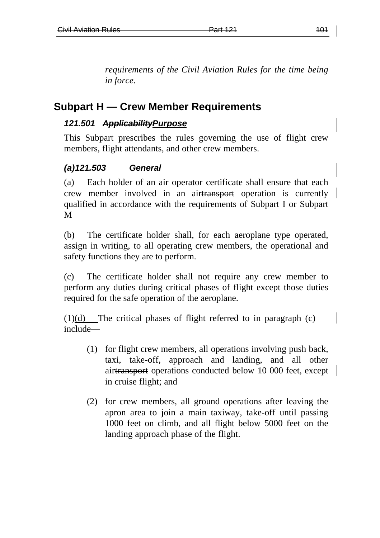*requirements of the Civil Aviation Rules for the time being in force.*

## **Subpart H — Crew Member Requirements**

#### *121.501 ApplicabilityPurpose*

This Subpart prescribes the rules governing the use of flight crew members, flight attendants, and other crew members.

### *(a)121.503 General*

(a) Each holder of an air operator certificate shall ensure that each crew member involved in an airtransport operation is currently qualified in accordance with the requirements of Subpart I or Subpart M

(b) The certificate holder shall, for each aeroplane type operated, assign in writing, to all operating crew members, the operational and safety functions they are to perform.

(c) The certificate holder shall not require any crew member to perform any duties during critical phases of flight except those duties required for the safe operation of the aeroplane.

 $(1)(d)$  The critical phases of flight referred to in paragraph (c) include—

- (1) for flight crew members, all operations involving push back, taxi, take-off, approach and landing, and all other airtransport operations conducted below 10 000 feet, except in cruise flight; and
- (2) for crew members, all ground operations after leaving the apron area to join a main taxiway, take-off until passing 1000 feet on climb, and all flight below 5000 feet on the landing approach phase of the flight.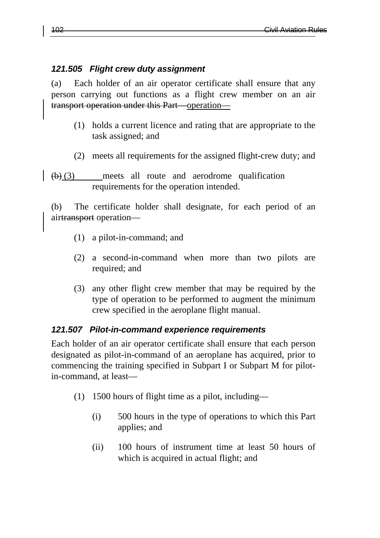#### *121.505 Flight crew duty assignment*

(a) Each holder of an air operator certificate shall ensure that any person carrying out functions as a flight crew member on an air transport operation under this Part—operation—

- (1) holds a current licence and rating that are appropriate to the task assigned; and
- (2) meets all requirements for the assigned flight-crew duty; and
- $\left(\frac{b}{c}\right)$  meets all route and aerodrome qualification requirements for the operation intended.

(b) The certificate holder shall designate, for each period of an airtransport operation—

- (1) a pilot-in-command; and
- (2) a second-in-command when more than two pilots are required; and
- (3) any other flight crew member that may be required by the type of operation to be performed to augment the minimum crew specified in the aeroplane flight manual.

### *121.507 Pilot-in-command experience requirements*

Each holder of an air operator certificate shall ensure that each person designated as pilot-in-command of an aeroplane has acquired, prior to commencing the training specified in Subpart I or Subpart M for pilotin-command, at least—

- (1) 1500 hours of flight time as a pilot, including—
	- (i) 500 hours in the type of operations to which this Part applies; and
	- (ii) 100 hours of instrument time at least 50 hours of which is acquired in actual flight; and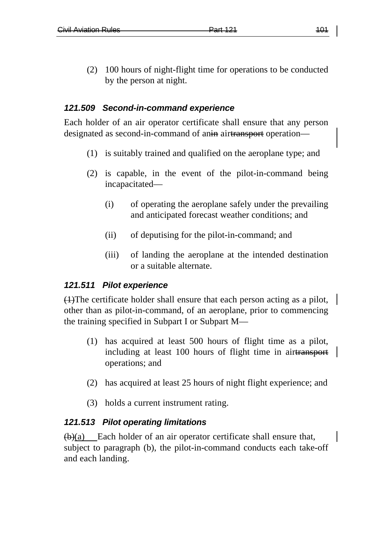(2) 100 hours of night-flight time for operations to be conducted by the person at night.

#### *121.509 Second-in-command experience*

Each holder of an air operator certificate shall ensure that any person designated as second-in-command of anin airtransport operation—

- (1) is suitably trained and qualified on the aeroplane type; and
- (2) is capable, in the event of the pilot-in-command being incapacitated—
	- (i) of operating the aeroplane safely under the prevailing and anticipated forecast weather conditions; and
	- (ii) of deputising for the pilot-in-command; and
	- (iii) of landing the aeroplane at the intended destination or a suitable alternate.

#### *121.511 Pilot experience*

(1)The certificate holder shall ensure that each person acting as a pilot, other than as pilot-in-command, of an aeroplane, prior to commencing the training specified in Subpart I or Subpart M—

- (1) has acquired at least 500 hours of flight time as a pilot, including at least 100 hours of flight time in airtransport operations; and
- (2) has acquired at least 25 hours of night flight experience; and
- (3) holds a current instrument rating.

#### *121.513 Pilot operating limitations*

 $(b)(a)$  Each holder of an air operator certificate shall ensure that, subject to paragraph (b), the pilot-in-command conducts each take-off and each landing.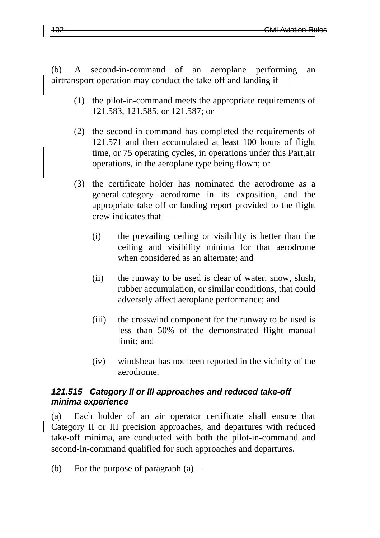(b) A second-in-command of an aeroplane performing an airtransport operation may conduct the take-off and landing if—

- (1) the pilot-in-command meets the appropriate requirements of 121.583, 121.585, or 121.587; or
- (2) the second-in-command has completed the requirements of 121.571 and then accumulated at least 100 hours of flight time, or 75 operating cycles, in operations under this Part, air operations, in the aeroplane type being flown; or
- (3) the certificate holder has nominated the aerodrome as a general-category aerodrome in its exposition, and the appropriate take-off or landing report provided to the flight crew indicates that—
	- (i) the prevailing ceiling or visibility is better than the ceiling and visibility minima for that aerodrome when considered as an alternate; and
	- (ii) the runway to be used is clear of water, snow, slush, rubber accumulation, or similar conditions, that could adversely affect aeroplane performance; and
	- (iii) the crosswind component for the runway to be used is less than 50% of the demonstrated flight manual limit; and
	- (iv) windshear has not been reported in the vicinity of the aerodrome.

#### *121.515 Category II or III approaches and reduced take-off minima experience*

(a) Each holder of an air operator certificate shall ensure that Category II or III precision approaches, and departures with reduced take-off minima, are conducted with both the pilot-in-command and second-in-command qualified for such approaches and departures.

(b) For the purpose of paragraph (a)—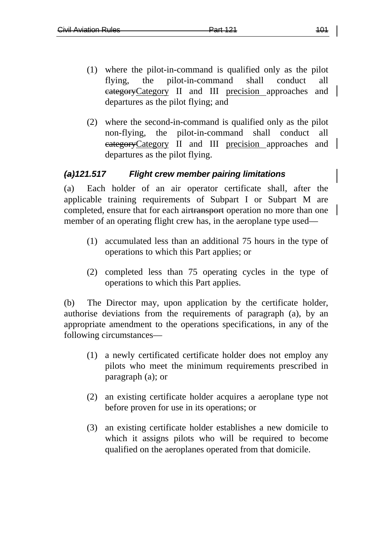- (1) where the pilot-in-command is qualified only as the pilot flying, the pilot-in-command shall conduct all categoryCategory II and III precision approaches and departures as the pilot flying; and
- (2) where the second-in-command is qualified only as the pilot non-flying, the pilot-in-command shall conduct all eategory Category II and III precision approaches and departures as the pilot flying.

### *(a)121.517 Flight crew member pairing limitations*

(a) Each holder of an air operator certificate shall, after the applicable training requirements of Subpart I or Subpart M are completed, ensure that for each airtransport operation no more than one member of an operating flight crew has, in the aeroplane type used—

- (1) accumulated less than an additional 75 hours in the type of operations to which this Part applies; or
- (2) completed less than 75 operating cycles in the type of operations to which this Part applies.

(b) The Director may, upon application by the certificate holder, authorise deviations from the requirements of paragraph (a), by an appropriate amendment to the operations specifications, in any of the following circumstances—

- (1) a newly certificated certificate holder does not employ any pilots who meet the minimum requirements prescribed in paragraph (a); or
- (2) an existing certificate holder acquires a aeroplane type not before proven for use in its operations; or
- (3) an existing certificate holder establishes a new domicile to which it assigns pilots who will be required to become qualified on the aeroplanes operated from that domicile.

 $\overline{\phantom{a}}$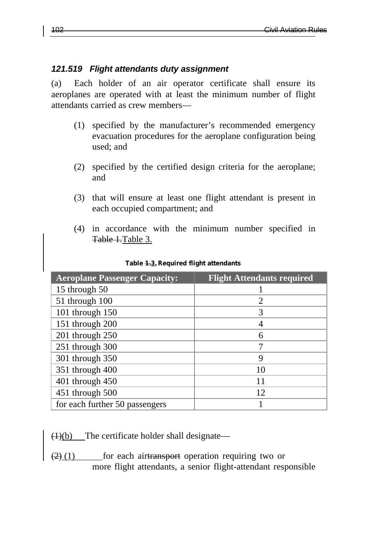#### *121.519 Flight attendants duty assignment*

(a) Each holder of an air operator certificate shall ensure its aeroplanes are operated with at least the minimum number of flight attendants carried as crew members—

- (1) specified by the manufacturer's recommended emergency evacuation procedures for the aeroplane configuration being used; and
- (2) specified by the certified design criteria for the aeroplane; and
- (3) that will ensure at least one flight attendant is present in each occupied compartment; and
- (4) in accordance with the minimum number specified in Table 1.Table 3.

| <b>Aeroplane Passenger Capacity:</b> | <b>Flight Attendants required</b> |
|--------------------------------------|-----------------------------------|
| 15 through 50                        |                                   |
| 51 through 100                       | 2                                 |
| 101 through 150                      | 3                                 |
| 151 through 200                      | 4                                 |
| 201 through 250                      | 6                                 |
| 251 through 300                      |                                   |
| 301 through 350                      | 9                                 |
| 351 through 400                      | 10                                |
| 401 through 450                      | 11                                |
| 451 through 500                      | 12                                |
| for each further 50 passengers       |                                   |

#### **Table 1.3.Required flight attendants**

 $(1)(b)$  The certificate holder shall designate—

 $\left(2\right)\left(1\right)$  for each airtransport operation requiring two or more flight attendants, a senior flight-attendant responsible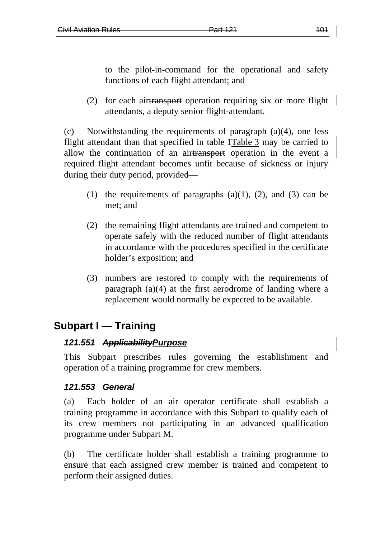to the pilot-in-command for the operational and safety functions of each flight attendant; and

(2) for each airtransport operation requiring six or more flight attendants, a deputy senior flight-attendant.

(c) Notwithstanding the requirements of paragraph (a)(4), one less flight attendant than that specified in table 1 Table 3 may be carried to allow the continuation of an airtransport operation in the event a required flight attendant becomes unfit because of sickness or injury during their duty period, provided—

- (1) the requirements of paragraphs  $(a)(1)$ ,  $(2)$ , and  $(3)$  can be met; and
- (2) the remaining flight attendants are trained and competent to operate safely with the reduced number of flight attendants in accordance with the procedures specified in the certificate holder's exposition; and
- (3) numbers are restored to comply with the requirements of paragraph (a)(4) at the first aerodrome of landing where a replacement would normally be expected to be available.

# **Subpart I — Training**

### *121.551 ApplicabilityPurpose*

This Subpart prescribes rules governing the establishment and operation of a training programme for crew members.

### *121.553 General*

(a) Each holder of an air operator certificate shall establish a training programme in accordance with this Subpart to qualify each of its crew members not participating in an advanced qualification programme under Subpart M.

(b) The certificate holder shall establish a training programme to ensure that each assigned crew member is trained and competent to perform their assigned duties.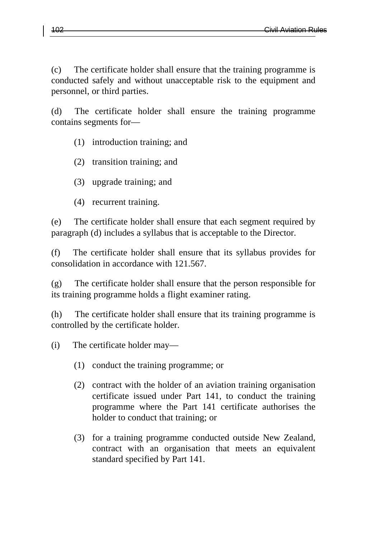(c) The certificate holder shall ensure that the training programme is conducted safely and without unacceptable risk to the equipment and personnel, or third parties.

(d) The certificate holder shall ensure the training programme contains segments for—

- (1) introduction training; and
- (2) transition training; and
- (3) upgrade training; and
- (4) recurrent training.

(e) The certificate holder shall ensure that each segment required by paragraph (d) includes a syllabus that is acceptable to the Director.

(f) The certificate holder shall ensure that its syllabus provides for consolidation in accordance with 121.567.

(g) The certificate holder shall ensure that the person responsible for its training programme holds a flight examiner rating.

(h) The certificate holder shall ensure that its training programme is controlled by the certificate holder.

(i) The certificate holder may—

- (1) conduct the training programme; or
- (2) contract with the holder of an aviation training organisation certificate issued under Part 141, to conduct the training programme where the Part 141 certificate authorises the holder to conduct that training; or
- (3) for a training programme conducted outside New Zealand, contract with an organisation that meets an equivalent standard specified by Part 141.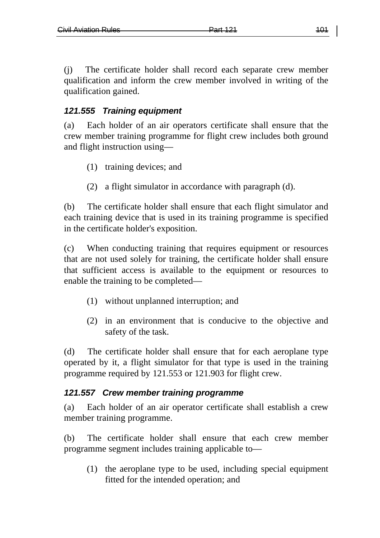(j) The certificate holder shall record each separate crew member qualification and inform the crew member involved in writing of the qualification gained.

#### *121.555 Training equipment*

(a) Each holder of an air operators certificate shall ensure that the crew member training programme for flight crew includes both ground and flight instruction using—

- (1) training devices; and
- (2) a flight simulator in accordance with paragraph (d).

(b) The certificate holder shall ensure that each flight simulator and each training device that is used in its training programme is specified in the certificate holder's exposition.

(c) When conducting training that requires equipment or resources that are not used solely for training, the certificate holder shall ensure that sufficient access is available to the equipment or resources to enable the training to be completed—

- (1) without unplanned interruption; and
- (2) in an environment that is conducive to the objective and safety of the task.

(d) The certificate holder shall ensure that for each aeroplane type operated by it, a flight simulator for that type is used in the training programme required by 121.553 or 121.903 for flight crew.

#### *121.557 Crew member training programme*

(a) Each holder of an air operator certificate shall establish a crew member training programme.

(b) The certificate holder shall ensure that each crew member programme segment includes training applicable to—

(1) the aeroplane type to be used, including special equipment fitted for the intended operation; and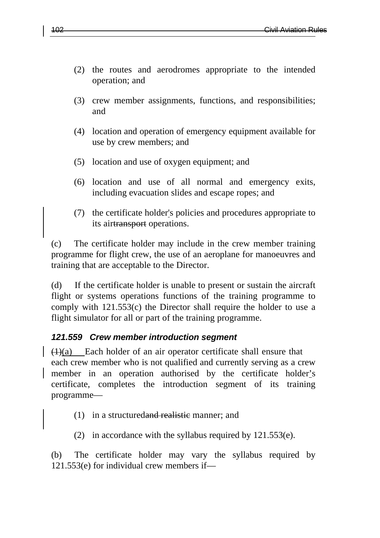- (2) the routes and aerodromes appropriate to the intended operation; and
- (3) crew member assignments, functions, and responsibilities; and
- (4) location and operation of emergency equipment available for use by crew members; and
- (5) location and use of oxygen equipment; and
- (6) location and use of all normal and emergency exits, including evacuation slides and escape ropes; and
- (7) the certificate holder's policies and procedures appropriate to its airtransport operations.

(c) The certificate holder may include in the crew member training programme for flight crew, the use of an aeroplane for manoeuvres and training that are acceptable to the Director.

(d) If the certificate holder is unable to present or sustain the aircraft flight or systems operations functions of the training programme to comply with 121.553(c) the Director shall require the holder to use a flight simulator for all or part of the training programme.

### *121.559 Crew member introduction segment*

 $(1)(a)$  Each holder of an air operator certificate shall ensure that each crew member who is not qualified and currently serving as a crew member in an operation authorised by the certificate holder's certificate, completes the introduction segment of its training programme—

- (1) in a structuredand realistic manner; and
- (2) in accordance with the syllabus required by 121.553(e).

(b) The certificate holder may vary the syllabus required by 121.553(e) for individual crew members if—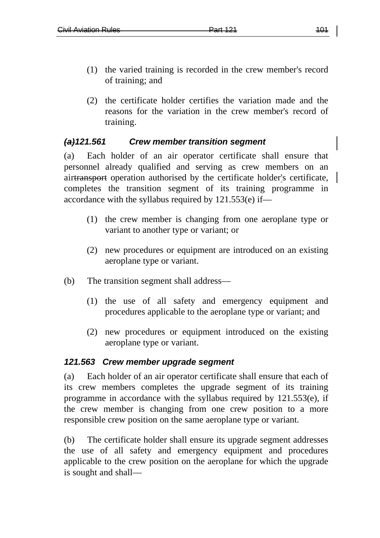- (1) the varied training is recorded in the crew member's record of training; and
- (2) the certificate holder certifies the variation made and the reasons for the variation in the crew member's record of training.

#### *(a)121.561 Crew member transition segment*

(a) Each holder of an air operator certificate shall ensure that personnel already qualified and serving as crew members on an airtransport operation authorised by the certificate holder's certificate, completes the transition segment of its training programme in accordance with the syllabus required by 121.553(e) if—

- (1) the crew member is changing from one aeroplane type or variant to another type or variant; or
- (2) new procedures or equipment are introduced on an existing aeroplane type or variant.
- (b) The transition segment shall address—
	- (1) the use of all safety and emergency equipment and procedures applicable to the aeroplane type or variant; and
	- (2) new procedures or equipment introduced on the existing aeroplane type or variant.

#### *121.563 Crew member upgrade segment*

(a) Each holder of an air operator certificate shall ensure that each of its crew members completes the upgrade segment of its training programme in accordance with the syllabus required by 121.553(e), if the crew member is changing from one crew position to a more responsible crew position on the same aeroplane type or variant.

(b) The certificate holder shall ensure its upgrade segment addresses the use of all safety and emergency equipment and procedures applicable to the crew position on the aeroplane for which the upgrade is sought and shall—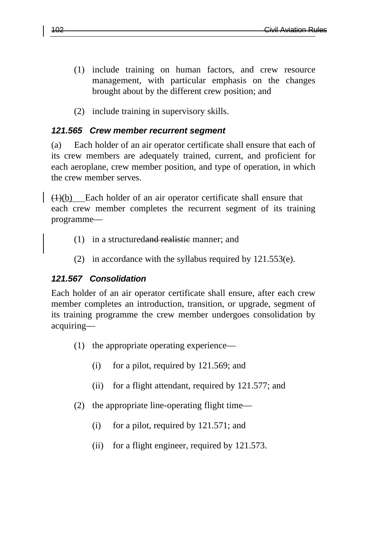- (1) include training on human factors, and crew resource management, with particular emphasis on the changes brought about by the different crew position; and
- (2) include training in supervisory skills.

#### *121.565 Crew member recurrent segment*

(a) Each holder of an air operator certificate shall ensure that each of its crew members are adequately trained, current, and proficient for each aeroplane, crew member position, and type of operation, in which the crew member serves.

 $\left(\frac{1}{b}\right)$  Each holder of an air operator certificate shall ensure that each crew member completes the recurrent segment of its training programme—

- (1) in a structuredand realistic manner; and
- (2) in accordance with the syllabus required by 121.553(e).

### *121.567 Consolidation*

Each holder of an air operator certificate shall ensure, after each crew member completes an introduction, transition, or upgrade, segment of its training programme the crew member undergoes consolidation by acquiring—

- (1) the appropriate operating experience—
	- (i) for a pilot, required by 121.569; and
	- (ii) for a flight attendant, required by 121.577; and
- (2) the appropriate line-operating flight time—
	- (i) for a pilot, required by 121.571; and
	- (ii) for a flight engineer, required by 121.573.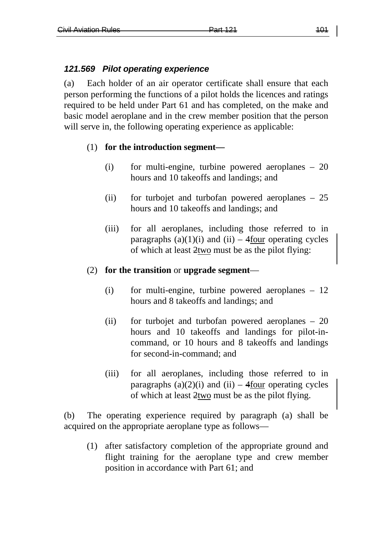#### *121.569 Pilot operating experience*

(a) Each holder of an air operator certificate shall ensure that each person performing the functions of a pilot holds the licences and ratings required to be held under Part 61 and has completed, on the make and basic model aeroplane and in the crew member position that the person will serve in, the following operating experience as applicable:

#### (1) **for the introduction segment—**

- (i) for multi-engine, turbine powered aeroplanes 20 hours and 10 takeoffs and landings; and
- (ii) for turbojet and turbofan powered aeroplanes 25 hours and 10 takeoffs and landings; and
- (iii) for all aeroplanes, including those referred to in paragraphs  $(a)(1)(i)$  and  $(ii)$  – 4four operating cycles of which at least 2two must be as the pilot flying:

#### (2) **for the transition** or **upgrade segment**—

- (i) for multi-engine, turbine powered aeroplanes 12 hours and 8 takeoffs and landings; and
- (ii) for turbojet and turbofan powered aeroplanes 20 hours and 10 takeoffs and landings for pilot-incommand, or 10 hours and 8 takeoffs and landings for second-in-command; and
- (iii) for all aeroplanes, including those referred to in paragraphs  $(a)(2)(i)$  and  $(ii)$  – 4four operating cycles of which at least 2two must be as the pilot flying.

(b) The operating experience required by paragraph (a) shall be acquired on the appropriate aeroplane type as follows—

(1) after satisfactory completion of the appropriate ground and flight training for the aeroplane type and crew member position in accordance with Part 61; and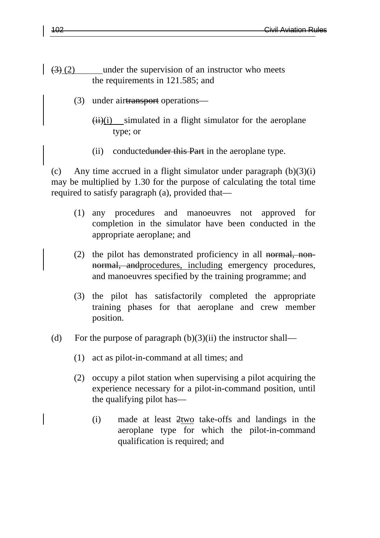- $\left(\frac{3}{2}\right)$  (2) under the supervision of an instructor who meets the requirements in 121.585; and
	- (3) under airtransport operations—
		- $\overline{(ii)}$ (i) simulated in a flight simulator for the aeroplane type; or
		- $(ii)$  conductedunder this Part in the aeroplane type.

(c) Any time accrued in a flight simulator under paragraph  $(b)(3)(i)$ may be multiplied by 1.30 for the purpose of calculating the total time required to satisfy paragraph (a), provided that—

- (1) any procedures and manoeuvres not approved for completion in the simulator have been conducted in the appropriate aeroplane; and
- (2) the pilot has demonstrated proficiency in all normal, nonnormal, andprocedures, including emergency procedures, and manoeuvres specified by the training programme; and
- (3) the pilot has satisfactorily completed the appropriate training phases for that aeroplane and crew member position.
- (d) For the purpose of paragraph  $(b)(3)(ii)$  the instructor shall—
	- (1) act as pilot-in-command at all times; and
	- (2) occupy a pilot station when supervising a pilot acquiring the experience necessary for a pilot-in-command position, until the qualifying pilot has—
		- (i) made at least 2two take-offs and landings in the aeroplane type for which the pilot-in-command qualification is required; and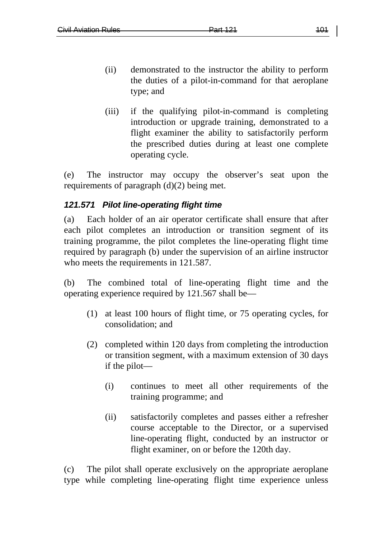- (ii) demonstrated to the instructor the ability to perform the duties of a pilot-in-command for that aeroplane type; and
- (iii) if the qualifying pilot-in-command is completing introduction or upgrade training, demonstrated to a flight examiner the ability to satisfactorily perform the prescribed duties during at least one complete operating cycle.

(e) The instructor may occupy the observer's seat upon the requirements of paragraph (d)(2) being met.

## *121.571 Pilot line-operating flight time*

(a) Each holder of an air operator certificate shall ensure that after each pilot completes an introduction or transition segment of its training programme, the pilot completes the line-operating flight time required by paragraph (b) under the supervision of an airline instructor who meets the requirements in 121.587.

(b) The combined total of line-operating flight time and the operating experience required by 121.567 shall be—

- (1) at least 100 hours of flight time, or 75 operating cycles, for consolidation; and
- (2) completed within 120 days from completing the introduction or transition segment, with a maximum extension of 30 days if the pilot—
	- (i) continues to meet all other requirements of the training programme; and
	- (ii) satisfactorily completes and passes either a refresher course acceptable to the Director, or a supervised line-operating flight, conducted by an instructor or flight examiner, on or before the 120th day.

(c) The pilot shall operate exclusively on the appropriate aeroplane type while completing line-operating flight time experience unless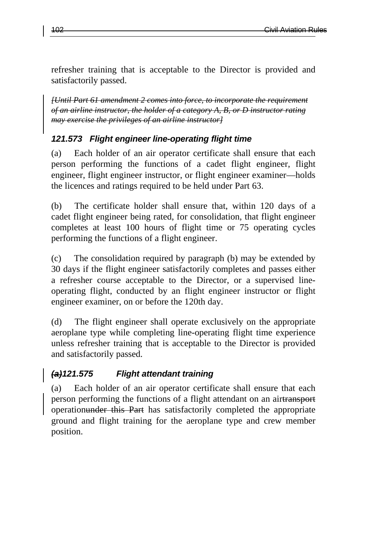refresher training that is acceptable to the Director is provided and satisfactorily passed.

*[Until Part 61 amendment 2 comes into force, to incorporate the requirement of an airline instructor, the holder of a category A, B, or D instructor rating may exercise the privileges of an airline instructor]*

## *121.573 Flight engineer line-operating flight time*

(a) Each holder of an air operator certificate shall ensure that each person performing the functions of a cadet flight engineer, flight engineer, flight engineer instructor, or flight engineer examiner—holds the licences and ratings required to be held under Part 63.

(b) The certificate holder shall ensure that, within 120 days of a cadet flight engineer being rated, for consolidation, that flight engineer completes at least 100 hours of flight time or 75 operating cycles performing the functions of a flight engineer.

(c) The consolidation required by paragraph (b) may be extended by 30 days if the flight engineer satisfactorily completes and passes either a refresher course acceptable to the Director, or a supervised lineoperating flight, conducted by an flight engineer instructor or flight engineer examiner, on or before the 120th day.

(d) The flight engineer shall operate exclusively on the appropriate aeroplane type while completing line-operating flight time experience unless refresher training that is acceptable to the Director is provided and satisfactorily passed.

## *(a)121.575 Flight attendant training*

(a) Each holder of an air operator certificate shall ensure that each person performing the functions of a flight attendant on an airtransport operationunder this Part has satisfactorily completed the appropriate ground and flight training for the aeroplane type and crew member position.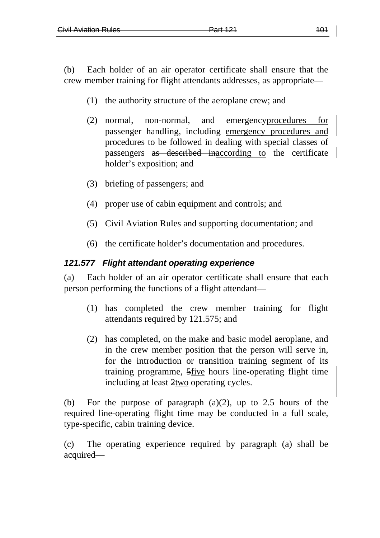(b) Each holder of an air operator certificate shall ensure that the crew member training for flight attendants addresses, as appropriate—

- (1) the authority structure of the aeroplane crew; and
- (2) normal, non-normal, and emergencyprocedures for passenger handling, including emergency procedures and procedures to be followed in dealing with special classes of passengers as described inaccording to the certificate holder's exposition; and
- (3) briefing of passengers; and
- (4) proper use of cabin equipment and controls; and
- (5) Civil Aviation Rules and supporting documentation; and
- (6) the certificate holder's documentation and procedures.

#### *121.577 Flight attendant operating experience*

(a) Each holder of an air operator certificate shall ensure that each person performing the functions of a flight attendant—

- (1) has completed the crew member training for flight attendants required by 121.575; and
- (2) has completed, on the make and basic model aeroplane, and in the crew member position that the person will serve in, for the introduction or transition training segment of its training programme, 5five hours line-operating flight time including at least 2two operating cycles.

(b) For the purpose of paragraph  $(a)(2)$ , up to 2.5 hours of the required line-operating flight time may be conducted in a full scale, type-specific, cabin training device.

(c) The operating experience required by paragraph (a) shall be acquired—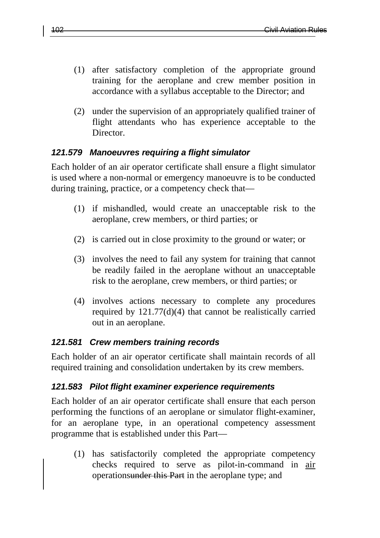- (1) after satisfactory completion of the appropriate ground training for the aeroplane and crew member position in accordance with a syllabus acceptable to the Director; and
- (2) under the supervision of an appropriately qualified trainer of flight attendants who has experience acceptable to the Director.

#### *121.579 Manoeuvres requiring a flight simulator*

Each holder of an air operator certificate shall ensure a flight simulator is used where a non-normal or emergency manoeuvre is to be conducted during training, practice, or a competency check that—

- (1) if mishandled, would create an unacceptable risk to the aeroplane, crew members, or third parties; or
- (2) is carried out in close proximity to the ground or water; or
- (3) involves the need to fail any system for training that cannot be readily failed in the aeroplane without an unacceptable risk to the aeroplane, crew members, or third parties; or
- (4) involves actions necessary to complete any procedures required by 121.77(d)(4) that cannot be realistically carried out in an aeroplane.

### *121.581 Crew members training records*

Each holder of an air operator certificate shall maintain records of all required training and consolidation undertaken by its crew members.

### *121.583 Pilot flight examiner experience requirements*

Each holder of an air operator certificate shall ensure that each person performing the functions of an aeroplane or simulator flight-examiner, for an aeroplane type, in an operational competency assessment programme that is established under this Part—

(1) has satisfactorily completed the appropriate competency checks required to serve as pilot-in-command in air operationsunder this Part in the aeroplane type; and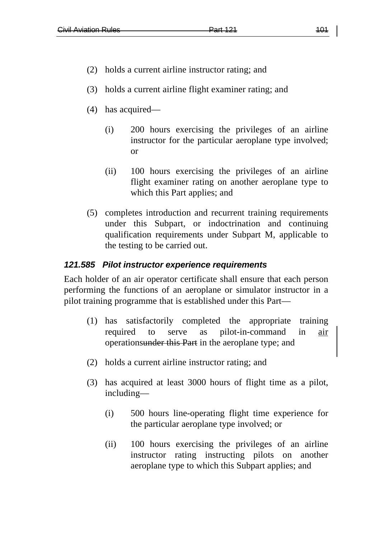- (2) holds a current airline instructor rating; and
- (3) holds a current airline flight examiner rating; and
- (4) has acquired—
	- (i) 200 hours exercising the privileges of an airline instructor for the particular aeroplane type involved; or
	- (ii) 100 hours exercising the privileges of an airline flight examiner rating on another aeroplane type to which this Part applies; and
- (5) completes introduction and recurrent training requirements under this Subpart, or indoctrination and continuing qualification requirements under Subpart M, applicable to the testing to be carried out.

#### *121.585 Pilot instructor experience requirements*

Each holder of an air operator certificate shall ensure that each person performing the functions of an aeroplane or simulator instructor in a pilot training programme that is established under this Part—

- (1) has satisfactorily completed the appropriate training required to serve as pilot-in-command in air operationsunder this Part in the aeroplane type; and
- (2) holds a current airline instructor rating; and
- (3) has acquired at least 3000 hours of flight time as a pilot, including—
	- (i) 500 hours line-operating flight time experience for the particular aeroplane type involved; or
	- (ii) 100 hours exercising the privileges of an airline instructor rating instructing pilots on another aeroplane type to which this Subpart applies; and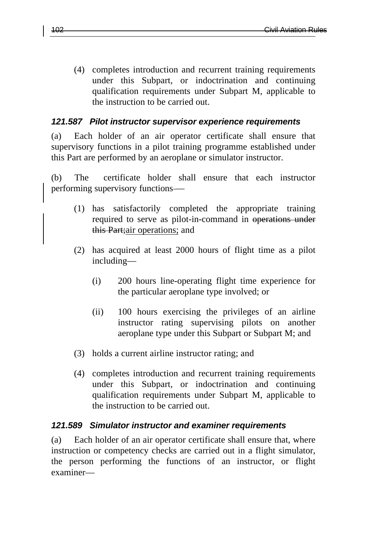(4) completes introduction and recurrent training requirements under this Subpart, or indoctrination and continuing qualification requirements under Subpart M, applicable to the instruction to be carried out.

#### *121.587 Pilot instructor supervisor experience requirements*

(a) Each holder of an air operator certificate shall ensure that supervisory functions in a pilot training programme established under this Part are performed by an aeroplane or simulator instructor.

(b) The certificate holder shall ensure that each instructor performing supervisory functions —

- (1) has satisfactorily completed the appropriate training required to serve as pilot-in-command in operations under this Part;air operations; and
- (2) has acquired at least 2000 hours of flight time as a pilot including—
	- (i) 200 hours line-operating flight time experience for the particular aeroplane type involved; or
	- (ii) 100 hours exercising the privileges of an airline instructor rating supervising pilots on another aeroplane type under this Subpart or Subpart M; and
- (3) holds a current airline instructor rating; and
- (4) completes introduction and recurrent training requirements under this Subpart, or indoctrination and continuing qualification requirements under Subpart M, applicable to the instruction to be carried out.

#### *121.589 Simulator instructor and examiner requirements*

(a) Each holder of an air operator certificate shall ensure that, where instruction or competency checks are carried out in a flight simulator, the person performing the functions of an instructor, or flight examiner—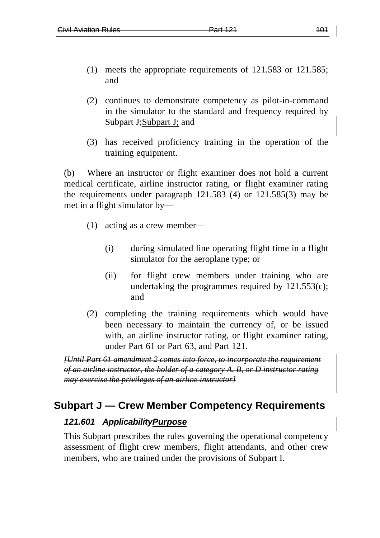- (1) meets the appropriate requirements of 121.583 or 121.585; and
- (2) continues to demonstrate competency as pilot-in-command in the simulator to the standard and frequency required by Subpart J; Subpart J; and
- (3) has received proficiency training in the operation of the training equipment.

(b) Where an instructor or flight examiner does not hold a current medical certificate, airline instructor rating, or flight examiner rating the requirements under paragraph 121.583 (4) or 121.585(3) may be met in a flight simulator by—

- (1) acting as a crew member—
	- (i) during simulated line operating flight time in a flight simulator for the aeroplane type; or
	- (ii) for flight crew members under training who are undertaking the programmes required by 121.553(c); and
- (2) completing the training requirements which would have been necessary to maintain the currency of, or be issued with, an airline instructor rating, or flight examiner rating, under Part 61 or Part 63, and Part 121.

*[Until Part 61 amendment 2 comes into force, to incorporate the requirement of an airline instructor, the holder of a category A, B, or D instructor rating may exercise the privileges of an airline instructor]*

# **Subpart J — Crew Member Competency Requirements**

# *121.601 ApplicabilityPurpose*

This Subpart prescribes the rules governing the operational competency assessment of flight crew members, flight attendants, and other crew members, who are trained under the provisions of Subpart I.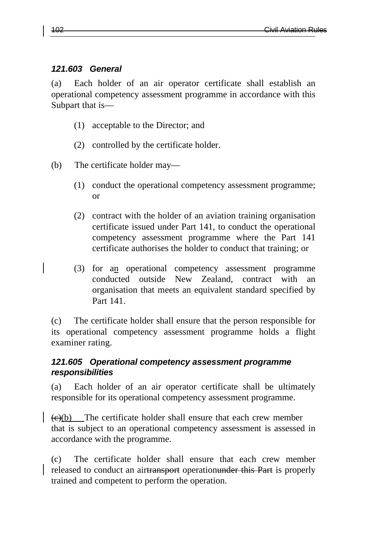#### *121.603 General*

(a) Each holder of an air operator certificate shall establish an operational competency assessment programme in accordance with this Subpart that is—

- (1) acceptable to the Director; and
- (2) controlled by the certificate holder.
- (b) The certificate holder may—
	- (1) conduct the operational competency assessment programme; or
	- (2) contract with the holder of an aviation training organisation certificate issued under Part 141, to conduct the operational competency assessment programme where the Part 141 certificate authorises the holder to conduct that training; or
	- (3) for an operational competency assessment programme conducted outside New Zealand, contract with an organisation that meets an equivalent standard specified by Part 141.

(c) The certificate holder shall ensure that the person responsible for its operational competency assessment programme holds a flight examiner rating.

### *121.605 Operational competency assessment programme responsibilities*

(a) Each holder of an air operator certificate shall be ultimately responsible for its operational competency assessment programme.

 $\left(\frac{1}{\epsilon}\right)(b)$  The certificate holder shall ensure that each crew member that is subject to an operational competency assessment is assessed in accordance with the programme.

(c) The certificate holder shall ensure that each crew member released to conduct an airtransport operationunder this Part is properly trained and competent to perform the operation.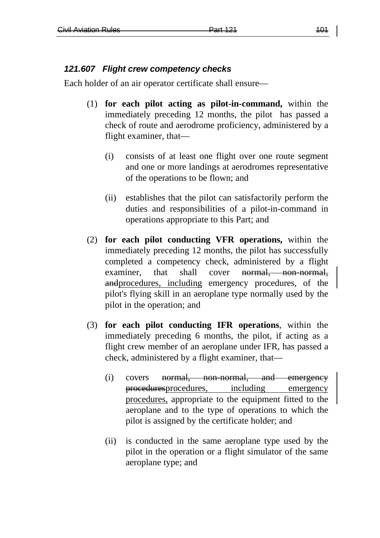#### *121.607 Flight crew competency checks*

Each holder of an air operator certificate shall ensure—

- (1) **for each pilot acting as pilot-in-command,** within the immediately preceding 12 months, the pilot has passed a check of route and aerodrome proficiency, administered by a flight examiner, that—
	- (i) consists of at least one flight over one route segment and one or more landings at aerodromes representative of the operations to be flown; and
	- (ii) establishes that the pilot can satisfactorily perform the duties and responsibilities of a pilot-in-command in operations appropriate to this Part; and
- (2) **for each pilot conducting VFR operations,** within the immediately preceding 12 months, the pilot has successfully completed a competency check, administered by a flight examiner, that shall cover normal, non-normal, andprocedures, including emergency procedures, of the pilot's flying skill in an aeroplane type normally used by the pilot in the operation; and
- (3) **for each pilot conducting IFR operations**, within the immediately preceding 6 months, the pilot, if acting as a flight crew member of an aeroplane under IFR, has passed a check, administered by a flight examiner, that—
	- (i) covers <del>normal, non-normal, and emergency</del> proceduresprocedures, including emergency procedures, appropriate to the equipment fitted to the aeroplane and to the type of operations to which the pilot is assigned by the certificate holder; and
	- (ii) is conducted in the same aeroplane type used by the pilot in the operation or a flight simulator of the same aeroplane type; and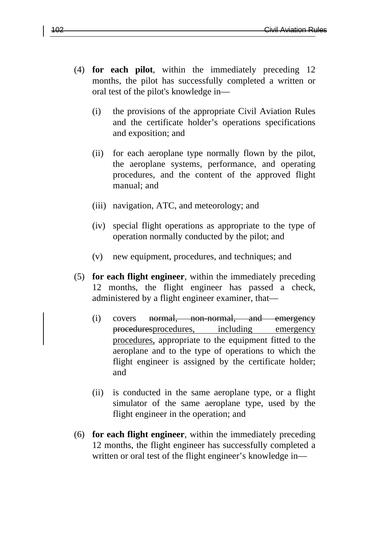- (4) **for each pilot**, within the immediately preceding 12 months, the pilot has successfully completed a written or oral test of the pilot's knowledge in—
	- (i) the provisions of the appropriate Civil Aviation Rules and the certificate holder's operations specifications and exposition; and
	- (ii) for each aeroplane type normally flown by the pilot, the aeroplane systems, performance, and operating procedures, and the content of the approved flight manual; and
	- (iii) navigation, ATC, and meteorology; and
	- (iv) special flight operations as appropriate to the type of operation normally conducted by the pilot; and
	- (v) new equipment, procedures, and techniques; and
- (5) **for each flight engineer**, within the immediately preceding 12 months, the flight engineer has passed a check, administered by a flight engineer examiner, that—
	- (i) covers normal, non-normal, and emergency proceduresprocedures, including emergency procedures, appropriate to the equipment fitted to the aeroplane and to the type of operations to which the flight engineer is assigned by the certificate holder; and
	- (ii) is conducted in the same aeroplane type, or a flight simulator of the same aeroplane type, used by the flight engineer in the operation; and
- (6) **for each flight engineer**, within the immediately preceding 12 months, the flight engineer has successfully completed a written or oral test of the flight engineer's knowledge in—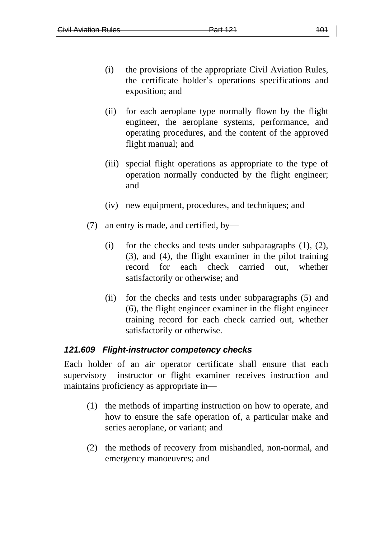- (i) the provisions of the appropriate Civil Aviation Rules, the certificate holder's operations specifications and exposition; and
- (ii) for each aeroplane type normally flown by the flight engineer, the aeroplane systems, performance, and operating procedures, and the content of the approved flight manual; and
- (iii) special flight operations as appropriate to the type of operation normally conducted by the flight engineer; and
- (iv) new equipment, procedures, and techniques; and
- (7) an entry is made, and certified, by—
	- (i) for the checks and tests under subparagraphs (1), (2), (3), and (4), the flight examiner in the pilot training record for each check carried out, whether satisfactorily or otherwise; and
	- (ii) for the checks and tests under subparagraphs (5) and (6), the flight engineer examiner in the flight engineer training record for each check carried out, whether satisfactorily or otherwise.

# *121.609 Flight-instructor competency checks*

Each holder of an air operator certificate shall ensure that each supervisory instructor or flight examiner receives instruction and maintains proficiency as appropriate in—

- (1) the methods of imparting instruction on how to operate, and how to ensure the safe operation of, a particular make and series aeroplane, or variant; and
- (2) the methods of recovery from mishandled, non-normal, and emergency manoeuvres; and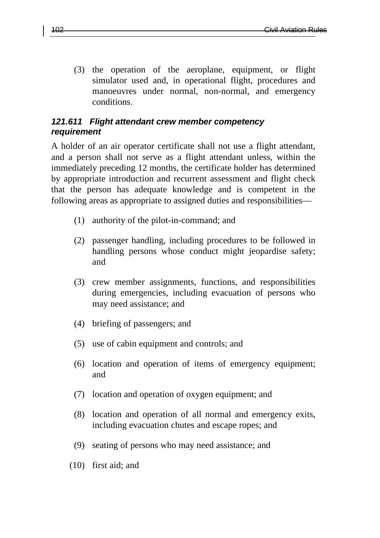(3) the operation of the aeroplane, equipment, or flight simulator used and, in operational flight, procedures and manoeuvres under normal, non-normal, and emergency conditions.

### *121.611 Flight attendant crew member competency requirement*

A holder of an air operator certificate shall not use a flight attendant, and a person shall not serve as a flight attendant unless, within the immediately preceding 12 months, the certificate holder has determined by appropriate introduction and recurrent assessment and flight check that the person has adequate knowledge and is competent in the following areas as appropriate to assigned duties and responsibilities—

- (1) authority of the pilot-in-command; and
- (2) passenger handling, including procedures to be followed in handling persons whose conduct might jeopardise safety; and
- (3) crew member assignments, functions, and responsibilities during emergencies, including evacuation of persons who may need assistance; and
- (4) briefing of passengers; and
- (5) use of cabin equipment and controls; and
- (6) location and operation of items of emergency equipment; and
- (7) location and operation of oxygen equipment; and
- (8) location and operation of all normal and emergency exits, including evacuation chutes and escape ropes; and
- (9) seating of persons who may need assistance; and
- (10) first aid; and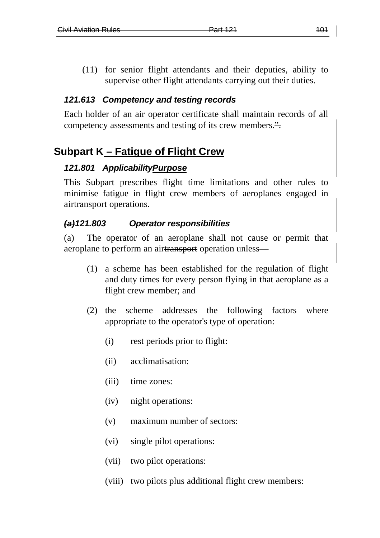(11) for senior flight attendants and their deputies, ability to supervise other flight attendants carrying out their duties.

### *121.613 Competency and testing records*

Each holder of an air operator certificate shall maintain records of all competency assessments and testing of its crew members.".

# **Subpart K – Fatigue of Flight Crew**

#### *121.801 ApplicabilityPurpose*

This Subpart prescribes flight time limitations and other rules to minimise fatigue in flight crew members of aeroplanes engaged in airtransport operations.

#### *(a)121.803 Operator responsibilities*

(a) The operator of an aeroplane shall not cause or permit that aeroplane to perform an airtransport operation unless—

- (1) a scheme has been established for the regulation of flight and duty times for every person flying in that aeroplane as a flight crew member; and
- (2) the scheme addresses the following factors where appropriate to the operator's type of operation:
	- (i) rest periods prior to flight:
	- (ii) acclimatisation:
	- (iii) time zones:
	- (iv) night operations:
	- (v) maximum number of sectors:
	- (vi) single pilot operations:
	- (vii) two pilot operations:
	- (viii) two pilots plus additional flight crew members: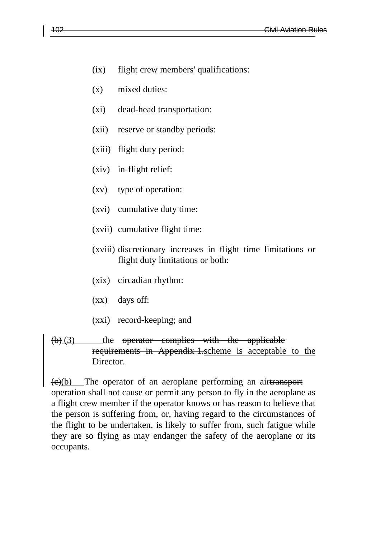- (ix) flight crew members' qualifications:
- (x) mixed duties:
- (xi) dead-head transportation:
- (xii) reserve or standby periods:
- (xiii) flight duty period:
- (xiv) in-flight relief:
- (xv) type of operation:
- (xvi) cumulative duty time:
- (xvii) cumulative flight time:
- (xviii) discretionary increases in flight time limitations or flight duty limitations or both:
- (xix) circadian rhythm:
- (xx) days off:
- (xxi) record-keeping; and

#### $(b)$  (3) the operator complies with the applicable requirements in Appendix 1.scheme is acceptable to the Director.

(c)(b) The operator of an aeroplane performing an airtransport operation shall not cause or permit any person to fly in the aeroplane as a flight crew member if the operator knows or has reason to believe that the person is suffering from, or, having regard to the circumstances of the flight to be undertaken, is likely to suffer from, such fatigue while they are so flying as may endanger the safety of the aeroplane or its occupants.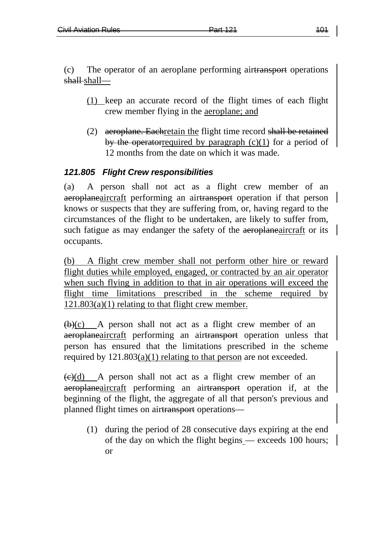(c) The operator of an aeroplane performing airtransport operations shall-shall—

- (1) keep an accurate record of the flight times of each flight crew member flying in the aeroplane; and
- (2) aeroplane. Eachretain the flight time record shall be retained by the operatorrequired by paragraph  $(c)(1)$  for a period of 12 months from the date on which it was made.

# *121.805 Flight Crew responsibilities*

(a) A person shall not act as a flight crew member of an aeroplaneaircraft performing an airtransport operation if that person knows or suspects that they are suffering from, or, having regard to the circumstances of the flight to be undertaken, are likely to suffer from, such fatigue as may endanger the safety of the aeroplaneaircraft or its occupants.

(b) A flight crew member shall not perform other hire or reward flight duties while employed, engaged, or contracted by an air operator when such flying in addition to that in air operations will exceed the flight time limitations prescribed in the scheme required by  $121.803(a)(1)$  relating to that flight crew member.

 $\overline{(b)(c)}$  A person shall not act as a flight crew member of an aeroplaneaircraft performing an airtransport operation unless that person has ensured that the limitations prescribed in the scheme required by  $121.803(a)(1)$  relating to that person are not exceeded.

 $\left(\frac{e}{e}\right)$  A person shall not act as a flight crew member of an aeroplaneaircraft performing an airtransport operation if, at the beginning of the flight, the aggregate of all that person's previous and planned flight times on airtransport operations—

(1) during the period of 28 consecutive days expiring at the end of the day on which the flight begins — exceeds 100 hours; or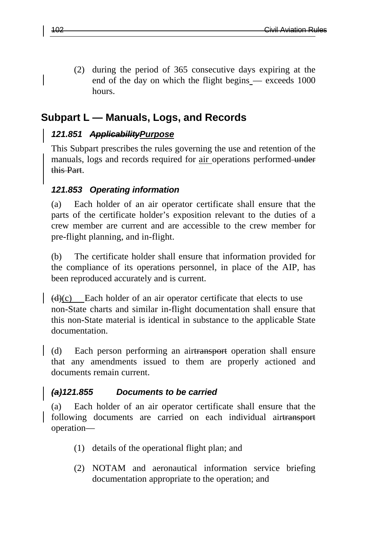(2) during the period of 365 consecutive days expiring at the end of the day on which the flight begins — exceeds 1000 hours.

# **Subpart L — Manuals, Logs, and Records**

# *121.851 ApplicabilityPurpose*

This Subpart prescribes the rules governing the use and retention of the manuals, logs and records required for <u>air</u> operations performed under this Part.

# *121.853 Operating information*

(a) Each holder of an air operator certificate shall ensure that the parts of the certificate holder's exposition relevant to the duties of a crew member are current and are accessible to the crew member for pre-flight planning, and in-flight.

(b) The certificate holder shall ensure that information provided for the compliance of its operations personnel, in place of the AIP, has been reproduced accurately and is current.

 $(d)(c)$  Each holder of an air operator certificate that elects to use non-State charts and similar in-flight documentation shall ensure that this non-State material is identical in substance to the applicable State documentation.

(d) Each person performing an airtransport operation shall ensure that any amendments issued to them are properly actioned and documents remain current.

# *(a)121.855 Documents to be carried*

(a) Each holder of an air operator certificate shall ensure that the following documents are carried on each individual airtransport operation—

- (1) details of the operational flight plan; and
- (2) NOTAM and aeronautical information service briefing documentation appropriate to the operation; and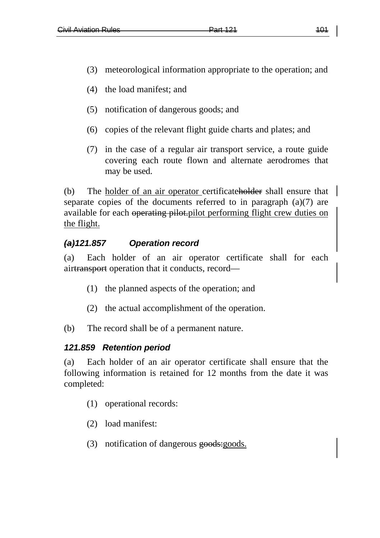- (3) meteorological information appropriate to the operation; and
- (4) the load manifest; and
- (5) notification of dangerous goods; and
- (6) copies of the relevant flight guide charts and plates; and
- (7) in the case of a regular air transport service, a route guide covering each route flown and alternate aerodromes that may be used.

(b) The holder of an air operator certificateholder shall ensure that separate copies of the documents referred to in paragraph (a)(7) are available for each operating pilot.pilot performing flight crew duties on the flight.

# *(a)121.857 Operation record*

(a) Each holder of an air operator certificate shall for each airtransport operation that it conducts, record—

- (1) the planned aspects of the operation; and
- (2) the actual accomplishment of the operation.
- (b) The record shall be of a permanent nature.

#### *121.859 Retention period*

(a) Each holder of an air operator certificate shall ensure that the following information is retained for 12 months from the date it was completed:

- (1) operational records:
- (2) load manifest:
- (3) notification of dangerous goods: goods.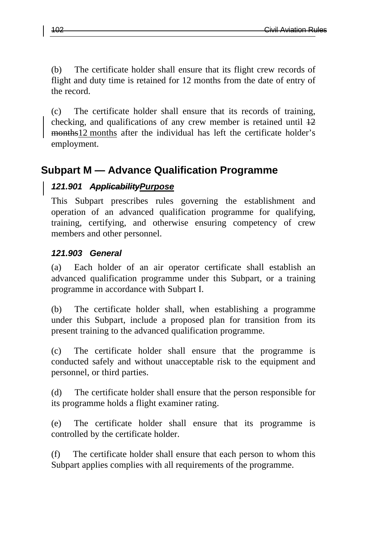(b) The certificate holder shall ensure that its flight crew records of flight and duty time is retained for 12 months from the date of entry of the record.

(c) The certificate holder shall ensure that its records of training, checking, and qualifications of any crew member is retained until  $\frac{12}{12}$ months<sup>12</sup> months after the individual has left the certificate holder's employment.

# **Subpart M — Advance Qualification Programme**

# *121.901 ApplicabilityPurpose*

This Subpart prescribes rules governing the establishment and operation of an advanced qualification programme for qualifying, training, certifying, and otherwise ensuring competency of crew members and other personnel.

# *121.903 General*

(a) Each holder of an air operator certificate shall establish an advanced qualification programme under this Subpart, or a training programme in accordance with Subpart I.

(b) The certificate holder shall, when establishing a programme under this Subpart, include a proposed plan for transition from its present training to the advanced qualification programme.

(c) The certificate holder shall ensure that the programme is conducted safely and without unacceptable risk to the equipment and personnel, or third parties.

(d) The certificate holder shall ensure that the person responsible for its programme holds a flight examiner rating.

(e) The certificate holder shall ensure that its programme is controlled by the certificate holder.

(f) The certificate holder shall ensure that each person to whom this Subpart applies complies with all requirements of the programme.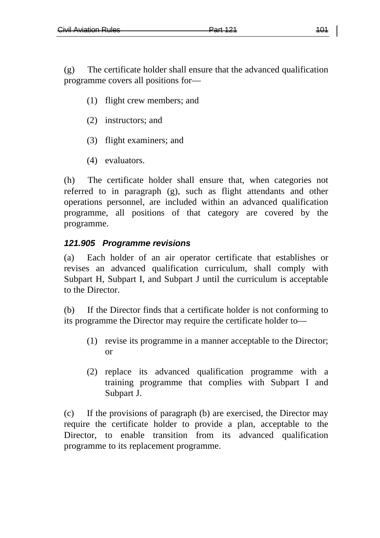(g) The certificate holder shall ensure that the advanced qualification programme covers all positions for—

- (1) flight crew members; and
- (2) instructors; and
- (3) flight examiners; and
- (4) evaluators.

(h) The certificate holder shall ensure that, when categories not referred to in paragraph (g), such as flight attendants and other operations personnel, are included within an advanced qualification programme, all positions of that category are covered by the programme.

#### *121.905 Programme revisions*

(a) Each holder of an air operator certificate that establishes or revises an advanced qualification curriculum, shall comply with Subpart H, Subpart I, and Subpart J until the curriculum is acceptable to the Director.

(b) If the Director finds that a certificate holder is not conforming to its programme the Director may require the certificate holder to—

- (1) revise its programme in a manner acceptable to the Director; or
- (2) replace its advanced qualification programme with a training programme that complies with Subpart I and Subpart J.

(c) If the provisions of paragraph (b) are exercised, the Director may require the certificate holder to provide a plan, acceptable to the Director, to enable transition from its advanced qualification programme to its replacement programme.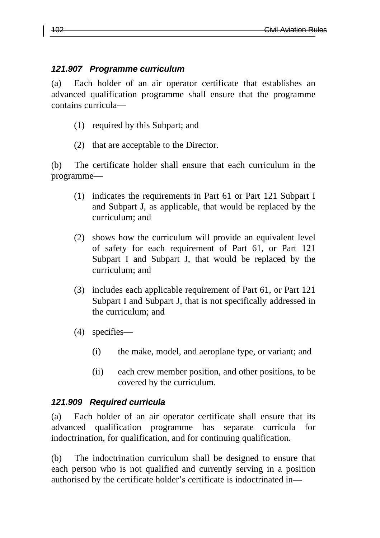### *121.907 Programme curriculum*

(a) Each holder of an air operator certificate that establishes an advanced qualification programme shall ensure that the programme contains curricula—

- (1) required by this Subpart; and
- (2) that are acceptable to the Director.

(b) The certificate holder shall ensure that each curriculum in the programme—

- (1) indicates the requirements in Part 61 or Part 121 Subpart I and Subpart J, as applicable, that would be replaced by the curriculum; and
- (2) shows how the curriculum will provide an equivalent level of safety for each requirement of Part 61, or Part 121 Subpart I and Subpart J, that would be replaced by the curriculum; and
- (3) includes each applicable requirement of Part 61, or Part 121 Subpart I and Subpart J, that is not specifically addressed in the curriculum; and
- (4) specifies—
	- (i) the make, model, and aeroplane type, or variant; and
	- (ii) each crew member position, and other positions, to be covered by the curriculum.

# *121.909 Required curricula*

(a) Each holder of an air operator certificate shall ensure that its advanced qualification programme has separate curricula for indoctrination, for qualification, and for continuing qualification.

(b) The indoctrination curriculum shall be designed to ensure that each person who is not qualified and currently serving in a position authorised by the certificate holder's certificate is indoctrinated in—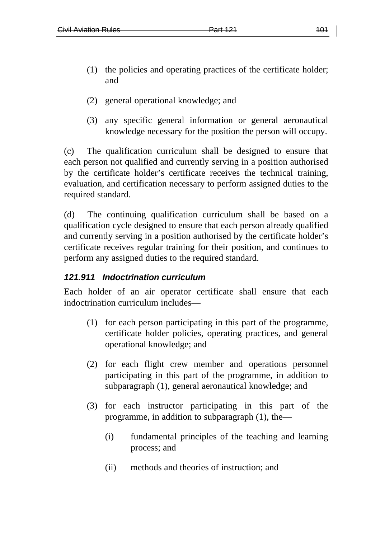- (1) the policies and operating practices of the certificate holder; and
- (2) general operational knowledge; and
- (3) any specific general information or general aeronautical knowledge necessary for the position the person will occupy.

(c) The qualification curriculum shall be designed to ensure that each person not qualified and currently serving in a position authorised by the certificate holder's certificate receives the technical training, evaluation, and certification necessary to perform assigned duties to the required standard.

(d) The continuing qualification curriculum shall be based on a qualification cycle designed to ensure that each person already qualified and currently serving in a position authorised by the certificate holder's certificate receives regular training for their position, and continues to perform any assigned duties to the required standard.

# *121.911 Indoctrination curriculum*

Each holder of an air operator certificate shall ensure that each indoctrination curriculum includes—

- (1) for each person participating in this part of the programme, certificate holder policies, operating practices, and general operational knowledge; and
- (2) for each flight crew member and operations personnel participating in this part of the programme, in addition to subparagraph (1), general aeronautical knowledge; and
- (3) for each instructor participating in this part of the programme, in addition to subparagraph (1), the—
	- (i) fundamental principles of the teaching and learning process; and
	- (ii) methods and theories of instruction; and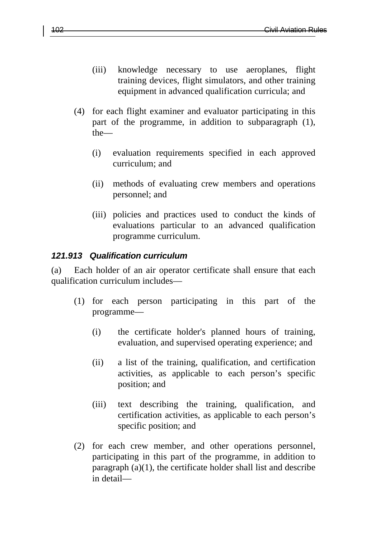- (iii) knowledge necessary to use aeroplanes, flight training devices, flight simulators, and other training equipment in advanced qualification curricula; and
- (4) for each flight examiner and evaluator participating in this part of the programme, in addition to subparagraph (1), the—
	- (i) evaluation requirements specified in each approved curriculum; and
	- (ii) methods of evaluating crew members and operations personnel; and
	- (iii) policies and practices used to conduct the kinds of evaluations particular to an advanced qualification programme curriculum.

#### *121.913 Qualification curriculum*

(a) Each holder of an air operator certificate shall ensure that each qualification curriculum includes—

- (1) for each person participating in this part of the programme—
	- (i) the certificate holder's planned hours of training, evaluation, and supervised operating experience; and
	- (ii) a list of the training, qualification, and certification activities, as applicable to each person's specific position; and
	- (iii) text describing the training, qualification, and certification activities, as applicable to each person's specific position; and
- (2) for each crew member, and other operations personnel, participating in this part of the programme, in addition to paragraph  $(a)(1)$ , the certificate holder shall list and describe in detail—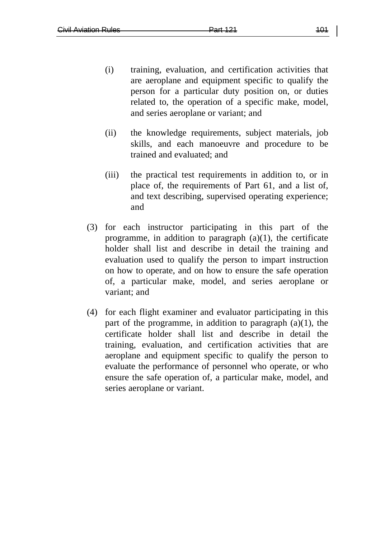- (i) training, evaluation, and certification activities that are aeroplane and equipment specific to qualify the person for a particular duty position on, or duties related to, the operation of a specific make, model, and series aeroplane or variant; and
- (ii) the knowledge requirements, subject materials, job skills, and each manoeuvre and procedure to be trained and evaluated; and
- (iii) the practical test requirements in addition to, or in place of, the requirements of Part 61, and a list of, and text describing, supervised operating experience; and
- (3) for each instructor participating in this part of the programme, in addition to paragraph  $(a)(1)$ , the certificate holder shall list and describe in detail the training and evaluation used to qualify the person to impart instruction on how to operate, and on how to ensure the safe operation of, a particular make, model, and series aeroplane or variant; and
- (4) for each flight examiner and evaluator participating in this part of the programme, in addition to paragraph (a)(1), the certificate holder shall list and describe in detail the training, evaluation, and certification activities that are aeroplane and equipment specific to qualify the person to evaluate the performance of personnel who operate, or who ensure the safe operation of, a particular make, model, and series aeroplane or variant.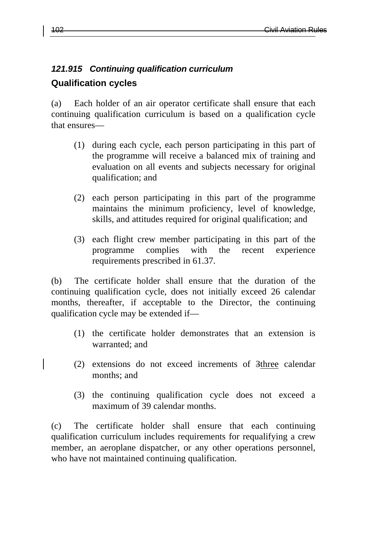### *121.915 Continuing qualification curriculum*

# **Qualification cycles**

(a) Each holder of an air operator certificate shall ensure that each continuing qualification curriculum is based on a qualification cycle that ensures—

- (1) during each cycle, each person participating in this part of the programme will receive a balanced mix of training and evaluation on all events and subjects necessary for original qualification; and
- (2) each person participating in this part of the programme maintains the minimum proficiency, level of knowledge, skills, and attitudes required for original qualification; and
- (3) each flight crew member participating in this part of the programme complies with the recent experience requirements prescribed in 61.37.

(b) The certificate holder shall ensure that the duration of the continuing qualification cycle, does not initially exceed 26 calendar months, thereafter, if acceptable to the Director, the continuing qualification cycle may be extended if—

- (1) the certificate holder demonstrates that an extension is warranted; and
- (2) extensions do not exceed increments of 3three calendar months; and
- (3) the continuing qualification cycle does not exceed a maximum of 39 calendar months.

(c) The certificate holder shall ensure that each continuing qualification curriculum includes requirements for requalifying a crew member, an aeroplane dispatcher, or any other operations personnel, who have not maintained continuing qualification.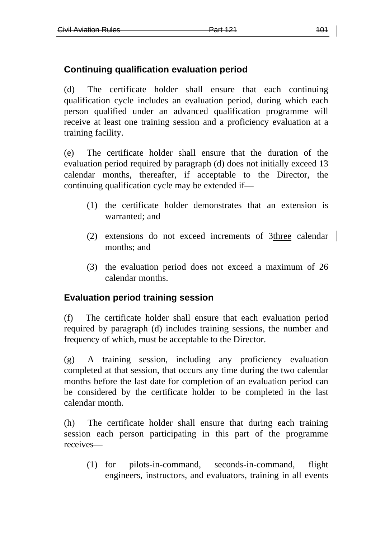# **Continuing qualification evaluation period**

(d) The certificate holder shall ensure that each continuing qualification cycle includes an evaluation period, during which each person qualified under an advanced qualification programme will receive at least one training session and a proficiency evaluation at a training facility.

(e) The certificate holder shall ensure that the duration of the evaluation period required by paragraph (d) does not initially exceed 13 calendar months, thereafter, if acceptable to the Director, the continuing qualification cycle may be extended if—

- (1) the certificate holder demonstrates that an extension is warranted; and
- (2) extensions do not exceed increments of 3three calendar months; and
- (3) the evaluation period does not exceed a maximum of 26 calendar months.

# **Evaluation period training session**

(f) The certificate holder shall ensure that each evaluation period required by paragraph (d) includes training sessions, the number and frequency of which, must be acceptable to the Director.

(g) A training session, including any proficiency evaluation completed at that session, that occurs any time during the two calendar months before the last date for completion of an evaluation period can be considered by the certificate holder to be completed in the last calendar month.

(h) The certificate holder shall ensure that during each training session each person participating in this part of the programme receives—

(1) for pilots-in-command, seconds-in-command, flight engineers, instructors, and evaluators, training in all events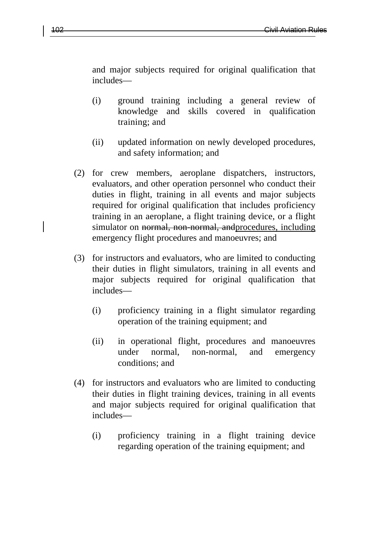and major subjects required for original qualification that includes—

- (i) ground training including a general review of knowledge and skills covered in qualification training; and
- (ii) updated information on newly developed procedures, and safety information; and
- (2) for crew members, aeroplane dispatchers, instructors, evaluators, and other operation personnel who conduct their duties in flight, training in all events and major subjects required for original qualification that includes proficiency training in an aeroplane, a flight training device, or a flight simulator on normal, non-normal, and procedures, including emergency flight procedures and manoeuvres; and
- (3) for instructors and evaluators, who are limited to conducting their duties in flight simulators, training in all events and major subjects required for original qualification that includes—
	- (i) proficiency training in a flight simulator regarding operation of the training equipment; and
	- (ii) in operational flight, procedures and manoeuvres under normal, non-normal, and emergency conditions; and
- (4) for instructors and evaluators who are limited to conducting their duties in flight training devices, training in all events and major subjects required for original qualification that includes—
	- (i) proficiency training in a flight training device regarding operation of the training equipment; and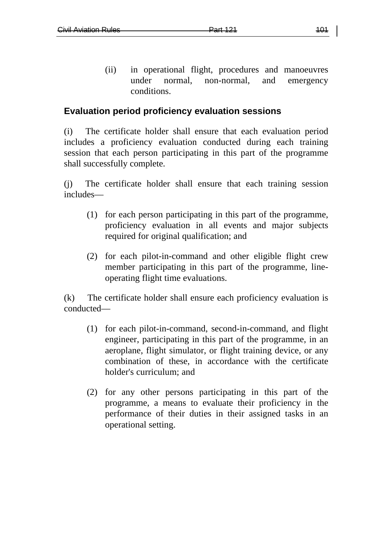(ii) in operational flight, procedures and manoeuvres under normal, non-normal, and emergency conditions.

### **Evaluation period proficiency evaluation sessions**

(i) The certificate holder shall ensure that each evaluation period includes a proficiency evaluation conducted during each training session that each person participating in this part of the programme shall successfully complete.

(j) The certificate holder shall ensure that each training session includes—

- (1) for each person participating in this part of the programme, proficiency evaluation in all events and major subjects required for original qualification; and
- (2) for each pilot-in-command and other eligible flight crew member participating in this part of the programme, lineoperating flight time evaluations.

(k) The certificate holder shall ensure each proficiency evaluation is conducted—

- (1) for each pilot-in-command, second-in-command, and flight engineer, participating in this part of the programme, in an aeroplane, flight simulator, or flight training device, or any combination of these, in accordance with the certificate holder's curriculum; and
- (2) for any other persons participating in this part of the programme, a means to evaluate their proficiency in the performance of their duties in their assigned tasks in an operational setting.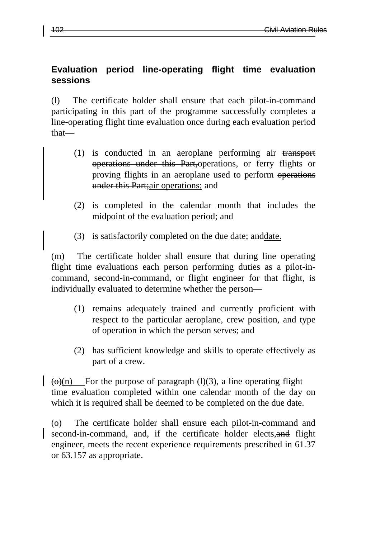# **Evaluation period line-operating flight time evaluation sessions**

(l) The certificate holder shall ensure that each pilot-in-command participating in this part of the programme successfully completes a line-operating flight time evaluation once during each evaluation period that—

- (1) is conducted in an aeroplane performing air transport operations under this Part,operations, or ferry flights or proving flights in an aeroplane used to perform operations under this Part; air operations; and
- (2) is completed in the calendar month that includes the midpoint of the evaluation period; and
- (3) is satisfactorily completed on the due date; and date.

(m) The certificate holder shall ensure that during line operating flight time evaluations each person performing duties as a pilot-incommand, second-in-command, or flight engineer for that flight, is individually evaluated to determine whether the person—

- (1) remains adequately trained and currently proficient with respect to the particular aeroplane, crew position, and type of operation in which the person serves; and
- (2) has sufficient knowledge and skills to operate effectively as part of a crew.

 $\left( \Theta(n) \right)$  For the purpose of paragraph (1)(3), a line operating flight time evaluation completed within one calendar month of the day on which it is required shall be deemed to be completed on the due date.

(o) The certificate holder shall ensure each pilot-in-command and second-in-command, and, if the certificate holder elects, and flight engineer, meets the recent experience requirements prescribed in 61.37 or 63.157 as appropriate.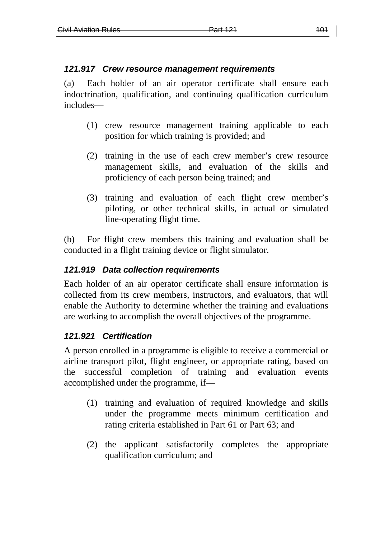### *121.917 Crew resource management requirements*

(a) Each holder of an air operator certificate shall ensure each indoctrination, qualification, and continuing qualification curriculum includes—

- (1) crew resource management training applicable to each position for which training is provided; and
- (2) training in the use of each crew member's crew resource management skills, and evaluation of the skills and proficiency of each person being trained; and
- (3) training and evaluation of each flight crew member's piloting, or other technical skills, in actual or simulated line-operating flight time.

(b) For flight crew members this training and evaluation shall be conducted in a flight training device or flight simulator.

### *121.919 Data collection requirements*

Each holder of an air operator certificate shall ensure information is collected from its crew members, instructors, and evaluators, that will enable the Authority to determine whether the training and evaluations are working to accomplish the overall objectives of the programme.

# *121.921 Certification*

A person enrolled in a programme is eligible to receive a commercial or airline transport pilot, flight engineer, or appropriate rating, based on the successful completion of training and evaluation events accomplished under the programme, if—

- (1) training and evaluation of required knowledge and skills under the programme meets minimum certification and rating criteria established in Part 61 or Part 63; and
- (2) the applicant satisfactorily completes the appropriate qualification curriculum; and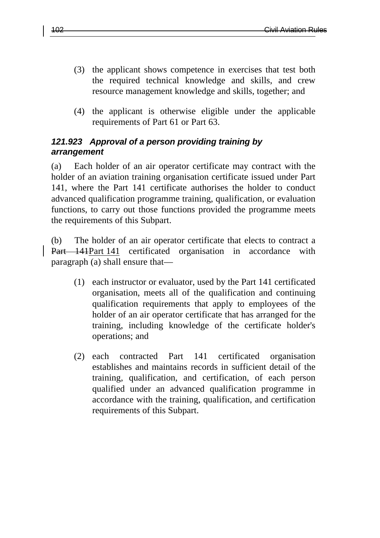- (3) the applicant shows competence in exercises that test both the required technical knowledge and skills, and crew resource management knowledge and skills, together; and
- (4) the applicant is otherwise eligible under the applicable requirements of Part 61 or Part 63.

### *121.923 Approval of a person providing training by arrangement*

(a) Each holder of an air operator certificate may contract with the holder of an aviation training organisation certificate issued under Part 141, where the Part 141 certificate authorises the holder to conduct advanced qualification programme training, qualification, or evaluation functions, to carry out those functions provided the programme meets the requirements of this Subpart.

(b) The holder of an air operator certificate that elects to contract a Part 141Part 141 certificated organisation in accordance with paragraph (a) shall ensure that—

- (1) each instructor or evaluator, used by the Part 141 certificated organisation, meets all of the qualification and continuing qualification requirements that apply to employees of the holder of an air operator certificate that has arranged for the training, including knowledge of the certificate holder's operations; and
- (2) each contracted Part 141 certificated organisation establishes and maintains records in sufficient detail of the training, qualification, and certification, of each person qualified under an advanced qualification programme in accordance with the training, qualification, and certification requirements of this Subpart.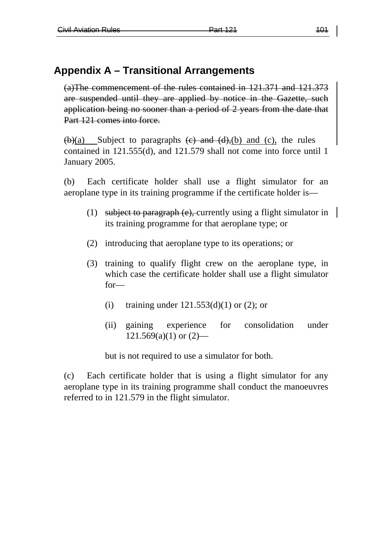# **Appendix A – Transitional Arrangements**

(a)The commencement of the rules contained in 121.371 and 121.373 are suspended until they are applied by notice in the Gazette, such application being no sooner than a period of 2 years from the date that Part 121 comes into force.

 $\frac{\text{(b)}}{\text{a}}$  Subject to paragraphs  $\frac{\text{(c)}}{\text{c}}$  and  $\frac{\text{(d)}}{\text{c}}$  and  $\frac{\text{(c)}}{\text{c}}$ , the rules contained in 121.555(d), and 121.579 shall not come into force until 1 January 2005.

(b) Each certificate holder shall use a flight simulator for an aeroplane type in its training programme if the certificate holder is—

- (1) subject to paragraph (e), currently using a flight simulator in its training programme for that aeroplane type; or
- (2) introducing that aeroplane type to its operations; or
- (3) training to qualify flight crew on the aeroplane type, in which case the certificate holder shall use a flight simulator for—
	- (i) training under  $121.553(d)(1)$  or  $(2)$ ; or
	- (ii) gaining experience for consolidation under  $121.569(a)(1)$  or  $(2)$ —

but is not required to use a simulator for both.

(c) Each certificate holder that is using a flight simulator for any aeroplane type in its training programme shall conduct the manoeuvres referred to in 121.579 in the flight simulator.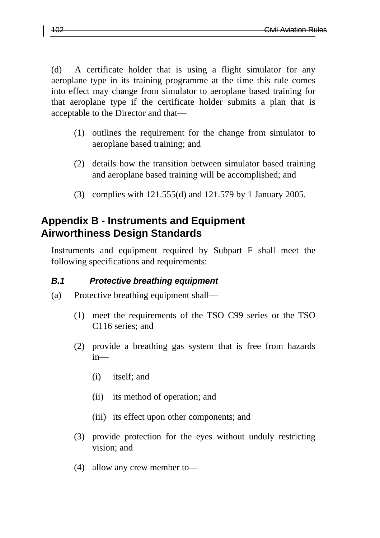(d) A certificate holder that is using a flight simulator for any aeroplane type in its training programme at the time this rule comes into effect may change from simulator to aeroplane based training for that aeroplane type if the certificate holder submits a plan that is acceptable to the Director and that—

- (1) outlines the requirement for the change from simulator to aeroplane based training; and
- (2) details how the transition between simulator based training and aeroplane based training will be accomplished; and
- (3) complies with 121.555(d) and 121.579 by 1 January 2005.

# **Appendix B - Instruments and Equipment Airworthiness Design Standards**

Instruments and equipment required by Subpart F shall meet the following specifications and requirements:

# *B.1 Protective breathing equipment*

- (a) Protective breathing equipment shall—
	- (1) meet the requirements of the TSO C99 series or the TSO C116 series; and
	- (2) provide a breathing gas system that is free from hazards in—
		- (i) itself; and
		- (ii) its method of operation; and
		- (iii) its effect upon other components; and
	- (3) provide protection for the eyes without unduly restricting vision; and
	- (4) allow any crew member to—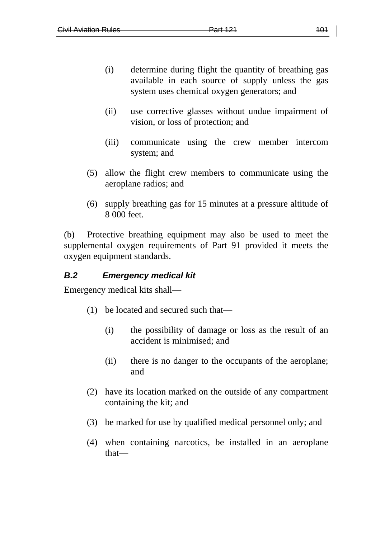- (i) determine during flight the quantity of breathing gas available in each source of supply unless the gas system uses chemical oxygen generators; and
- (ii) use corrective glasses without undue impairment of vision, or loss of protection; and
- (iii) communicate using the crew member intercom system; and
- (5) allow the flight crew members to communicate using the aeroplane radios; and
- (6) supply breathing gas for 15 minutes at a pressure altitude of 8 000 feet.

(b) Protective breathing equipment may also be used to meet the supplemental oxygen requirements of Part 91 provided it meets the oxygen equipment standards.

# *B.2 Emergency medical kit*

Emergency medical kits shall—

- (1) be located and secured such that—
	- (i) the possibility of damage or loss as the result of an accident is minimised; and
	- (ii) there is no danger to the occupants of the aeroplane; and
- (2) have its location marked on the outside of any compartment containing the kit; and
- (3) be marked for use by qualified medical personnel only; and
- (4) when containing narcotics, be installed in an aeroplane that—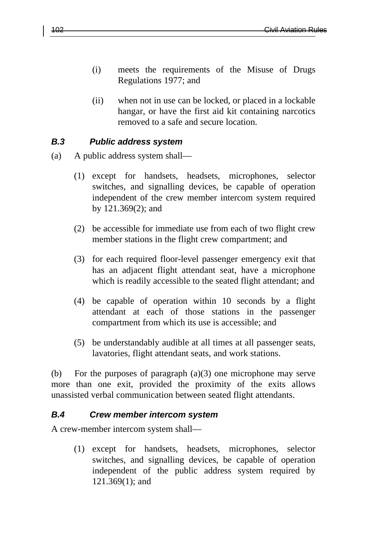- (i) meets the requirements of the Misuse of Drugs Regulations 1977; and
- (ii) when not in use can be locked, or placed in a lockable hangar, or have the first aid kit containing narcotics removed to a safe and secure location.

#### *B.3 Public address system*

- (a) A public address system shall—
	- (1) except for handsets, headsets, microphones, selector switches, and signalling devices, be capable of operation independent of the crew member intercom system required by 121.369(2); and
	- (2) be accessible for immediate use from each of two flight crew member stations in the flight crew compartment; and
	- (3) for each required floor-level passenger emergency exit that has an adjacent flight attendant seat, have a microphone which is readily accessible to the seated flight attendant; and
	- (4) be capable of operation within 10 seconds by a flight attendant at each of those stations in the passenger compartment from which its use is accessible; and
	- (5) be understandably audible at all times at all passenger seats, lavatories, flight attendant seats, and work stations.

(b) For the purposes of paragraph (a)(3) one microphone may serve more than one exit, provided the proximity of the exits allows unassisted verbal communication between seated flight attendants.

#### *B.4 Crew member intercom system*

A crew-member intercom system shall—

(1) except for handsets, headsets, microphones, selector switches, and signalling devices, be capable of operation independent of the public address system required by 121.369(1); and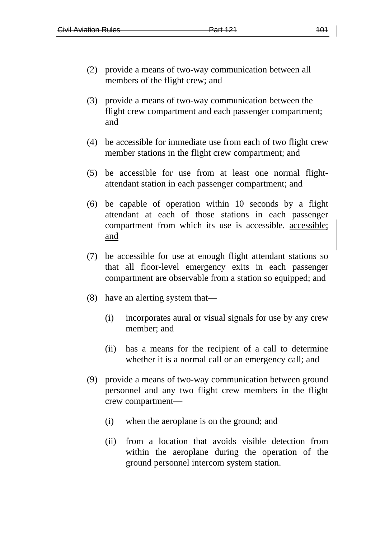- (2) provide a means of two-way communication between all members of the flight crew; and
- (3) provide a means of two-way communication between the flight crew compartment and each passenger compartment; and
- (4) be accessible for immediate use from each of two flight crew member stations in the flight crew compartment; and
- (5) be accessible for use from at least one normal flightattendant station in each passenger compartment; and
- (6) be capable of operation within 10 seconds by a flight attendant at each of those stations in each passenger compartment from which its use is accessible. accessible; and
- (7) be accessible for use at enough flight attendant stations so that all floor-level emergency exits in each passenger compartment are observable from a station so equipped; and
- (8) have an alerting system that—
	- (i) incorporates aural or visual signals for use by any crew member; and
	- (ii) has a means for the recipient of a call to determine whether it is a normal call or an emergency call; and
- (9) provide a means of two-way communication between ground personnel and any two flight crew members in the flight crew compartment—
	- (i) when the aeroplane is on the ground; and
	- (ii) from a location that avoids visible detection from within the aeroplane during the operation of the ground personnel intercom system station.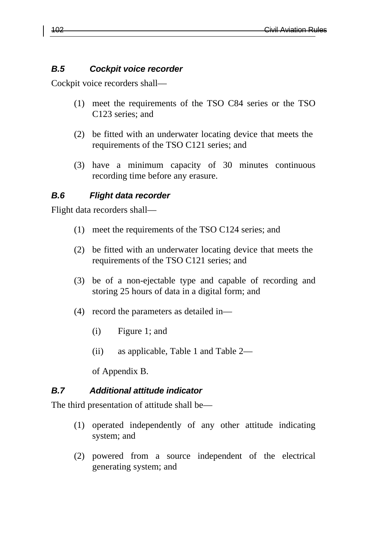#### *B.5 Cockpit voice recorder*

Cockpit voice recorders shall—

- (1) meet the requirements of the TSO C84 series or the TSO C123 series; and
- (2) be fitted with an underwater locating device that meets the requirements of the TSO C121 series; and
- (3) have a minimum capacity of 30 minutes continuous recording time before any erasure.

### *B.6 Flight data recorder*

Flight data recorders shall—

- (1) meet the requirements of the TSO C124 series; and
- (2) be fitted with an underwater locating device that meets the requirements of the TSO C121 series; and
- (3) be of a non-ejectable type and capable of recording and storing 25 hours of data in a digital form; and
- (4) record the parameters as detailed in—
	- (i) Figure 1; and
	- (ii) as applicable, Table 1 and Table 2—

of Appendix B.

#### *B.7 Additional attitude indicator*

The third presentation of attitude shall be—

- (1) operated independently of any other attitude indicating system; and
- (2) powered from a source independent of the electrical generating system; and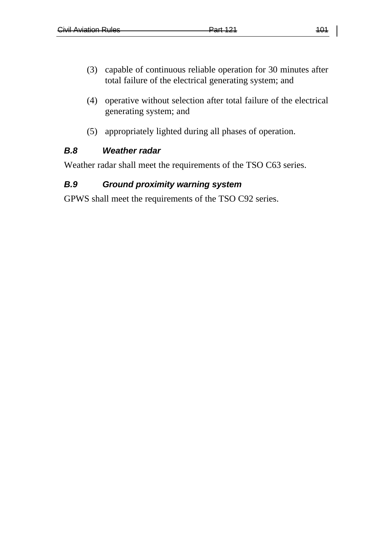- (3) capable of continuous reliable operation for 30 minutes after total failure of the electrical generating system; and
- (4) operative without selection after total failure of the electrical generating system; and
- (5) appropriately lighted during all phases of operation.

### *B.8 Weather radar*

Weather radar shall meet the requirements of the TSO C63 series.

# *B.9 Ground proximity warning system*

GPWS shall meet the requirements of the TSO C92 series.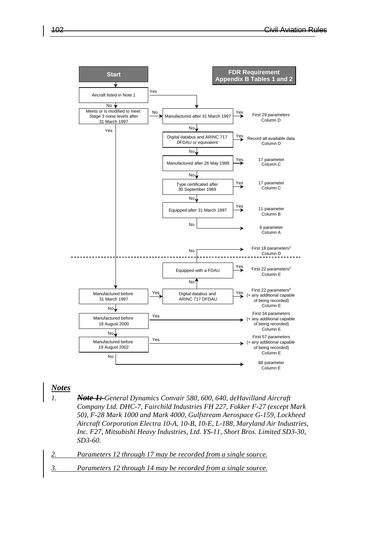



#### *Notes*

- *1. Note 1: General Dynamics Convair 580, 600, 640, deHavilland Aircraft Company Ltd. DHC-7, Fairchild Industries FH 227, Fokker F-27 (except Mark 50), F-28 Mark 1000 and Mark 4000, Gulfstream Aerospace G-159, Lockheed Aircraft Corporation Electra 10-A, 10-B, 10-E, L-188, Maryland Air Industries, Inc. F27, Mitsubishi Heavy Industries, Ltd. YS-11, Short Bros. Limited SD3-30, SD3-60.*
- *2. Parameters 12 through 17 may be recorded from a single source.*
- *3. Parameters 12 through 14 may be recorded from a single source.*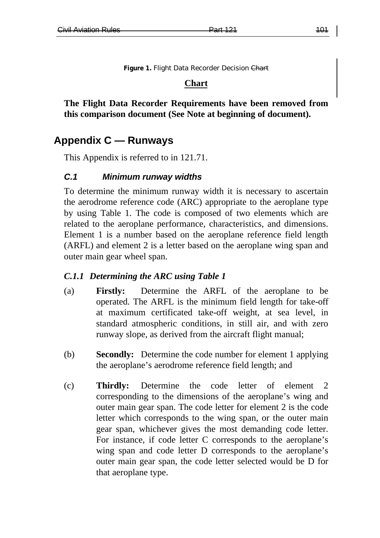Figure 1. Flight Data Recorder Decision Chart

#### **Chart**

**The Flight Data Recorder Requirements have been removed from this comparison document (See Note at beginning of document).**

# **Appendix C — Runways**

This Appendix is referred to in 121.71.

#### *C.1 Minimum runway widths*

To determine the minimum runway width it is necessary to ascertain the aerodrome reference code (ARC) appropriate to the aeroplane type by using Table 1. The code is composed of two elements which are related to the aeroplane performance, characteristics, and dimensions. Element 1 is a number based on the aeroplane reference field length (ARFL) and element 2 is a letter based on the aeroplane wing span and outer main gear wheel span.

#### *C.1.1 Determining the ARC using Table 1*

- (a) **Firstly:** Determine the ARFL of the aeroplane to be operated. The ARFL is the minimum field length for take-off at maximum certificated take-off weight, at sea level, in standard atmospheric conditions, in still air, and with zero runway slope, as derived from the aircraft flight manual;
- (b) **Secondly:** Determine the code number for element 1 applying the aeroplane's aerodrome reference field length; and
- (c) **Thirdly:** Determine the code letter of element 2 corresponding to the dimensions of the aeroplane's wing and outer main gear span. The code letter for element 2 is the code letter which corresponds to the wing span, or the outer main gear span, whichever gives the most demanding code letter. For instance, if code letter C corresponds to the aeroplane's wing span and code letter D corresponds to the aeroplane's outer main gear span, the code letter selected would be D for that aeroplane type.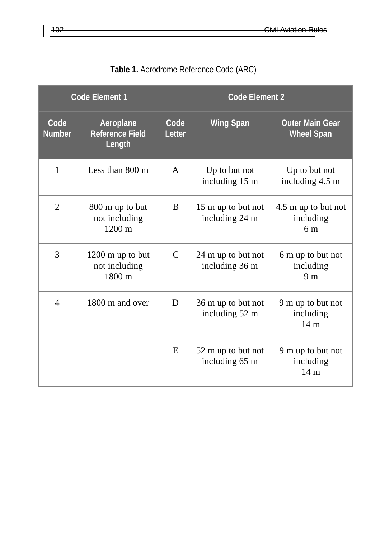| <b>Code Element 1</b> |                                                           | <b>Code Element 2</b> |                                      |                                                    |  |
|-----------------------|-----------------------------------------------------------|-----------------------|--------------------------------------|----------------------------------------------------|--|
| Code<br><b>Number</b> | Aeroplane<br><b>Reference Field</b><br>Length             | Code<br>Letter        | <b>Wing Span</b>                     | <b>Outer Main Gear</b><br><b>Wheel Span</b>        |  |
| 1                     | Less than $800 \text{ m}$                                 | $\mathsf{A}$          | Up to but not<br>including 15 m      | Up to but not<br>including 4.5 m                   |  |
| $\overline{2}$        | 800 m up to but<br>not including<br>$1200 \text{ m}$      | B                     | 15 m up to but not<br>including 24 m | 4.5 m up to but not<br>including<br>6 <sub>m</sub> |  |
| 3                     | 1200 m up to but<br>not including<br>$1800 \; \mathrm{m}$ | $\mathcal{C}$         | 24 m up to but not<br>including 36 m | 6 m up to but not<br>including<br>9 <sub>m</sub>   |  |
| $\overline{4}$        | 1800 m and over                                           | D                     | 36 m up to but not<br>including 52 m | 9 m up to but not<br>including<br>14 <sub>m</sub>  |  |
|                       |                                                           | E                     | 52 m up to but not<br>including 65 m | 9 m up to but not<br>including<br>14 <sub>m</sub>  |  |

|  | Table 1. Aerodrome Reference Code (ARC) |  |  |  |
|--|-----------------------------------------|--|--|--|
|--|-----------------------------------------|--|--|--|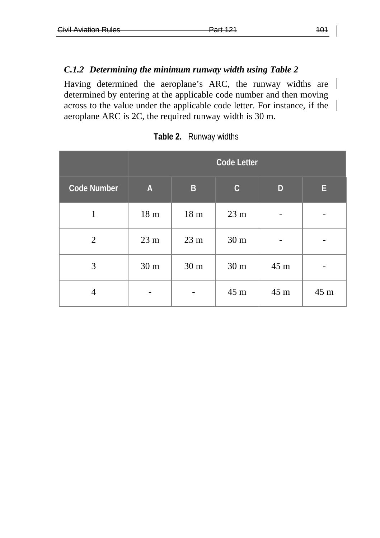#### *C.1.2 Determining the minimum runway width using Table 2*

Having determined the aeroplane's ARC, the runway widths are determined by entering at the applicable code number and then moving across to the value under the applicable code letter. For instance, if the aeroplane ARC is 2C, the required runway width is 30 m.

|                    | <b>Code Letter</b> |                 |                 |      |      |
|--------------------|--------------------|-----------------|-----------------|------|------|
| <b>Code Number</b> | $\overline{A}$     | $\overline{B}$  | $\mathsf C$     | D    | E.   |
| 1                  | 18 <sub>m</sub>    | 18 <sub>m</sub> | $23 \text{ m}$  |      |      |
| 2                  | 23 <sub>m</sub>    | 23 <sub>m</sub> | 30 <sub>m</sub> |      |      |
| 3                  | 30 <sub>m</sub>    | 30 <sub>m</sub> | 30 <sub>m</sub> | 45 m |      |
| 4                  |                    |                 | 45 m            | 45 m | 45 m |

**Table 2.** Runway widths

 $\overline{\phantom{a}}$ 

 $\overline{\phantom{a}}$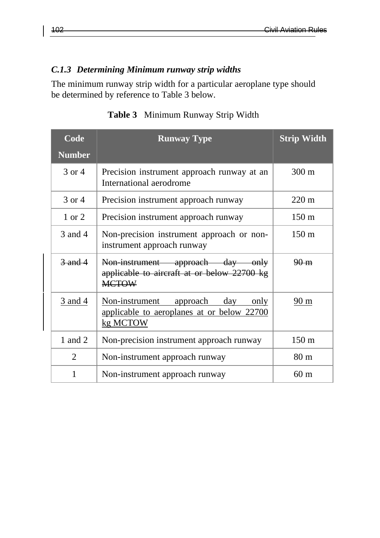# *C.1.3 Determining Minimum runway strip widths*

The minimum runway strip width for a particular aeroplane type should be determined by reference to Table 3 below.

| Code              | <b>Runway Type</b>                                                                                         | <b>Strip Width</b> |
|-------------------|------------------------------------------------------------------------------------------------------------|--------------------|
| <b>Number</b>     |                                                                                                            |                    |
| 3 or 4            | Precision instrument approach runway at an<br>International aerodrome                                      | $300 \text{ m}$    |
| 3 or 4            | Precision instrument approach runway                                                                       | $220 \text{ m}$    |
| $1 \text{ or } 2$ | Precision instrument approach runway                                                                       | $150 \text{ m}$    |
| 3 and 4           | Non-precision instrument approach or non-<br>instrument approach runway                                    | $150 \text{ m}$    |
| $3$ and $4$       | Non instrument approach day only<br>applicable to aircraft at or below 22700 kg<br><b>MCTOW</b>            | $90 - m$           |
| <u>3 and 4</u>    | Non-instrument<br><u>approach</u><br>day<br>only<br>applicable to aeroplanes at or below 22700<br>kg MCTOW | 90 m               |
| 1 and 2           | Non-precision instrument approach runway                                                                   | $150 \text{ m}$    |
| $\mathfrak{D}$    | Non-instrument approach runway                                                                             | 80 <sub>m</sub>    |
| 1                 | Non-instrument approach runway                                                                             | 60 m               |

**Table 3** Minimum Runway Strip Width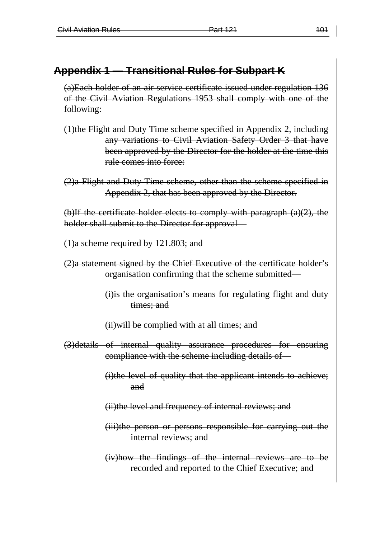# **Appendix 1 — Transitional Rules for Subpart K**

(a)Each holder of an air service certificate issued under regulation 136 of the Civil Aviation Regulations 1953 shall comply with one of the following:

(1)the Flight and Duty Time scheme specified in Appendix 2, including any variations to Civil Aviation Safety Order 3 that have been approved by the Director for the holder at the time this rule comes into force:

(2)a Flight and Duty Time scheme, other than the scheme specified in Appendix 2, that has been approved by the Director.

(b)If the certificate holder elects to comply with paragraph  $(a)(2)$ , the holder shall submit to the Director for approval—

- (1)a scheme required by 121.803; and
- (2)a statement signed by the Chief Executive of the certificate holder's organisation confirming that the scheme submitted—
	- (i)is the organisation's means for regulating flight and duty times; and

(ii)will be complied with at all times; and

(3)details of internal quality assurance procedures for ensuring compliance with the scheme including details of—

> (i)the level of quality that the applicant intends to achieve; and

(ii)the level and frequency of internal reviews; and

(iii)the person or persons responsible for carrying out the internal reviews; and

(iv)how the findings of the internal reviews are to be recorded and reported to the Chief Executive; and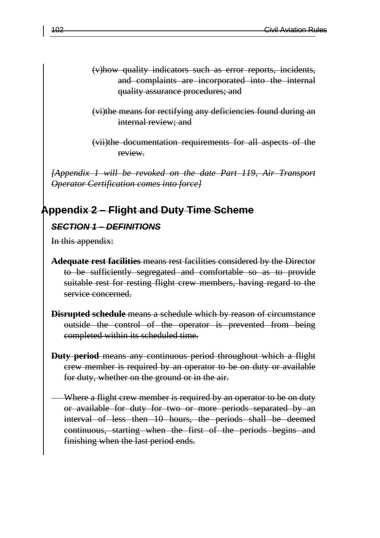- (v)how quality indicators such as error reports, incidents, and complaints are incorporated into the internal quality assurance procedures; and
- (vi)the means for rectifying any deficiencies found during an internal review; and

(vii)the documentation requirements for all aspects of the review.

*[Appendix 1 will be revoked on the date Part 119, Air Transport Operator Certification comes into force]*

### **Appendix 2 – Flight and Duty Time Scheme**

#### *SECTION 1 – DEFINITIONS*

In this appendix:

- **Adequate rest facilities** means rest facilities considered by the Director to be sufficiently segregated and comfortable so as to provide suitable rest for resting flight crew members, having regard to the service concerned.
- **Disrupted schedule** means a schedule which by reason of circumstance outside the control of the operator is prevented from being completed within its scheduled time.
- **Duty period** means any continuous period throughout which a flight crew member is required by an operator to be on duty or available for duty, whether on the ground or in the air.
	- Where a flight crew member is required by an operator to be on duty or available for duty for two or more periods separated by an interval of less then 10 hours, the periods shall be deemed continuous, starting when the first of the periods begins and finishing when the last period ends.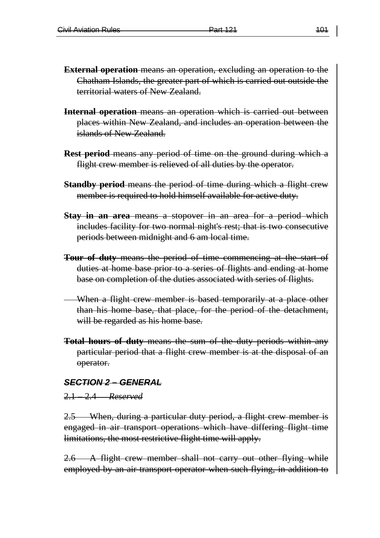- **External operation** means an operation, excluding an operation to the Chatham Islands, the greater part of which is carried out outside the territorial waters of New Zealand.
- **Internal operation** means an operation which is carried out between places within New Zealand, and includes an operation between the islands of New Zealand.
- **Rest period** means any period of time on the ground during which a flight crew member is relieved of all duties by the operator.
- **Standby period** means the period of time during which a flight crew member is required to hold himself available for active duty.
- **Stay in an area** means a stopover in an area for a period which includes facility for two normal night's rest; that is two consecutive periods between midnight and 6 am local time.
- **Tour of duty** means the period of time commencing at the start of duties at home base prior to a series of flights and ending at home base on completion of the duties associated with series of flights.
- When a flight crew member is based temporarily at a place other than his home base, that place, for the period of the detachment, will be regarded as his home base.
- **Total hours of duty** means the sum of the duty periods within any particular period that a flight crew member is at the disposal of an operator.

#### *SECTION 2 – GENERAL*

#### 2.1 – 2.4 *Reserved*

2.5 When, during a particular duty period, a flight crew member is engaged in air transport operations which have differing flight time limitations, the most restrictive flight time will apply.

2.6 A flight crew member shall not carry out other flying while employed by an air transport operator when such flying, in addition to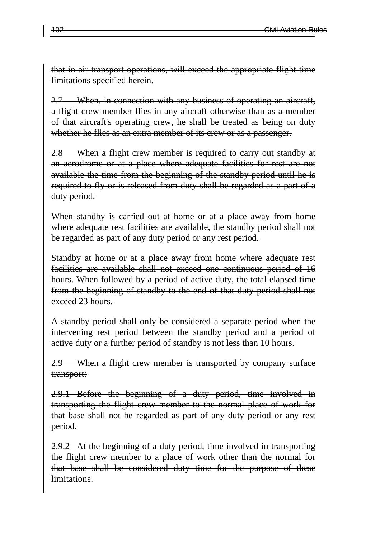that in air transport operations, will exceed the appropriate flight time limitations specified herein.

2.7 When, in connection with any business of operating an aircraft, a flight crew member flies in any aircraft otherwise than as a member of that aircraft's operating crew, he shall be treated as being on duty whether he flies as an extra member of its crew or as a passenger.

2.8 When a flight crew member is required to carry out standby at an aerodrome or at a place where adequate facilities for rest are not available the time from the beginning of the standby period until he is required to fly or is released from duty shall be regarded as a part of a duty period.

When standby is carried out at home or at a place away from home where adequate rest facilities are available, the standby period shall not be regarded as part of any duty period or any rest period.

Standby at home or at a place away from home where adequate rest facilities are available shall not exceed one continuous period of 16 hours. When followed by a period of active duty, the total elapsed time from the beginning of standby to the end of that duty period shall not exceed 23 hours.

A standby period shall only be considered a separate period when the intervening rest period between the standby period and a period of active duty or a further period of standby is not less than 10 hours.

2.9 When a flight crew member is transported by company surface transport:

2.9.1 Before the beginning of a duty period, time involved in transporting the flight crew member to the normal place of work for that base shall not be regarded as part of any duty period or any rest period.

2.9.2 At the beginning of a duty period, time involved in transporting the flight crew member to a place of work other than the normal for that base shall be considered duty time for the purpose of these limitations.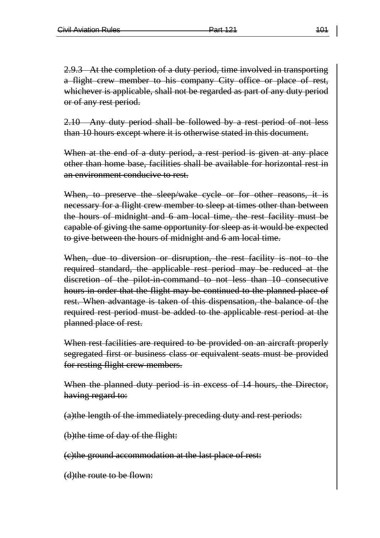2.9.3 At the completion of a duty period, time involved in transporting a flight crew member to his company City office or place of rest, whichever is applicable, shall not be regarded as part of any duty period or of any rest period.

2.10 Any duty period shall be followed by a rest period of not less than 10 hours except where it is otherwise stated in this document.

When at the end of a duty period, a rest period is given at any place other than home base, facilities shall be available for horizontal rest in an environment conducive to rest.

When, to preserve the sleep/wake cycle or for other reasons, it is necessary for a flight crew member to sleep at times other than between the hours of midnight and 6 am local time, the rest facility must be capable of giving the same opportunity for sleep as it would be expected to give between the hours of midnight and 6 am local time.

When, due to diversion or disruption, the rest facility is not to the required standard, the applicable rest period may be reduced at the discretion of the pilot-in-command to not less than 10 consecutive hours in order that the flight may be continued to the planned place of rest. When advantage is taken of this dispensation, the balance of the required rest period must be added to the applicable rest period at the planned place of rest.

When rest facilities are required to be provided on an aircraft properly segregated first or business class or equivalent seats must be provided for resting flight crew members.

When the planned duty period is in excess of 14 hours, the Director, having regard to:

(a)the length of the immediately preceding duty and rest periods:

(b)the time of day of the flight:

(c)the ground accommodation at the last place of rest:

(d)the route to be flown: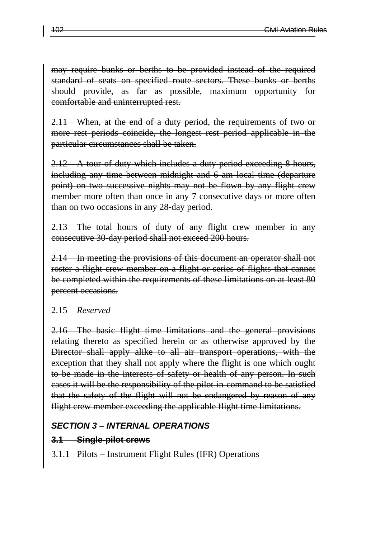may require bunks or berths to be provided instead of the required standard of seats on specified route sectors. These bunks or berths should provide, as far as possible, maximum opportunity for comfortable and uninterrupted rest.

2.11 When, at the end of a duty period, the requirements of two or more rest periods coincide, the longest rest period applicable in the particular circumstances shall be taken.

2.12 A tour of duty which includes a duty period exceeding 8 hours, including any time between midnight and 6 am local time (departure point) on two successive nights may not be flown by any flight crew member more often than once in any 7 consecutive days or more often than on two occasions in any 28-day period.

2.13 The total hours of duty of any flight crew member in any consecutive 30-day period shall not exceed 200 hours.

2.14 In meeting the provisions of this document an operator shall not roster a flight crew member on a flight or series of flights that cannot be completed within the requirements of these limitations on at least 80 percent occasions.

### 2.15 *Reserved*

2.16 The basic flight time limitations and the general provisions relating thereto as specified herein or as otherwise approved by the Director shall apply alike to all air transport operations, with the exception that they shall not apply where the flight is one which ought to be made in the interests of safety or health of any person. In such cases it will be the responsibility of the pilot-in-command to be satisfied that the safety of the flight will not be endangered by reason of any flight crew member exceeding the applicable flight time limitations.

### *SECTION 3 – INTERNAL OPERATIONS*

### **3.1 Single-pilot crews**

3.1.1 Pilots – Instrument Flight Rules (IFR) Operations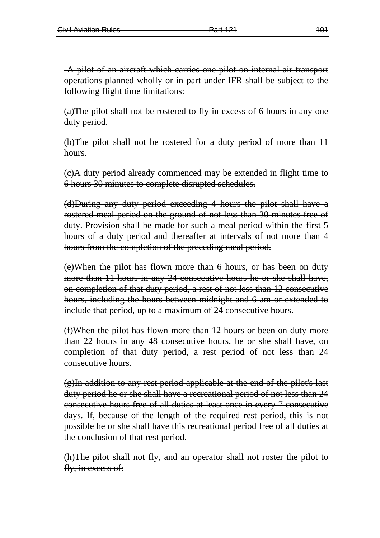A pilot of an aircraft which carries one pilot on internal air transport operations planned wholly or in part under IFR shall be subject to the following flight time limitations:

(a)The pilot shall not be rostered to fly in excess of 6 hours in any one duty period.

(b)The pilot shall not be rostered for a duty period of more than 11 hours.

(c)A duty period already commenced may be extended in flight time to 6 hours 30 minutes to complete disrupted schedules.

(d)During any duty period exceeding 4 hours the pilot shall have a rostered meal period on the ground of not less than 30 minutes free of duty. Provision shall be made for such a meal period within the first 5 hours of a duty period and thereafter at intervals of not more than 4 hours from the completion of the preceding meal period.

(e)When the pilot has flown more than 6 hours, or has been on duty more than 11 hours in any 24 consecutive hours he or she shall have, on completion of that duty period, a rest of not less than 12 consecutive hours, including the hours between midnight and 6 am or extended to include that period, up to a maximum of 24 consecutive hours.

(f)When the pilot has flown more than 12 hours or been on duty more than 22 hours in any 48 consecutive hours, he or she shall have, on completion of that duty period, a rest period of not less than 24 consecutive hours.

(g)In addition to any rest period applicable at the end of the pilot's last duty period he or she shall have a recreational period of not less than 24 consecutive hours free of all duties at least once in every 7 consecutive days. If, because of the length of the required rest period, this is not possible he or she shall have this recreational period free of all duties at the conclusion of that rest period.

(h)The pilot shall not fly, and an operator shall not roster the pilot to fly, in excess of: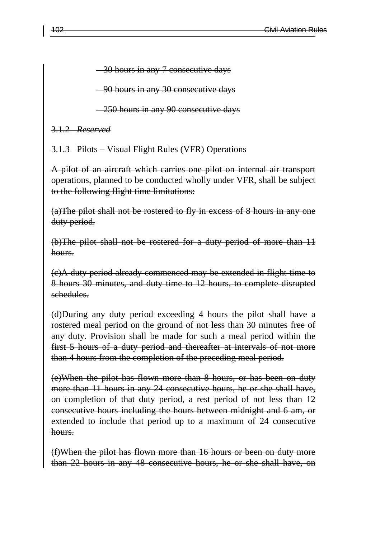30 hours in any 7 consecutive days

90 hours in any 30 consecutive days

250 hours in any 90 consecutive days

3.1.2 *Reserved*

3.1.3 Pilots – Visual Flight Rules (VFR) Operations

A pilot of an aircraft which carries one pilot on internal air transport operations, planned to be conducted wholly under VFR, shall be subject to the following flight time limitations:

(a)The pilot shall not be rostered to fly in excess of 8 hours in any one duty period.

(b)The pilot shall not be rostered for a duty period of more than 11 hours.

(c)A duty period already commenced may be extended in flight time to 8 hours 30 minutes, and duty time to 12 hours, to complete disrupted schedules.

(d)During any duty period exceeding 4 hours the pilot shall have a rostered meal period on the ground of not less than 30 minutes free of any duty. Provision shall be made for such a meal period within the first 5 hours of a duty period and thereafter at intervals of not more than 4 hours from the completion of the preceding meal period.

(e)When the pilot has flown more than 8 hours, or has been on duty more than 11 hours in any 24 consecutive hours, he or she shall have, on completion of that duty period, a rest period of not less than 12 consecutive hours including the hours between midnight and 6 am, or extended to include that period up to a maximum of 24 consecutive hours.

(f)When the pilot has flown more than 16 hours or been on duty more than 22 hours in any 48 consecutive hours, he or she shall have, on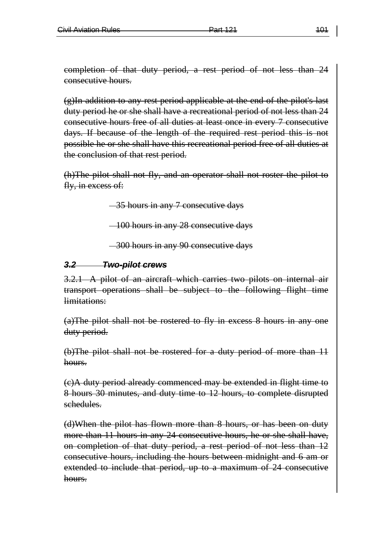completion of that duty period, a rest period of not less than 24 consecutive hours.

(g)In addition to any rest period applicable at the end of the pilot's last duty period he or she shall have a recreational period of not less than 24 consecutive hours free of all duties at least once in every 7 consecutive days. If because of the length of the required rest period this is not possible he or she shall have this recreational period free of all duties at the conclusion of that rest period.

(h)The pilot shall not fly, and an operator shall not roster the pilot to fly, in excess of:

35 hours in any 7 consecutive days

100 hours in any 28 consecutive days

300 hours in any 90 consecutive days

# *3.2 Two-pilot crews*

3.2.1 A pilot of an aircraft which carries two pilots on internal air transport operations shall be subject to the following flight time limitations:

(a)The pilot shall not be rostered to fly in excess 8 hours in any one duty period.

(b)The pilot shall not be rostered for a duty period of more than 11 hours.

(c)A duty period already commenced may be extended in flight time to 8 hours 30 minutes, and duty time to 12 hours, to complete disrupted schedules.

(d)When the pilot has flown more than 8 hours, or has been on duty more than 11 hours in any 24 consecutive hours, he or she shall have, on completion of that duty period, a rest period of not less than 12 consecutive hours, including the hours between midnight and 6 am or extended to include that period, up to a maximum of 24 consecutive hours.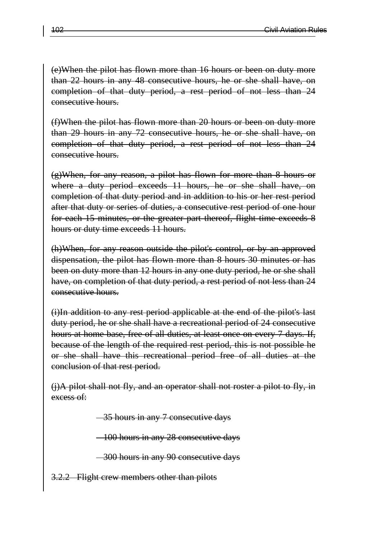(e)When the pilot has flown more than 16 hours or been on duty more than 22 hours in any 48 consecutive hours, he or she shall have, on completion of that duty period, a rest period of not less than 24 consecutive hours.

(f)When the pilot has flown more than 20 hours or been on duty more than 29 hours in any 72 consecutive hours, he or she shall have, on completion of that duty period, a rest period of not less than 24 consecutive hours.

(g)When, for any reason, a pilot has flown for more than 8 hours or where a duty period exceeds 11 hours, he or she shall have, on completion of that duty period and in addition to his or her rest period after that duty or series of duties, a consecutive rest period of one hour for each 15 minutes, or the greater part thereof, flight time exceeds 8 hours or duty time exceeds 11 hours.

(h)When, for any reason outside the pilot's control, or by an approved dispensation, the pilot has flown more than 8 hours 30 minutes or has been on duty more than 12 hours in any one duty period, he or she shall have, on completion of that duty period, a rest period of not less than 24 consecutive hours.

(i)In addition to any rest period applicable at the end of the pilot's last duty period, he or she shall have a recreational period of 24 consecutive hours at home base, free of all duties, at least once on every 7 days. If, because of the length of the required rest period, this is not possible he or she shall have this recreational period free of all duties at the conclusion of that rest period.

(j)A pilot shall not fly, and an operator shall not roster a pilot to fly, in excess of:

-35 hours in any 7 consecutive days

100 hours in any 28 consecutive days

300 hours in any 90 consecutive days

Flight crew members other than pilots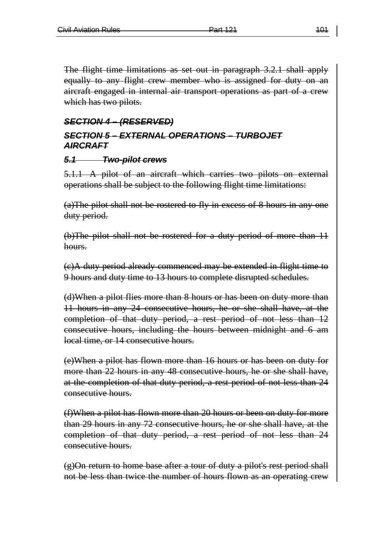The flight time limitations as set out in paragraph 3.2.1 shall apply equally to any flight crew member who is assigned for duty on an aircraft engaged in internal air transport operations as part of a crew which has two pilots.

# *SECTION 4 – (RESERVED) SECTION 5 – EXTERNAL OPERATIONS – TURBOJET AIRCRAFT*

#### *5.1 Two-pilot crews*

5.1.1 A pilot of an aircraft which carries two pilots on external operations shall be subject to the following flight time limitations:

(a)The pilot shall not be rostered to fly in excess of 8 hours in any one duty period.

(b)The pilot shall not be rostered for a duty period of more than 11 hours.

(c)A duty period already commenced may be extended in flight time to 9 hours and duty time to 13 hours to complete disrupted schedules.

(d)When a pilot flies more than 8 hours or has been on duty more than 11 hours in any 24 consecutive hours, he or she shall have, at the completion of that duty period, a rest period of not less than 12 consecutive hours, including the hours between midnight and 6 am local time, or 14 consecutive hours.

(e)When a pilot has flown more than 16 hours or has been on duty for more than 22 hours in any 48 consecutive hours, he or she shall have, at the completion of that duty period, a rest period of not less than 24 consecutive hours.

(f)When a pilot has flown more than 20 hours or been on duty for more than 29 hours in any 72 consecutive hours, he or she shall have, at the completion of that duty period, a rest period of not less than 24 consecutive hours.

(g)On return to home base after a tour of duty a pilot's rest period shall not be less than twice the number of hours flown as an operating crew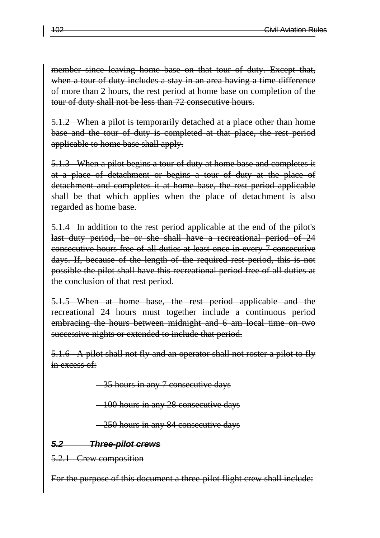member since leaving home base on that tour of duty. Except that, when a tour of duty includes a stay in an area having a time difference of more than 2 hours, the rest period at home base on completion of the tour of duty shall not be less than 72 consecutive hours.

5.1.2 When a pilot is temporarily detached at a place other than home base and the tour of duty is completed at that place, the rest period applicable to home base shall apply.

5.1.3 When a pilot begins a tour of duty at home base and completes it at a place of detachment or begins a tour of duty at the place of detachment and completes it at home base, the rest period applicable shall be that which applies when the place of detachment is also regarded as home base.

5.1.4 In addition to the rest period applicable at the end of the pilot's last duty period, he or she shall have a recreational period of 24 consecutive hours free of all duties at least once in every 7 consecutive days. If, because of the length of the required rest period, this is not possible the pilot shall have this recreational period free of all duties at the conclusion of that rest period.

5.1.5 When at home base, the rest period applicable and the recreational 24 hours must together include a continuous period embracing the hours between midnight and 6 am local time on two successive nights or extended to include that period.

5.1.6 A pilot shall not fly and an operator shall not roster a pilot to fly in excess of:

35 hours in any 7 consecutive days

100 hours in any 28 consecutive days

250 hours in any 84 consecutive days

*5.2 Three-pilot crews*

5.2.1 Crew composition

For the purpose of this document a three-pilot flight crew shall include: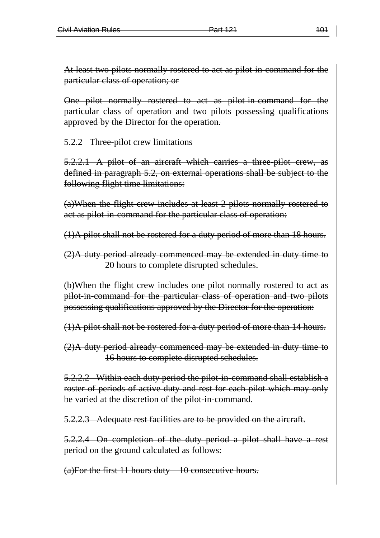At least two pilots normally rostered to act as pilot in-command for the particular class of operation; or

One pilot normally rostered to act as pilot-in-command for the particular class of operation and two pilots possessing qualifications approved by the Director for the operation.

5.2.2 Three-pilot crew limitations

5.2.2.1 A pilot of an aircraft which carries a three-pilot crew, as defined in paragraph 5.2, on external operations shall be subject to the following flight time limitations:

(a)When the flight crew includes at least 2 pilots normally rostered to act as pilot-in-command for the particular class of operation:

(1)A pilot shall not be rostered for a duty period of more than 18 hours.

(2)A duty period already commenced may be extended in duty time to 20 hours to complete disrupted schedules.

(b)When the flight crew includes one pilot normally rostered to act as pilot-in-command for the particular class of operation and two pilots possessing qualifications approved by the Director for the operation:

(1)A pilot shall not be rostered for a duty period of more than 14 hours.

(2)A duty period already commenced may be extended in duty time to 16 hours to complete disrupted schedules.

5.2.2.2 Within each duty period the pilot in command shall establish a roster of periods of active duty and rest for each pilot which may only be varied at the discretion of the pilot in-command.

5.2.2.3 Adequate rest facilities are to be provided on the aircraft.

5.2.2.4 On completion of the duty period a pilot shall have a rest period on the ground calculated as follows:

(a)For the first 11 hours duty – 10 consecutive hours.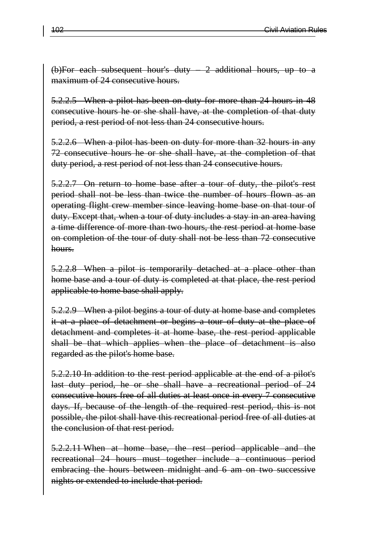(b)For each subsequent hour's duty – 2 additional hours, up to a maximum of 24 consecutive hours.

5.2.2.5 When a pilot has been on duty for more than 24 hours in 48 consecutive hours he or she shall have, at the completion of that duty period, a rest period of not less than 24 consecutive hours.

5.2.2.6 When a pilot has been on duty for more than 32 hours in any 72 consecutive hours he or she shall have, at the completion of that duty period, a rest period of not less than 24 consecutive hours.

5.2.2.7 On return to home base after a tour of duty, the pilot's rest period shall not be less than twice the number of hours flown as an operating flight crew member since leaving home base on that tour of duty. Except that, when a tour of duty includes a stay in an area having a time difference of more than two hours, the rest period at home base on completion of the tour of duty shall not be less than 72 consecutive hours.

5.2.2.8 When a pilot is temporarily detached at a place other than home base and a tour of duty is completed at that place, the rest period applicable to home base shall apply.

5.2.2.9 When a pilot begins a tour of duty at home base and completes it at a place of detachment or begins a tour of duty at the place of detachment and completes it at home base, the rest period applicable shall be that which applies when the place of detachment is also regarded as the pilot's home base.

5.2.2.10 In addition to the rest period applicable at the end of a pilot's last duty period, he or she shall have a recreational period of 24 consecutive hours free of all duties at least once in every 7 consecutive days. If, because of the length of the required rest period, this is not possible, the pilot shall have this recreational period free of all duties at the conclusion of that rest period.

5.2.2.11 When at home base, the rest period applicable and the recreational 24 hours must together include a continuous period embracing the hours between midnight and 6 am on two successive nights or extended to include that period.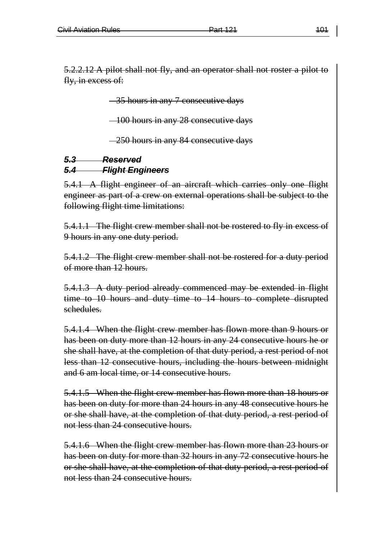5.2.2.12 A pilot shall not fly, and an operator shall not roster a pilot to fly, in excess of:

35 hours in any 7 consecutive days

100 hours in any 28 consecutive days

-250 hours in any 84 consecutive days

#### *5.3 Reserved 5.4 Flight Engineers*

5.4.1 A flight engineer of an aircraft which carries only one flight engineer as part of a crew on external operations shall be subject to the following flight time limitations:

5.4.1.1 The flight crew member shall not be rostered to fly in excess of 9 hours in any one duty period.

5.4.1.2 The flight crew member shall not be rostered for a duty period of more than 12 hours.

5.4.1.3 A duty period already commenced may be extended in flight time to 10 hours and duty time to 14 hours to complete disrupted schedules.

5.4.1.4 When the flight crew member has flown more than 9 hours or has been on duty more than 12 hours in any 24 consecutive hours he or she shall have, at the completion of that duty period, a rest period of not less than 12 consecutive hours, including the hours between midnight and 6 am local time, or 14 consecutive hours.

5.4.1.5 When the flight crew member has flown more than 18 hours or has been on duty for more than 24 hours in any 48 consecutive hours he or she shall have, at the completion of that duty period, a rest period of not less than 24 consecutive hours.

5.4.1.6 When the flight crew member has flown more than 23 hours or has been on duty for more than 32 hours in any 72 consecutive hours he or she shall have, at the completion of that duty period, a rest period of not less than 24 consecutive hours.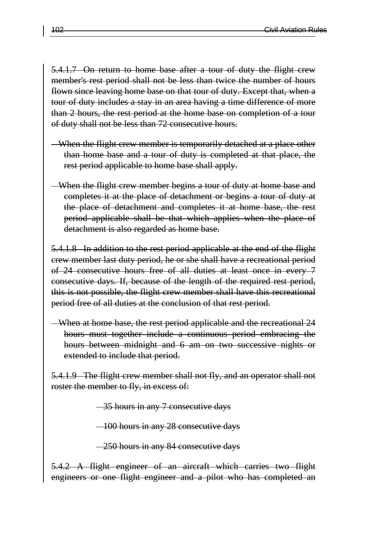5.4.1.7 On return to home base after a tour of duty the flight crew member's rest period shall not be less than twice the number of hours flown since leaving home base on that tour of duty. Except that, when a tour of duty includes a stay in an area having a time difference of more than 2 hours, the rest period at the home base on completion of a tour of duty shall not be less than 72 consecutive hours.

- When the flight crew member is temporarily detached at a place other than home base and a tour of duty is completed at that place, the rest period applicable to home base shall apply.
- When the flight crew member begins a tour of duty at home base and completes it at the place of detachment or begins a tour of duty at the place of detachment and completes it at home base, the rest period applicable shall be that which applies when the place of detachment is also regarded as home base.

5.4.1.8 In addition to the rest period applicable at the end of the flight crew member last duty period, he or she shall have a recreational period of 24 consecutive hours free of all duties at least once in every 7 consecutive days. If, because of the length of the required rest period, this is not possible, the flight crew member shall have this recreational period free of all duties at the conclusion of that rest period.

When at home base, the rest period applicable and the recreational 24 hours must together include a continuous period embracing the hours between midnight and 6 am on two successive nights or extended to include that period.

5.4.1.9 The flight crew member shall not fly, and an operator shall not roster the member to fly, in excess of:

35 hours in any 7 consecutive days

100 hours in any 28 consecutive days

250 hours in any 84 consecutive days

5.4.2 A flight engineer of an aircraft which carries two flight engineers or one flight engineer and a pilot who has completed an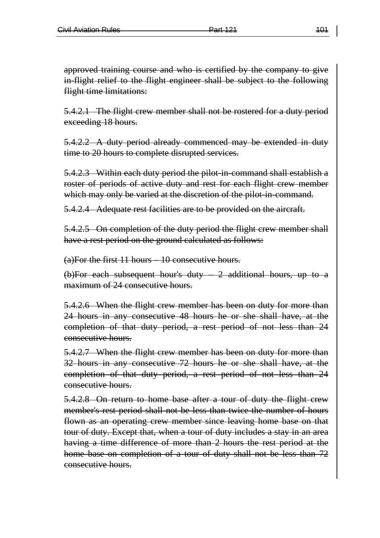approved training course and who is certified by the company to give in-flight relief to the flight engineer shall be subject to the following flight time limitations:

5.4.2.1 The flight crew member shall not be rostered for a duty period exceeding 18 hours.

5.4.2.2 A duty period already commenced may be extended in duty time to 20 hours to complete disrupted services.

5.4.2.3 Within each duty period the pilot-in-command shall establish a roster of periods of active duty and rest for each flight crew member which may only be varied at the discretion of the pilot-in-command.

5.4.2.4 Adequate rest facilities are to be provided on the aircraft.

5.4.2.5 On completion of the duty period the flight crew member shall have a rest period on the ground calculated as follows:

(a)For the first 11 hours – 10 consecutive hours.

(b)For each subsequent hour's duty – 2 additional hours, up to a maximum of 24 consecutive hours.

5.4.2.6 When the flight crew member has been on duty for more than 24 hours in any consecutive 48 hours he or she shall have, at the completion of that duty period, a rest period of not less than 24 consecutive hours.

5.4.2.7 When the flight crew member has been on duty for more than 32 hours in any consecutive 72 hours he or she shall have, at the completion of that duty period, a rest period of not less than 24 consecutive hours.

5.4.2.8 On return to home base after a tour of duty the flight crew member's rest period shall not be less than twice the number of hours flown as an operating crew member since leaving home base on that tour of duty. Except that, when a tour of duty includes a stay in an area having a time difference of more than 2 hours the rest period at the home base on completion of a tour of duty shall not be less than 72 consecutive hours.